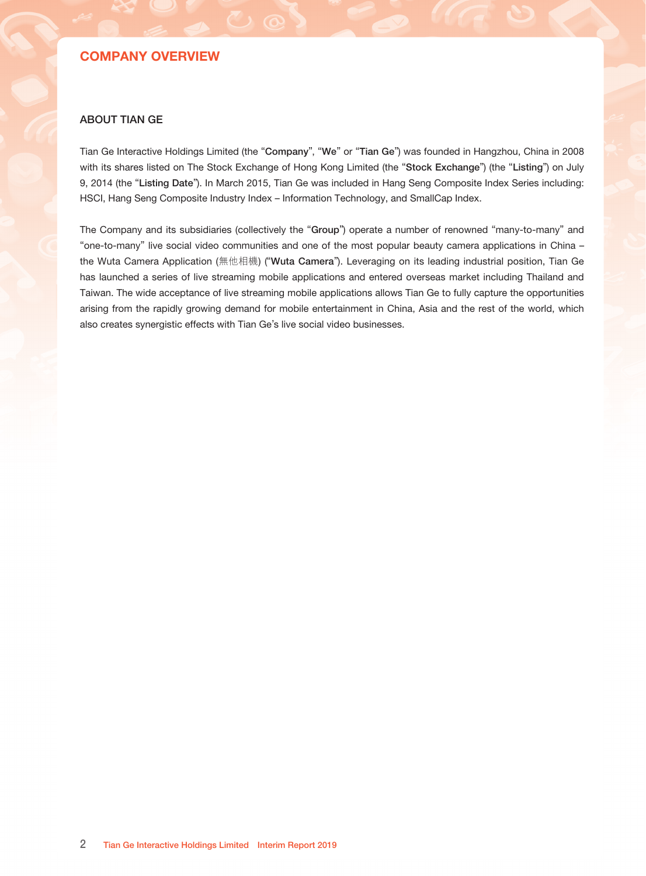# **CONTENTS**

### Page

- Company Overview
- Corporate Information
- Financial Highlights
- Chairman's Statement
- Management Discussion and Analysis
- Corporate Governance/Other information

### Glossary

- Independent Auditor's Report
- Condensed Consolidated Statement of Comprehensive Income
- Condensed Consolidated Balance Sheet
- 39 Condensed Consolidated Statement of Changes in Equity
- Condensed Consolidated Statement of Cash Flow
- Notes to the Condensed Consolidated Financial Information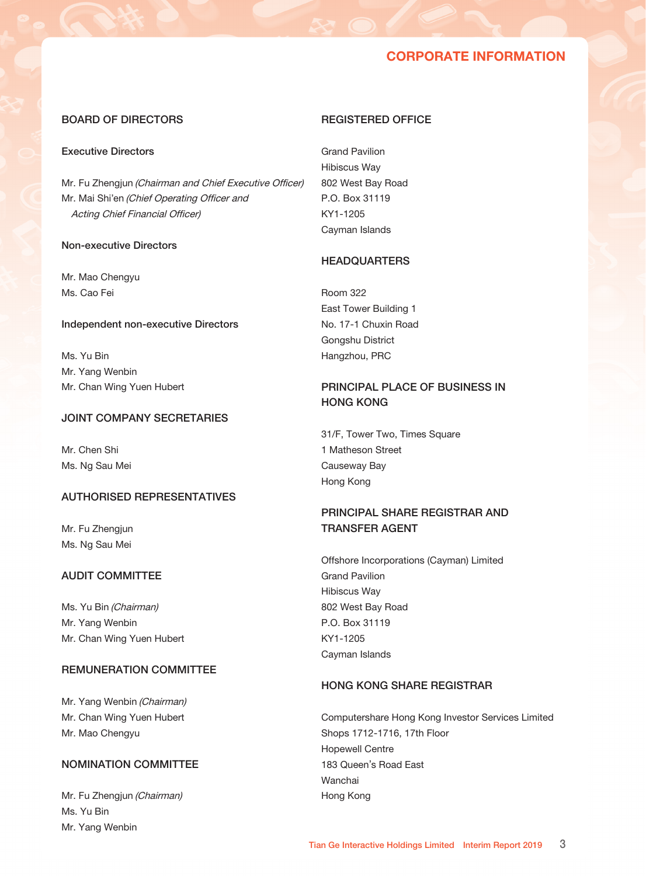## COMPANY OVERVIEW

### ABOUT TIAN GE

Tian Ge Interactive Holdings Limited (the "Company", "We" or "Tian Ge") was founded in Hangzhou, China in 2008 with its shares listed on The Stock Exchange of Hong Kong Limited (the "Stock Exchange") (the "Listing") on July 9, 2014 (the "Listing Date"). In March 2015, Tian Ge was included in Hang Seng Composite Index Series including: HSCI, Hang Seng Composite Industry Index - Information Technology, and SmallCap Index.

The Company and its subsidiaries (collectively the "Group") operate a number of renowned "many-to-many" and "one-to-many" live social video communities and one of the most popular beauty camera applications in China – the Wuta Camera Application (無他相機) ("Wuta Camera"). Leveraging on its leading industrial position, Tian Ge has launched a series of live streaming mobile applications and entered overseas market including Thailand and Taiwan. The wide acceptance of live streaming mobile applications allows Tian Ge to fully capture the opportunities arising from the rapidly growing demand for mobile entertainment in China, Asia and the rest of the world, which also creates synergistic effects with Tian Ge's live social video businesses.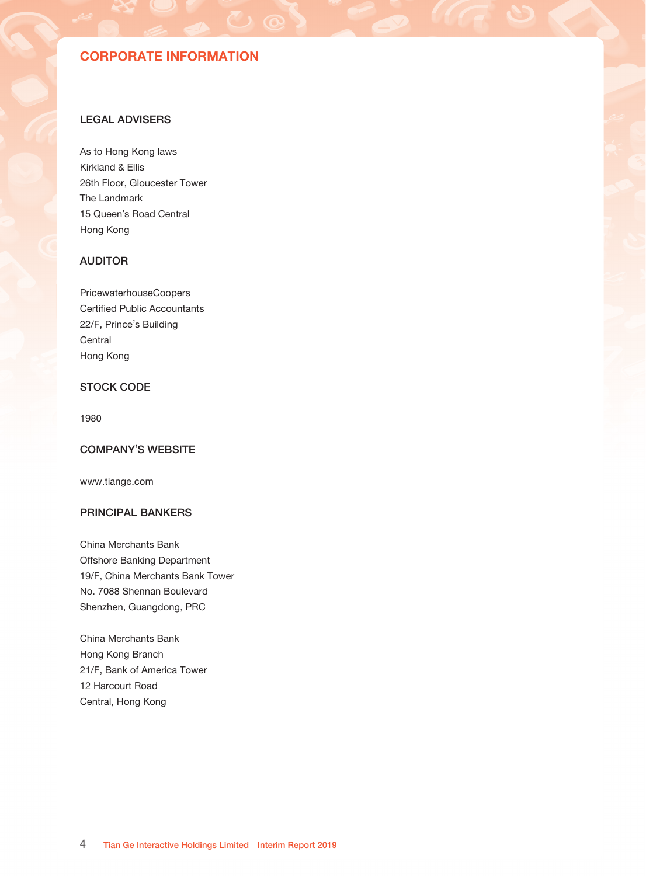## CORPORATE INFORMATION

### BOARD OF DIRECTORS

### Executive Directors

Mr. Fu Zhengjun (Chairman and Chief Executive Officer) Mr. Mai Shi'en (Chief Operating Officer and Acting Chief Financial Officer)

### Non-executive Directors

Mr. Mao Chengyu Ms. Cao Fei

#### Independent non-executive Directors

Ms. Yu Bin Mr. Yang Wenbin Mr. Chan Wing Yuen Hubert

### JOINT COMPANY SECRETARIES

Mr. Chen Shi Ms. Ng Sau Mei

### AUTHORISED REPRESENTATIVES

Mr. Fu Zhengjun Ms. Ng Sau Mei

### AUDIT COMMITTEE

Ms. Yu Bin (Chairman) Mr. Yang Wenbin Mr. Chan Wing Yuen Hubert

### REMUNERATION COMMITTEE

Mr. Yang Wenbin (Chairman) Mr. Chan Wing Yuen Hubert Mr. Mao Chengyu

### NOMINATION COMMITTEE

Mr. Fu Zhengjun (Chairman) Ms. Yu Bin Mr. Yang Wenbin

### REGISTERED OFFICE

Grand Pavilion Hibiscus Way 802 West Bay Road P.O. Box 31119 KY1-1205 Cayman Islands

## **HEADQUARTERS**

Room 322 East Tower Building 1 No. 17-1 Chuxin Road Gongshu District Hangzhou, PRC

## PRINCIPAL PLACE OF BUSINESS IN HONG KONG

31/F, Tower Two, Times Square 1 Matheson Street Causeway Bay Hong Kong

## PRINCIPAL SHARE REGISTRAR AND TRANSFER AGENT

Offshore Incorporations (Cayman) Limited Grand Pavilion Hibiscus Way 802 West Bay Road P.O. Box 31119 KY1-1205 Cayman Islands

### HONG KONG SHARE REGISTRAR

Computershare Hong Kong Investor Services Limited Shops 1712-1716, 17th Floor Hopewell Centre 183 Queen's Road East Wanchai Hong Kong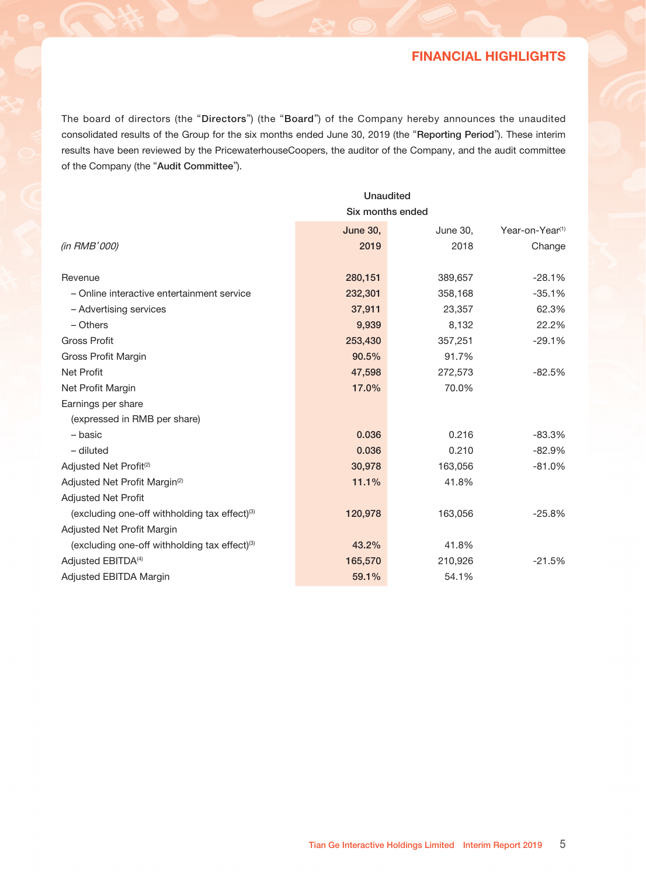# CORPORATE INFORMATION

### LEGAL ADVISERS

As to Hong Kong laws Kirkland & Ellis 26th Floor, Gloucester Tower The Landmark 15 Queen's Road Central Hong Kong

## AUDITOR

PricewaterhouseCoopers Certified Public Accountants 22/F, Prince's Building **Central** Hong Kong

## STOCK CODE

1980

### COMPANY'S WEBSITE

www.tiange.com

### PRINCIPAL BANKERS

China Merchants Bank Offshore Banking Department 19/F, China Merchants Bank Tower No. 7088 Shennan Boulevard Shenzhen, Guangdong, PRC

China Merchants Bank Hong Kong Branch 21/F, Bank of America Tower 12 Harcourt Road Central, Hong Kong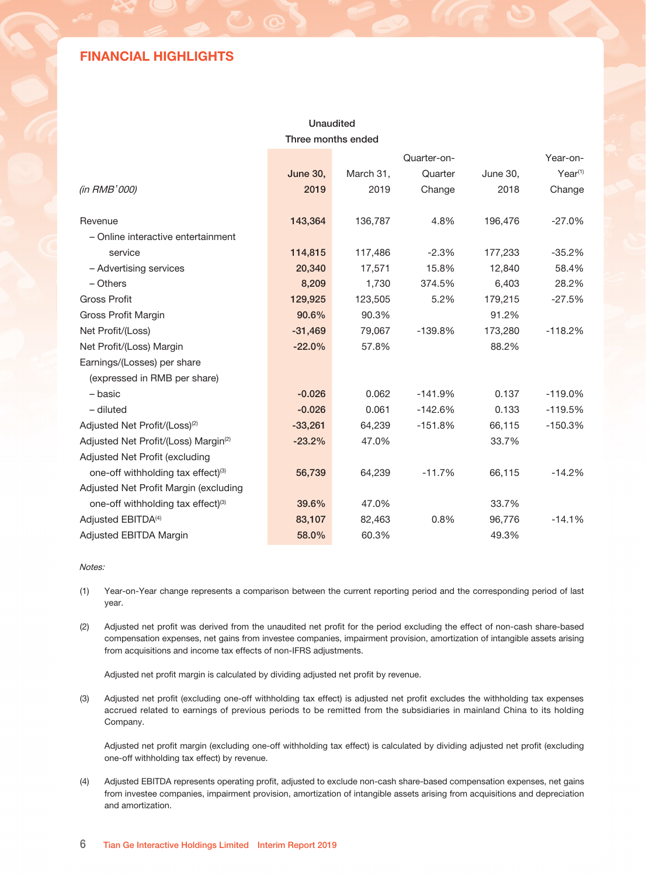# FINANCIAL HIGHLIGHTS

The board of directors (the "Directors") (the "Board") of the Company hereby announces the unaudited consolidated results of the Group for the six months ended June 30, 2019 (the "Reporting Period"). These interim results have been reviewed by the PricewaterhouseCoopers, the auditor of the Company, and the audit committee of the Company (the "Audit Committee").

|                                                           | <b>Unaudited</b> |                 |                             |  |  |  |
|-----------------------------------------------------------|------------------|-----------------|-----------------------------|--|--|--|
|                                                           | Six months ended |                 |                             |  |  |  |
|                                                           | <b>June 30,</b>  | <b>June 30,</b> | Year-on-Year <sup>(1)</sup> |  |  |  |
| (in RMB'000)                                              | 2019             | 2018            | Change                      |  |  |  |
| Revenue                                                   | 280,151          | 389,657         | $-28.1%$                    |  |  |  |
| - Online interactive entertainment service                | 232,301          | 358,168         | $-35.1%$                    |  |  |  |
| - Advertising services                                    | 37,911           | 23,357          | 62.3%                       |  |  |  |
| - Others                                                  | 9,939            | 8,132           | 22.2%                       |  |  |  |
| <b>Gross Profit</b>                                       | 253,430          | 357,251         | $-29.1%$                    |  |  |  |
| Gross Profit Margin                                       | 90.5%            | 91.7%           |                             |  |  |  |
| <b>Net Profit</b>                                         | 47,598           | 272,573         | $-82.5%$                    |  |  |  |
| Net Profit Margin                                         | 17.0%            | 70.0%           |                             |  |  |  |
| Earnings per share                                        |                  |                 |                             |  |  |  |
| (expressed in RMB per share)                              |                  |                 |                             |  |  |  |
| - basic                                                   | 0.036            | 0.216           | $-83.3%$                    |  |  |  |
| $-$ diluted                                               | 0.036            | 0.210           | $-82.9%$                    |  |  |  |
| Adjusted Net Profit <sup>(2)</sup>                        | 30,978           | 163,056         | $-81.0%$                    |  |  |  |
| Adjusted Net Profit Margin <sup>(2)</sup>                 | 11.1%            | 41.8%           |                             |  |  |  |
| <b>Adjusted Net Profit</b>                                |                  |                 |                             |  |  |  |
| (excluding one-off withholding tax effect) <sup>(3)</sup> | 120,978          | 163,056         | $-25.8%$                    |  |  |  |
| Adjusted Net Profit Margin                                |                  |                 |                             |  |  |  |
| (excluding one-off withholding tax effect) <sup>(3)</sup> | 43.2%            | 41.8%           |                             |  |  |  |
| Adjusted EBITDA <sup>(4)</sup>                            | 165,570          | 210,926         | $-21.5%$                    |  |  |  |
| Adjusted EBITDA Margin                                    | 59.1%            | 54.1%           |                             |  |  |  |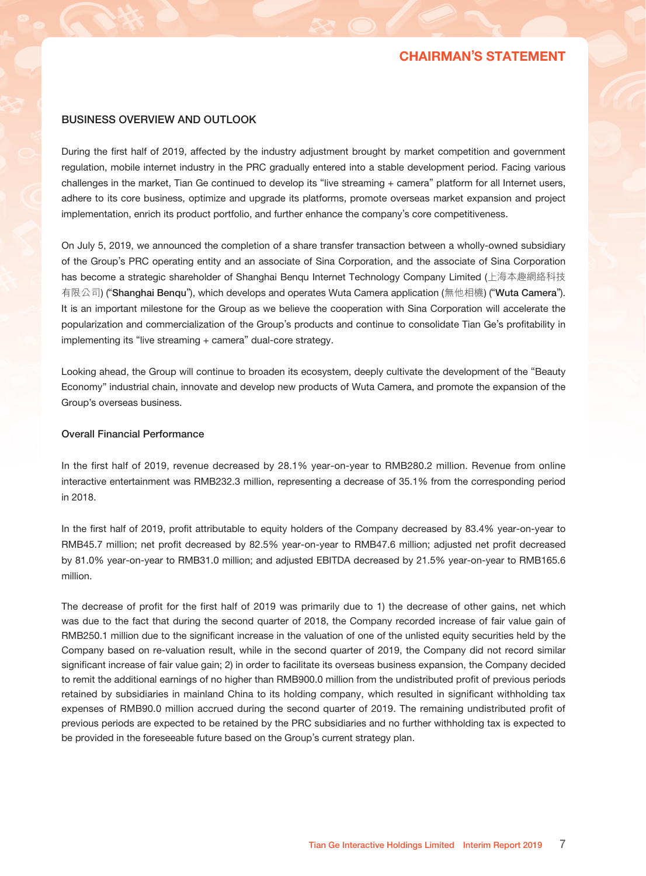## FINANCIAL HIGHLIGHTS

## Unaudited Three months ended

|                                                  |                 |           | Quarter-on- | Year-on-        |              |  |
|--------------------------------------------------|-----------------|-----------|-------------|-----------------|--------------|--|
|                                                  | <b>June 30,</b> | March 31, | Quarter     | <b>June 30,</b> | $Year^{(1)}$ |  |
| (in RMB'000)                                     | 2019            | 2019      | Change      | 2018            | Change       |  |
|                                                  |                 |           |             |                 |              |  |
| Revenue                                          | 143,364         | 136,787   | 4.8%        | 196,476         | $-27.0\%$    |  |
| - Online interactive entertainment               |                 |           |             |                 |              |  |
| service                                          | 114,815         | 117,486   | $-2.3%$     | 177,233         | $-35.2%$     |  |
| - Advertising services                           | 20,340          | 17,571    | 15.8%       | 12,840          | 58.4%        |  |
| $-$ Others                                       | 8,209           | 1,730     | 374.5%      | 6,403           | 28.2%        |  |
| <b>Gross Profit</b>                              | 129,925         | 123,505   | 5.2%        | 179,215         | $-27.5%$     |  |
| Gross Profit Margin                              | 90.6%           | 90.3%     |             | 91.2%           |              |  |
| Net Profit/(Loss)                                | $-31,469$       | 79,067    | $-139.8%$   | 173,280         | $-118.2%$    |  |
| Net Profit/(Loss) Margin                         | $-22.0%$        | 57.8%     |             | 88.2%           |              |  |
| Earnings/(Losses) per share                      |                 |           |             |                 |              |  |
| (expressed in RMB per share)                     |                 |           |             |                 |              |  |
| - basic                                          | $-0.026$        | 0.062     | $-141.9%$   | 0.137           | $-119.0%$    |  |
| $-$ diluted                                      | $-0.026$        | 0.061     | $-142.6%$   | 0.133           | $-119.5%$    |  |
| Adjusted Net Profit/(Loss) <sup>(2)</sup>        | $-33,261$       | 64,239    | $-151.8%$   | 66,115          | $-150.3%$    |  |
| Adjusted Net Profit/(Loss) Margin <sup>(2)</sup> | $-23.2%$        | 47.0%     |             | 33.7%           |              |  |
| Adjusted Net Profit (excluding                   |                 |           |             |                 |              |  |
| one-off withholding tax effect)(3)               | 56,739          | 64,239    | $-11.7%$    | 66,115          | $-14.2%$     |  |
| Adjusted Net Profit Margin (excluding            |                 |           |             |                 |              |  |
| one-off withholding tax effect)(3)               | 39.6%           | 47.0%     |             | 33.7%           |              |  |
| Adjusted EBITDA <sup>(4)</sup>                   | 83,107          | 82,463    | 0.8%        | 96,776          | $-14.1%$     |  |
| Adjusted EBITDA Margin                           | 58.0%           | 60.3%     |             | 49.3%           |              |  |

### Notes:

- (1) Year-on-Year change represents a comparison between the current reporting period and the corresponding period of last year.
- (2) Adjusted net profit was derived from the unaudited net profit for the period excluding the effect of non-cash share-based compensation expenses, net gains from investee companies, impairment provision, amortization of intangible assets arising from acquisitions and income tax effects of non-IFRS adjustments.

Adjusted net profit margin is calculated by dividing adjusted net profit by revenue.

(3) Adjusted net profit (excluding one-off withholding tax effect) is adjusted net profit excludes the withholding tax expenses accrued related to earnings of previous periods to be remitted from the subsidiaries in mainland China to its holding Company.

Adjusted net profit margin (excluding one-off withholding tax effect) is calculated by dividing adjusted net profit (excluding one-off withholding tax effect) by revenue.

(4) Adjusted EBITDA represents operating profit, adjusted to exclude non-cash share-based compensation expenses, net gains from investee companies, impairment provision, amortization of intangible assets arising from acquisitions and depreciation and amortization.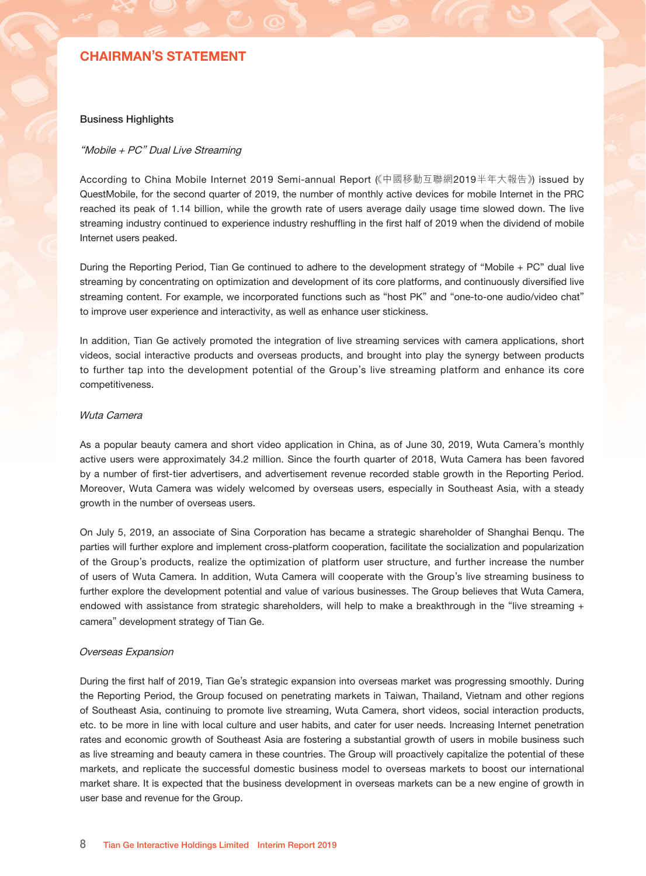## CHAIRMAN'S STATEMENT

### BUSINESS OVERVIEW AND OUTLOOK

During the first half of 2019, affected by the industry adjustment brought by market competition and government regulation, mobile internet industry in the PRC gradually entered into a stable development period. Facing various challenges in the market, Tian Ge continued to develop its "live streaming + camera" platform for all Internet users, adhere to its core business, optimize and upgrade its platforms, promote overseas market expansion and project implementation, enrich its product portfolio, and further enhance the company's core competitiveness.

On July 5, 2019, we announced the completion of a share transfer transaction between a wholly-owned subsidiary of the Group's PRC operating entity and an associate of Sina Corporation, and the associate of Sina Corporation has become a strategic shareholder of Shanghai Benqu Internet Technology Company Limited (上海本趣網絡科技 有限公司) ("Shanghai Benqu"), which develops and operates Wuta Camera application (無他相機) ("Wuta Camera"). It is an important milestone for the Group as we believe the cooperation with Sina Corporation will accelerate the popularization and commercialization of the Group's products and continue to consolidate Tian Ge's profitability in implementing its "live streaming + camera" dual-core strategy.

Looking ahead, the Group will continue to broaden its ecosystem, deeply cultivate the development of the "Beauty Economy" industrial chain, innovate and develop new products of Wuta Camera, and promote the expansion of the Group's overseas business.

#### Overall Financial Performance

In the first half of 2019, revenue decreased by 28.1% year-on-year to RMB280.2 million. Revenue from online interactive entertainment was RMB232.3 million, representing a decrease of 35.1% from the corresponding period in 2018.

In the first half of 2019, profit attributable to equity holders of the Company decreased by 83.4% year-on-year to RMB45.7 million; net profit decreased by 82.5% year-on-year to RMB47.6 million; adjusted net profit decreased by 81.0% year-on-year to RMB31.0 million; and adjusted EBITDA decreased by 21.5% year-on-year to RMB165.6 million.

The decrease of profit for the first half of 2019 was primarily due to 1) the decrease of other gains, net which was due to the fact that during the second quarter of 2018, the Company recorded increase of fair value gain of RMB250.1 million due to the significant increase in the valuation of one of the unlisted equity securities held by the Company based on re-valuation result, while in the second quarter of 2019, the Company did not record similar significant increase of fair value gain; 2) in order to facilitate its overseas business expansion, the Company decided to remit the additional earnings of no higher than RMB900.0 million from the undistributed profit of previous periods retained by subsidiaries in mainland China to its holding company, which resulted in significant withholding tax expenses of RMB90.0 million accrued during the second quarter of 2019. The remaining undistributed profit of previous periods are expected to be retained by the PRC subsidiaries and no further withholding tax is expected to be provided in the foreseeable future based on the Group's current strategy plan.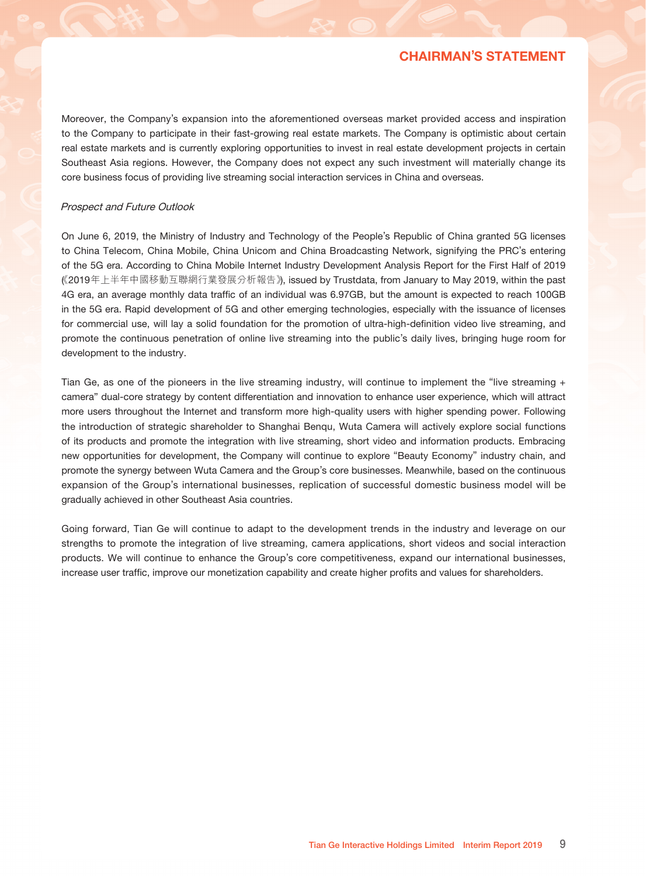## CHAIRMAN'S STATEMENT

#### Business Highlights

### "Mobile + PC" Dual Live Streaming

According to China Mobile Internet 2019 Semi-annual Report (《中國移動互聯網2019半年大報告》) issued by QuestMobile, for the second quarter of 2019, the number of monthly active devices for mobile Internet in the PRC reached its peak of 1.14 billion, while the growth rate of users average daily usage time slowed down. The live streaming industry continued to experience industry reshuffling in the first half of 2019 when the dividend of mobile Internet users peaked.

During the Reporting Period, Tian Ge continued to adhere to the development strategy of "Mobile + PC" dual live streaming by concentrating on optimization and development of its core platforms, and continuously diversified live streaming content. For example, we incorporated functions such as "host PK" and "one-to-one audio/video chat" to improve user experience and interactivity, as well as enhance user stickiness.

In addition, Tian Ge actively promoted the integration of live streaming services with camera applications, short videos, social interactive products and overseas products, and brought into play the synergy between products to further tap into the development potential of the Group's live streaming platform and enhance its core competitiveness.

### Wuta Camera

As a popular beauty camera and short video application in China, as of June 30, 2019, Wuta Camera's monthly active users were approximately 34.2 million. Since the fourth quarter of 2018, Wuta Camera has been favored by a number of first-tier advertisers, and advertisement revenue recorded stable growth in the Reporting Period. Moreover, Wuta Camera was widely welcomed by overseas users, especially in Southeast Asia, with a steady growth in the number of overseas users.

On July 5, 2019, an associate of Sina Corporation has became a strategic shareholder of Shanghai Benqu. The parties will further explore and implement cross-platform cooperation, facilitate the socialization and popularization of the Group's products, realize the optimization of platform user structure, and further increase the number of users of Wuta Camera. In addition, Wuta Camera will cooperate with the Group's live streaming business to further explore the development potential and value of various businesses. The Group believes that Wuta Camera, endowed with assistance from strategic shareholders, will help to make a breakthrough in the "live streaming + camera" development strategy of Tian Ge.

#### Overseas Expansion

During the first half of 2019, Tian Ge's strategic expansion into overseas market was progressing smoothly. During the Reporting Period, the Group focused on penetrating markets in Taiwan, Thailand, Vietnam and other regions of Southeast Asia, continuing to promote live streaming, Wuta Camera, short videos, social interaction products, etc. to be more in line with local culture and user habits, and cater for user needs. Increasing Internet penetration rates and economic growth of Southeast Asia are fostering a substantial growth of users in mobile business such as live streaming and beauty camera in these countries. The Group will proactively capitalize the potential of these markets, and replicate the successful domestic business model to overseas markets to boost our international market share. It is expected that the business development in overseas markets can be a new engine of growth in user base and revenue for the Group.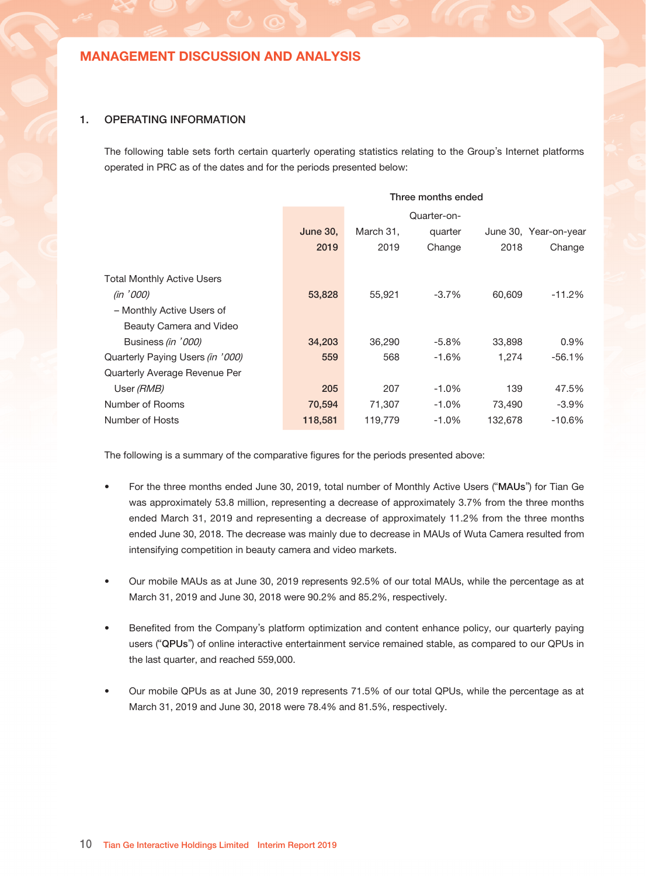## CHAIRMAN'S STATEMENT

Moreover, the Company's expansion into the aforementioned overseas market provided access and inspiration to the Company to participate in their fast-growing real estate markets. The Company is optimistic about certain real estate markets and is currently exploring opportunities to invest in real estate development projects in certain Southeast Asia regions. However, the Company does not expect any such investment will materially change its core business focus of providing live streaming social interaction services in China and overseas.

#### Prospect and Future Outlook

On June 6, 2019, the Ministry of Industry and Technology of the People's Republic of China granted 5G licenses to China Telecom, China Mobile, China Unicom and China Broadcasting Network, signifying the PRC's entering of the 5G era. According to China Mobile Internet Industry Development Analysis Report for the First Half of 2019 《( 2019年上半年中國移動互聯網行業發展分析報告》), issued by Trustdata, from January to May 2019, within the past 4G era, an average monthly data traffic of an individual was 6.97GB, but the amount is expected to reach 100GB in the 5G era. Rapid development of 5G and other emerging technologies, especially with the issuance of licenses for commercial use, will lay a solid foundation for the promotion of ultra-high-definition video live streaming, and promote the continuous penetration of online live streaming into the public's daily lives, bringing huge room for development to the industry.

Tian Ge, as one of the pioneers in the live streaming industry, will continue to implement the "live streaming + camera" dual-core strategy by content differentiation and innovation to enhance user experience, which will attract more users throughout the Internet and transform more high-quality users with higher spending power. Following the introduction of strategic shareholder to Shanghai Benqu, Wuta Camera will actively explore social functions of its products and promote the integration with live streaming, short video and information products. Embracing new opportunities for development, the Company will continue to explore "Beauty Economy" industry chain, and promote the synergy between Wuta Camera and the Group's core businesses. Meanwhile, based on the continuous expansion of the Group's international businesses, replication of successful domestic business model will be gradually achieved in other Southeast Asia countries.

Going forward, Tian Ge will continue to adapt to the development trends in the industry and leverage on our strengths to promote the integration of live streaming, camera applications, short videos and social interaction products. We will continue to enhance the Group's core competitiveness, expand our international businesses, increase user traffic, improve our monetization capability and create higher profits and values for shareholders.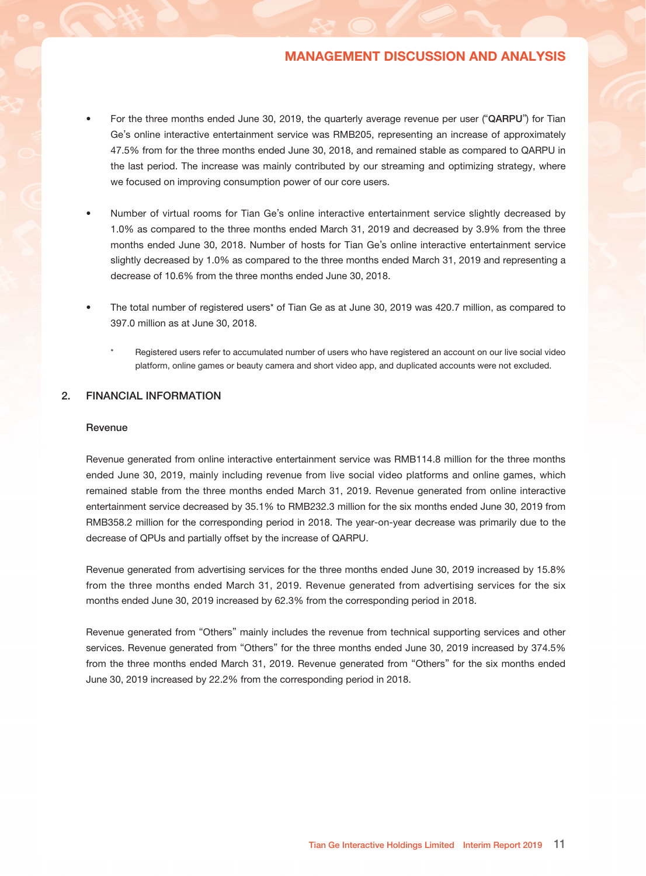### 1. OPERATING INFORMATION

The following table sets forth certain quarterly operating statistics relating to the Group's Internet platforms operated in PRC as of the dates and for the periods presented below:

|                                   | Three months ended |             |          |         |                       |  |  |  |
|-----------------------------------|--------------------|-------------|----------|---------|-----------------------|--|--|--|
|                                   |                    | Quarter-on- |          |         |                       |  |  |  |
|                                   | <b>June 30,</b>    | March 31,   | quarter  |         | June 30, Year-on-year |  |  |  |
|                                   | 2019               | 2019        | Change   | 2018    | Change                |  |  |  |
| <b>Total Monthly Active Users</b> |                    |             |          |         |                       |  |  |  |
| (in '000)                         | 53,828             | 55,921      | $-3.7%$  | 60,609  | -11.2%                |  |  |  |
| - Monthly Active Users of         |                    |             |          |         |                       |  |  |  |
| Beauty Camera and Video           |                    |             |          |         |                       |  |  |  |
| Business (in '000)                | 34,203             | 36,290      | -5.8%    | 33,898  | $0.9\%$               |  |  |  |
| Quarterly Paying Users (in '000)  | 559                | 568         | -1.6%    | 1.274   | $-56.1\%$             |  |  |  |
| Quarterly Average Revenue Per     |                    |             |          |         |                       |  |  |  |
| User (RMB)                        | 205                | 207         | $-1.0\%$ | 139     | 47.5%                 |  |  |  |
| Number of Rooms                   | 70,594             | 71,307      | $-1.0\%$ | 73,490  | $-3.9\%$              |  |  |  |
| Number of Hosts                   | 118,581            | 119,779     | $-1.0\%$ | 132,678 | $-10.6\%$             |  |  |  |
|                                   |                    |             |          |         |                       |  |  |  |

The following is a summary of the comparative figures for the periods presented above:

- For the three months ended June 30, 2019, total number of Monthly Active Users ("MAUs") for Tian Ge was approximately 53.8 million, representing a decrease of approximately 3.7% from the three months ended March 31, 2019 and representing a decrease of approximately 11.2% from the three months ended June 30, 2018. The decrease was mainly due to decrease in MAUs of Wuta Camera resulted from intensifying competition in beauty camera and video markets.
- Our mobile MAUs as at June 30, 2019 represents 92.5% of our total MAUs, while the percentage as at March 31, 2019 and June 30, 2018 were 90.2% and 85.2%, respectively.
- Benefited from the Company's platform optimization and content enhance policy, our quarterly paying users ("QPUs") of online interactive entertainment service remained stable, as compared to our QPUs in the last quarter, and reached 559,000.
- Our mobile QPUs as at June 30, 2019 represents 71.5% of our total QPUs, while the percentage as at March 31, 2019 and June 30, 2018 were 78.4% and 81.5%, respectively.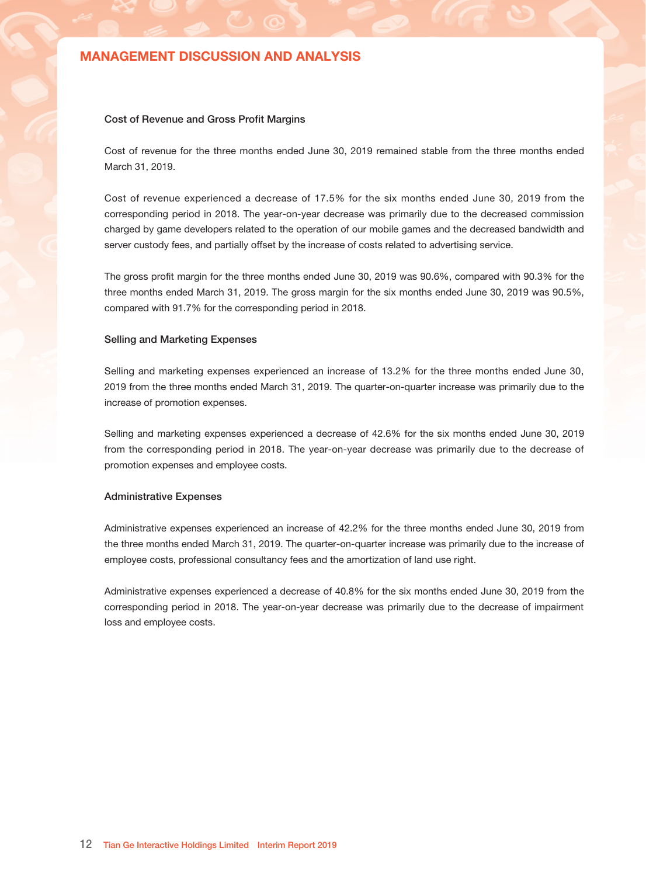- For the three months ended June 30, 2019, the quarterly average revenue per user ("QARPU") for Tian Ge's online interactive entertainment service was RMB205, representing an increase of approximately 47.5% from for the three months ended June 30, 2018, and remained stable as compared to QARPU in the last period. The increase was mainly contributed by our streaming and optimizing strategy, where we focused on improving consumption power of our core users.
- Number of virtual rooms for Tian Ge's online interactive entertainment service slightly decreased by 1.0% as compared to the three months ended March 31, 2019 and decreased by 3.9% from the three months ended June 30, 2018. Number of hosts for Tian Ge's online interactive entertainment service slightly decreased by 1.0% as compared to the three months ended March 31, 2019 and representing a decrease of 10.6% from the three months ended June 30, 2018.
- The total number of registered users\* of Tian Ge as at June 30, 2019 was 420.7 million, as compared to 397.0 million as at June 30, 2018.
	- Registered users refer to accumulated number of users who have registered an account on our live social video platform, online games or beauty camera and short video app, and duplicated accounts were not excluded.

### 2. FINANCIAL INFORMATION

#### Revenue

Revenue generated from online interactive entertainment service was RMB114.8 million for the three months ended June 30, 2019, mainly including revenue from live social video platforms and online games, which remained stable from the three months ended March 31, 2019. Revenue generated from online interactive entertainment service decreased by 35.1% to RMB232.3 million for the six months ended June 30, 2019 from RMB358.2 million for the corresponding period in 2018. The year-on-year decrease was primarily due to the decrease of QPUs and partially offset by the increase of QARPU.

Revenue generated from advertising services for the three months ended June 30, 2019 increased by 15.8% from the three months ended March 31, 2019. Revenue generated from advertising services for the six months ended June 30, 2019 increased by 62.3% from the corresponding period in 2018.

Revenue generated from "Others" mainly includes the revenue from technical supporting services and other services. Revenue generated from "Others" for the three months ended June 30, 2019 increased by 374.5% from the three months ended March 31, 2019. Revenue generated from "Others" for the six months ended June 30, 2019 increased by 22.2% from the corresponding period in 2018.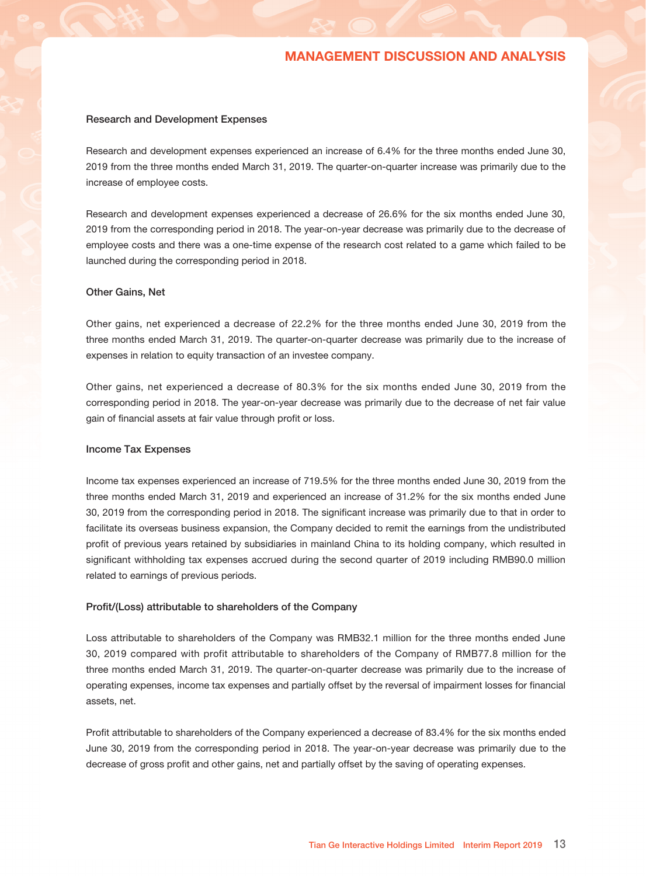#### Cost of Revenue and Gross Profit Margins

Cost of revenue for the three months ended June 30, 2019 remained stable from the three months ended March 31, 2019.

Cost of revenue experienced a decrease of 17.5% for the six months ended June 30, 2019 from the corresponding period in 2018. The year-on-year decrease was primarily due to the decreased commission charged by game developers related to the operation of our mobile games and the decreased bandwidth and server custody fees, and partially offset by the increase of costs related to advertising service.

The gross profit margin for the three months ended June 30, 2019 was 90.6%, compared with 90.3% for the three months ended March 31, 2019. The gross margin for the six months ended June 30, 2019 was 90.5%, compared with 91.7% for the corresponding period in 2018.

### Selling and Marketing Expenses

Selling and marketing expenses experienced an increase of 13.2% for the three months ended June 30, 2019 from the three months ended March 31, 2019. The quarter-on-quarter increase was primarily due to the increase of promotion expenses.

Selling and marketing expenses experienced a decrease of 42.6% for the six months ended June 30, 2019 from the corresponding period in 2018. The year-on-year decrease was primarily due to the decrease of promotion expenses and employee costs.

#### Administrative Expenses

Administrative expenses experienced an increase of 42.2% for the three months ended June 30, 2019 from the three months ended March 31, 2019. The quarter-on-quarter increase was primarily due to the increase of employee costs, professional consultancy fees and the amortization of land use right.

Administrative expenses experienced a decrease of 40.8% for the six months ended June 30, 2019 from the corresponding period in 2018. The year-on-year decrease was primarily due to the decrease of impairment loss and employee costs.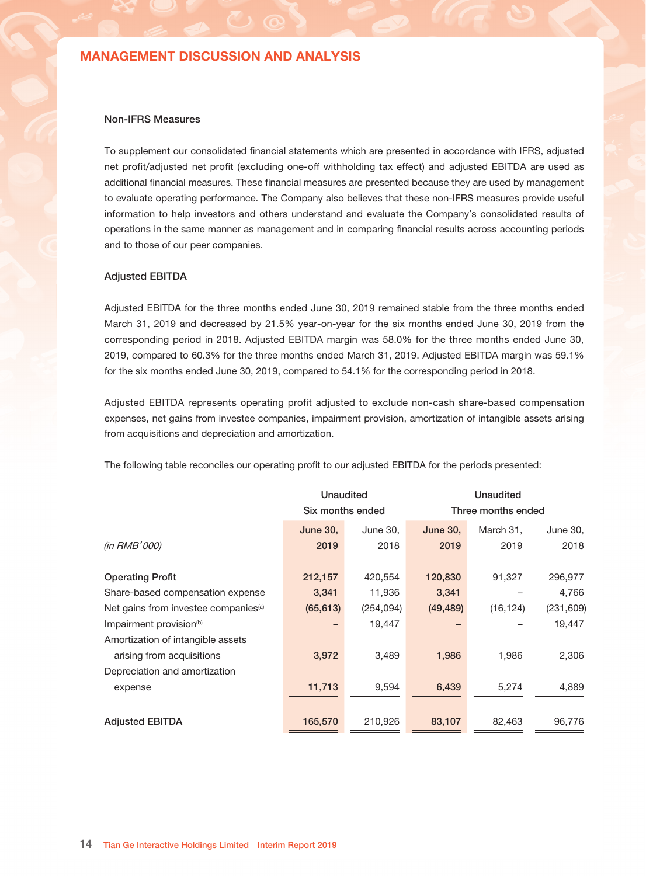#### Research and Development Expenses

Research and development expenses experienced an increase of 6.4% for the three months ended June 30, 2019 from the three months ended March 31, 2019. The quarter-on-quarter increase was primarily due to the increase of employee costs.

Research and development expenses experienced a decrease of 26.6% for the six months ended June 30, 2019 from the corresponding period in 2018. The year-on-year decrease was primarily due to the decrease of employee costs and there was a one-time expense of the research cost related to a game which failed to be launched during the corresponding period in 2018.

### Other Gains, Net

Other gains, net experienced a decrease of 22.2% for the three months ended June 30, 2019 from the three months ended March 31, 2019. The quarter-on-quarter decrease was primarily due to the increase of expenses in relation to equity transaction of an investee company.

Other gains, net experienced a decrease of 80.3% for the six months ended June 30, 2019 from the corresponding period in 2018. The year-on-year decrease was primarily due to the decrease of net fair value gain of financial assets at fair value through profit or loss.

#### Income Tax Expenses

Income tax expenses experienced an increase of 719.5% for the three months ended June 30, 2019 from the three months ended March 31, 2019 and experienced an increase of 31.2% for the six months ended June 30, 2019 from the corresponding period in 2018. The significant increase was primarily due to that in order to facilitate its overseas business expansion, the Company decided to remit the earnings from the undistributed profit of previous years retained by subsidiaries in mainland China to its holding company, which resulted in significant withholding tax expenses accrued during the second quarter of 2019 including RMB90.0 million related to earnings of previous periods.

#### Profit/(Loss) attributable to shareholders of the Company

Loss attributable to shareholders of the Company was RMB32.1 million for the three months ended June 30, 2019 compared with profit attributable to shareholders of the Company of RMB77.8 million for the three months ended March 31, 2019. The quarter-on-quarter decrease was primarily due to the increase of operating expenses, income tax expenses and partially offset by the reversal of impairment losses for financial assets, net.

Profit attributable to shareholders of the Company experienced a decrease of 83.4% for the six months ended June 30, 2019 from the corresponding period in 2018. The year-on-year decrease was primarily due to the decrease of gross profit and other gains, net and partially offset by the saving of operating expenses.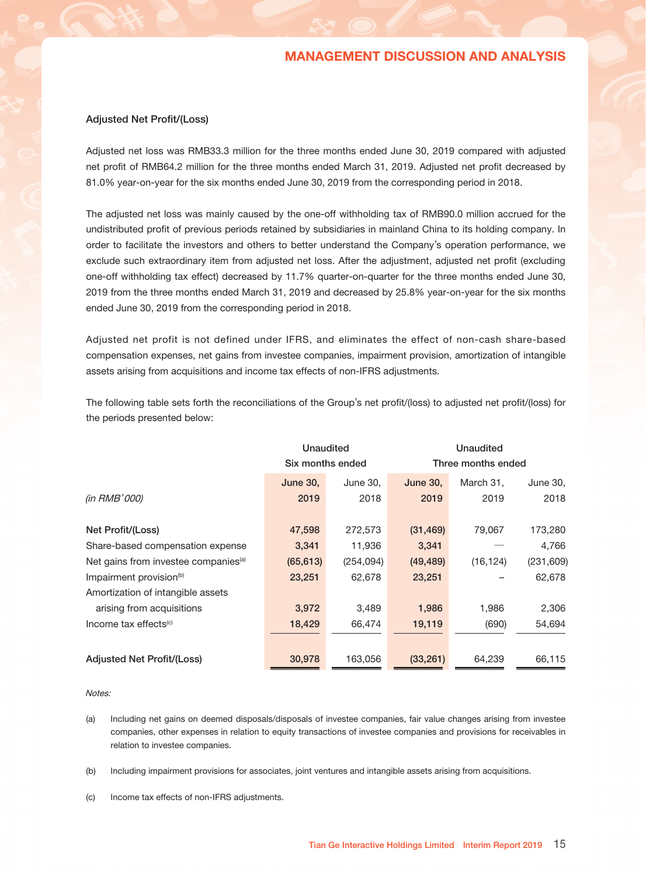#### Non-IFRS Measures

To supplement our consolidated financial statements which are presented in accordance with IFRS, adjusted net profit/adjusted net profit (excluding one-off withholding tax effect) and adjusted EBITDA are used as additional financial measures. These financial measures are presented because they are used by management to evaluate operating performance. The Company also believes that these non-IFRS measures provide useful information to help investors and others understand and evaluate the Company's consolidated results of operations in the same manner as management and in comparing financial results across accounting periods and to those of our peer companies.

#### Adjusted EBITDA

Adjusted EBITDA for the three months ended June 30, 2019 remained stable from the three months ended March 31, 2019 and decreased by 21.5% year-on-year for the six months ended June 30, 2019 from the corresponding period in 2018. Adjusted EBITDA margin was 58.0% for the three months ended June 30, 2019, compared to 60.3% for the three months ended March 31, 2019. Adjusted EBITDA margin was 59.1% for the six months ended June 30, 2019, compared to 54.1% for the corresponding period in 2018.

Adjusted EBITDA represents operating profit adjusted to exclude non-cash share-based compensation expenses, net gains from investee companies, impairment provision, amortization of intangible assets arising from acquisitions and depreciation and amortization.

The following table reconciles our operating profit to our adjusted EBITDA for the periods presented:

|                                                  | Unaudited        |            |                 | Unaudited          |            |  |  |
|--------------------------------------------------|------------------|------------|-----------------|--------------------|------------|--|--|
|                                                  | Six months ended |            |                 | Three months ended |            |  |  |
|                                                  | <b>June 30,</b>  | June 30,   | <b>June 30,</b> | March 31,          | June 30,   |  |  |
| (in RMB'000)                                     | 2019             | 2018       | 2019            | 2019               | 2018       |  |  |
|                                                  |                  |            |                 |                    |            |  |  |
| <b>Operating Profit</b>                          | 212,157          | 420,554    | 120,830         | 91,327             | 296,977    |  |  |
| Share-based compensation expense                 | 3,341            | 11,936     | 3,341           |                    | 4,766      |  |  |
| Net gains from investee companies <sup>(a)</sup> | (65, 613)        | (254, 094) | (49, 489)       | (16, 124)          | (231, 609) |  |  |
| Impairment provision <sup>(b)</sup>              |                  | 19,447     |                 |                    | 19,447     |  |  |
| Amortization of intangible assets                |                  |            |                 |                    |            |  |  |
| arising from acquisitions                        | 3,972            | 3,489      | 1,986           | 1,986              | 2,306      |  |  |
| Depreciation and amortization                    |                  |            |                 |                    |            |  |  |
| expense                                          | 11,713           | 9,594      | 6,439           | 5,274              | 4,889      |  |  |
|                                                  |                  |            |                 |                    |            |  |  |
| <b>Adjusted EBITDA</b>                           | 165,570          | 210,926    | 83,107          | 82,463             | 96,776     |  |  |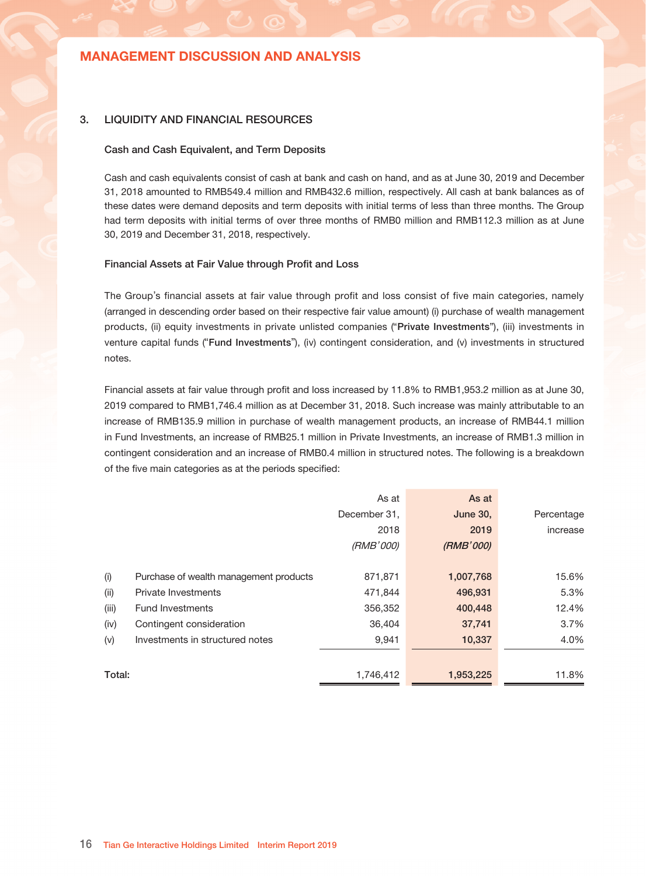### Adjusted Net Profit/(Loss)

Adjusted net loss was RMB33.3 million for the three months ended June 30, 2019 compared with adjusted net profit of RMB64.2 million for the three months ended March 31, 2019. Adjusted net profit decreased by 81.0% year-on-year for the six months ended June 30, 2019 from the corresponding period in 2018.

The adjusted net loss was mainly caused by the one-off withholding tax of RMB90.0 million accrued for the undistributed profit of previous periods retained by subsidiaries in mainland China to its holding company. In order to facilitate the investors and others to better understand the Company's operation performance, we exclude such extraordinary item from adjusted net loss. After the adjustment, adjusted net profit (excluding one-off withholding tax effect) decreased by 11.7% quarter-on-quarter for the three months ended June 30, 2019 from the three months ended March 31, 2019 and decreased by 25.8% year-on-year for the six months ended June 30, 2019 from the corresponding period in 2018.

Adjusted net profit is not defined under IFRS, and eliminates the effect of non-cash share-based compensation expenses, net gains from investee companies, impairment provision, amortization of intangible assets arising from acquisitions and income tax effects of non-IFRS adjustments.

The following table sets forth the reconciliations of the Group's net profit/(loss) to adjusted net profit/(loss) for the periods presented below:

|                                                  | Unaudited        |            |                 |                    |            |  |  |
|--------------------------------------------------|------------------|------------|-----------------|--------------------|------------|--|--|
|                                                  | Six months ended |            |                 | Three months ended |            |  |  |
|                                                  | <b>June 30.</b>  | June 30,   | <b>June 30.</b> | March 31.          | June 30,   |  |  |
| (in RMB'000)                                     | 2019             | 2018       | 2019            | 2019               | 2018       |  |  |
|                                                  |                  |            |                 |                    |            |  |  |
| Net Profit/(Loss)                                | 47,598           | 272,573    | (31, 469)       | 79,067             | 173,280    |  |  |
| Share-based compensation expense                 | 3,341            | 11,936     | 3,341           |                    | 4,766      |  |  |
| Net gains from investee companies <sup>(a)</sup> | (65, 613)        | (254, 094) | (49, 489)       | (16, 124)          | (231, 609) |  |  |
| Impairment provision <sup>(b)</sup>              | 23,251           | 62,678     | 23,251          |                    | 62,678     |  |  |
| Amortization of intangible assets                |                  |            |                 |                    |            |  |  |
| arising from acquisitions                        | 3,972            | 3,489      | 1,986           | 1,986              | 2,306      |  |  |
| Income tax effects $(c)$                         | 18,429           | 66,474     | 19,119          | (690)              | 54,694     |  |  |
|                                                  |                  |            |                 |                    |            |  |  |
| <b>Adjusted Net Profit/(Loss)</b>                | 30,978           | 163,056    | (33, 261)       | 64,239             | 66,115     |  |  |

Notes:

(a) Including net gains on deemed disposals/disposals of investee companies, fair value changes arising from investee companies, other expenses in relation to equity transactions of investee companies and provisions for receivables in relation to investee companies.

(b) Including impairment provisions for associates, joint ventures and intangible assets arising from acquisitions.

(c) Income tax effects of non-IFRS adjustments.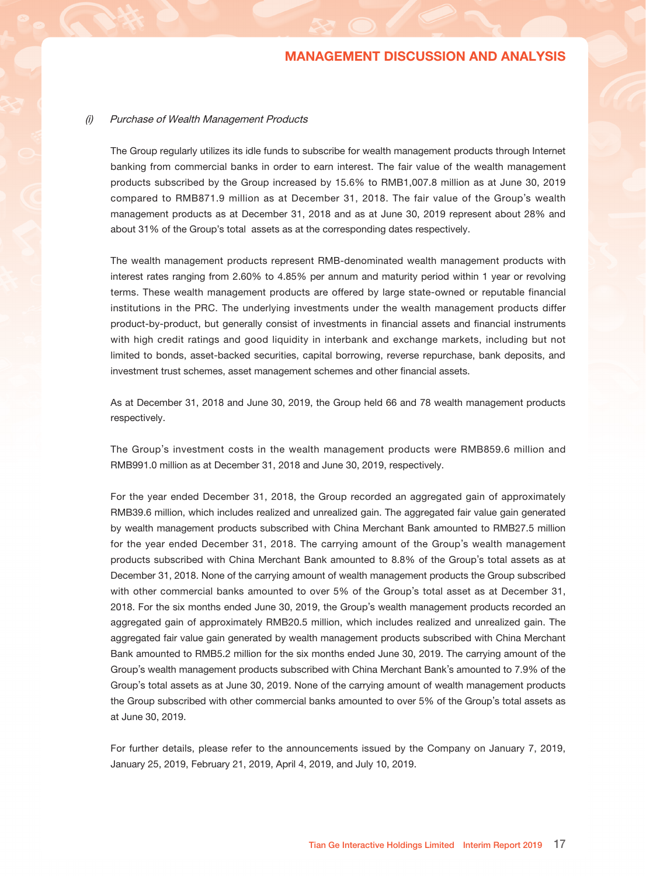### 3. LIQUIDITY AND FINANCIAL RESOURCES

### Cash and Cash Equivalent, and Term Deposits

Cash and cash equivalents consist of cash at bank and cash on hand, and as at June 30, 2019 and December 31, 2018 amounted to RMB549.4 million and RMB432.6 million, respectively. All cash at bank balances as of these dates were demand deposits and term deposits with initial terms of less than three months. The Group had term deposits with initial terms of over three months of RMB0 million and RMB112.3 million as at June 30, 2019 and December 31, 2018, respectively.

#### Financial Assets at Fair Value through Profit and Loss

The Group's financial assets at fair value through profit and loss consist of five main categories, namely (arranged in descending order based on their respective fair value amount) (i) purchase of wealth management products, (ii) equity investments in private unlisted companies ("Private Investments"), (iii) investments in venture capital funds ("Fund Investments"), (iv) contingent consideration, and (v) investments in structured notes.

Financial assets at fair value through profit and loss increased by 11.8% to RMB1,953.2 million as at June 30, 2019 compared to RMB1,746.4 million as at December 31, 2018. Such increase was mainly attributable to an increase of RMB135.9 million in purchase of wealth management products, an increase of RMB44.1 million in Fund Investments, an increase of RMB25.1 million in Private Investments, an increase of RMB1.3 million in contingent consideration and an increase of RMB0.4 million in structured notes. The following is a breakdown of the five main categories as at the periods specified:

|        |                                        | As at        | As at           |            |
|--------|----------------------------------------|--------------|-----------------|------------|
|        |                                        | December 31, | <b>June 30,</b> | Percentage |
|        |                                        | 2018         | 2019            | increase   |
|        |                                        | (RMB'000)    | (RMB'000)       |            |
|        |                                        |              |                 |            |
| (i)    | Purchase of wealth management products | 871,871      | 1,007,768       | 15.6%      |
| (ii)   | Private Investments                    | 471,844      | 496,931         | 5.3%       |
| (iii)  | <b>Fund Investments</b>                | 356,352      | 400,448         | 12.4%      |
| (iv)   | Contingent consideration               | 36,404       | 37,741          | 3.7%       |
| (v)    | Investments in structured notes        | 9,941        | 10,337          | 4.0%       |
|        |                                        |              |                 |            |
| Total: |                                        | 1,746,412    | 1,953,225       | 11.8%      |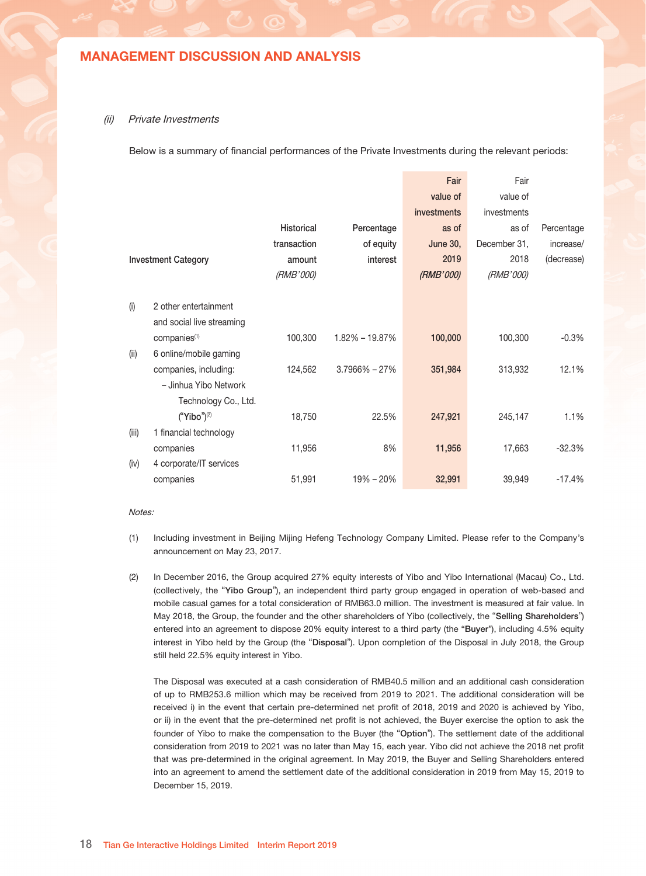#### (i) Purchase of Wealth Management Products

The Group regularly utilizes its idle funds to subscribe for wealth management products through Internet banking from commercial banks in order to earn interest. The fair value of the wealth management products subscribed by the Group increased by 15.6% to RMB1,007.8 million as at June 30, 2019 compared to RMB871.9 million as at December 31, 2018. The fair value of the Group's wealth management products as at December 31, 2018 and as at June 30, 2019 represent about 28% and about 31% of the Group's total assets as at the corresponding dates respectively.

The wealth management products represent RMB-denominated wealth management products with interest rates ranging from 2.60% to 4.85% per annum and maturity period within 1 year or revolving terms. These wealth management products are offered by large state-owned or reputable financial institutions in the PRC. The underlying investments under the wealth management products differ product-by-product, but generally consist of investments in financial assets and financial instruments with high credit ratings and good liquidity in interbank and exchange markets, including but not limited to bonds, asset-backed securities, capital borrowing, reverse repurchase, bank deposits, and investment trust schemes, asset management schemes and other financial assets.

As at December 31, 2018 and June 30, 2019, the Group held 66 and 78 wealth management products respectively.

The Group's investment costs in the wealth management products were RMB859.6 million and RMB991.0 million as at December 31, 2018 and June 30, 2019, respectively.

For the year ended December 31, 2018, the Group recorded an aggregated gain of approximately RMB39.6 million, which includes realized and unrealized gain. The aggregated fair value gain generated by wealth management products subscribed with China Merchant Bank amounted to RMB27.5 million for the year ended December 31, 2018. The carrying amount of the Group's wealth management products subscribed with China Merchant Bank amounted to 8.8% of the Group's total assets as at December 31, 2018. None of the carrying amount of wealth management products the Group subscribed with other commercial banks amounted to over 5% of the Group's total asset as at December 31, 2018. For the six months ended June 30, 2019, the Group's wealth management products recorded an aggregated gain of approximately RMB20.5 million, which includes realized and unrealized gain. The aggregated fair value gain generated by wealth management products subscribed with China Merchant Bank amounted to RMB5.2 million for the six months ended June 30, 2019. The carrying amount of the Group's wealth management products subscribed with China Merchant Bank's amounted to 7.9% of the Group's total assets as at June 30, 2019. None of the carrying amount of wealth management products the Group subscribed with other commercial banks amounted to over 5% of the Group's total assets as at June 30, 2019.

For further details, please refer to the announcements issued by the Company on January 7, 2019, January 25, 2019, February 21, 2019, April 4, 2019, and July 10, 2019.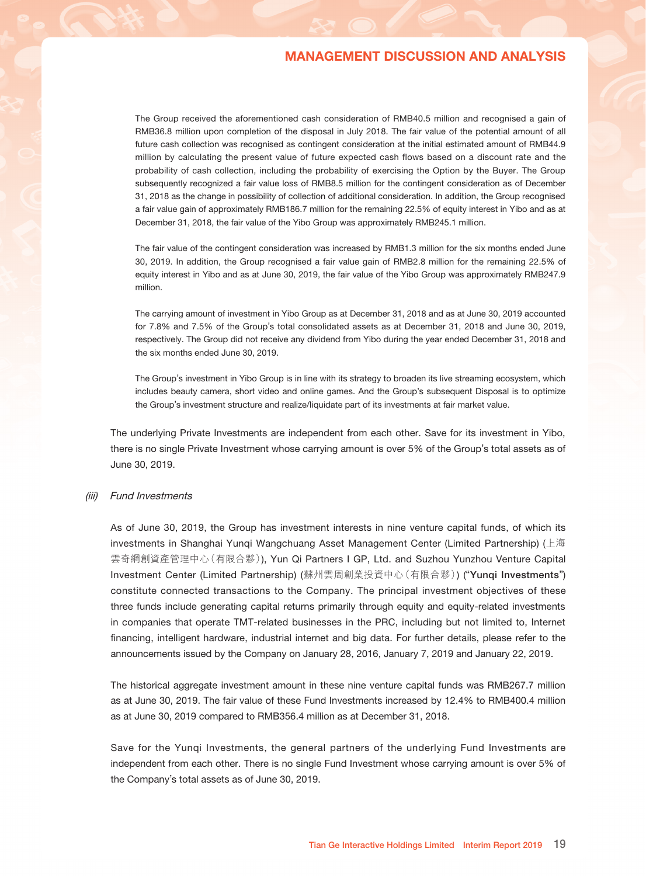### (ii) Private Investments

Below is a summary of financial performances of the Private Investments during the relevant periods:

|       |                            |                   |                    | Fair            | Fair             |            |
|-------|----------------------------|-------------------|--------------------|-----------------|------------------|------------|
|       |                            |                   |                    | value of        | value of         |            |
|       |                            |                   |                    | investments     | investments      |            |
|       |                            | <b>Historical</b> | Percentage         | as of           | as of            | Percentage |
|       |                            | transaction       | of equity          | <b>June 30,</b> | December 31,     | increase/  |
|       | <b>Investment Category</b> | amount            | interest           | 2019            | 2018             | (decrease) |
|       |                            | <i>(RMB'000)</i>  |                    | (RMB'000)       | <i>(RMB'000)</i> |            |
|       |                            |                   |                    |                 |                  |            |
| (i)   | 2 other entertainment      |                   |                    |                 |                  |            |
|       | and social live streaming  |                   |                    |                 |                  |            |
|       | companies <sup>(1)</sup>   | 100,300           | $1.82\% - 19.87\%$ | 100,000         | 100,300          | $-0.3%$    |
| (ii)  | 6 online/mobile gaming     |                   |                    |                 |                  |            |
|       | companies, including:      | 124,562           | $3.7966\% - 27\%$  | 351,984         | 313,932          | 12.1%      |
|       | - Jinhua Yibo Network      |                   |                    |                 |                  |            |
|       | Technology Co., Ltd.       |                   |                    |                 |                  |            |
|       | ("Yibo") <sup>(2)</sup>    | 18,750            | 22.5%              | 247,921         | 245,147          | 1.1%       |
| (iii) | 1 financial technology     |                   |                    |                 |                  |            |
|       | companies                  | 11,956            | 8%                 | 11,956          | 17,663           | $-32.3%$   |
| (iv)  | 4 corporate/IT services    |                   |                    |                 |                  |            |
|       | companies                  | 51,991            | $19\% - 20\%$      | 32,991          | 39,949           | $-17.4%$   |

#### Notes:

- (1) Including investment in Beijing Mijing Hefeng Technology Company Limited. Please refer to the Company's announcement on May 23, 2017.
- (2) In December 2016, the Group acquired 27% equity interests of Yibo and Yibo International (Macau) Co., Ltd. (collectively, the "Yibo Group"), an independent third party group engaged in operation of web-based and mobile casual games for a total consideration of RMB63.0 million. The investment is measured at fair value. In May 2018, the Group, the founder and the other shareholders of Yibo (collectively, the "Selling Shareholders") entered into an agreement to dispose 20% equity interest to a third party (the "Buyer"), including 4.5% equity interest in Yibo held by the Group (the "Disposal"). Upon completion of the Disposal in July 2018, the Group still held 22.5% equity interest in Yibo.

The Disposal was executed at a cash consideration of RMB40.5 million and an additional cash consideration of up to RMB253.6 million which may be received from 2019 to 2021. The additional consideration will be received i) in the event that certain pre-determined net profit of 2018, 2019 and 2020 is achieved by Yibo, or ii) in the event that the pre-determined net profit is not achieved, the Buyer exercise the option to ask the founder of Yibo to make the compensation to the Buyer (the "Option"). The settlement date of the additional consideration from 2019 to 2021 was no later than May 15, each year. Yibo did not achieve the 2018 net profit that was pre-determined in the original agreement. In May 2019, the Buyer and Selling Shareholders entered into an agreement to amend the settlement date of the additional consideration in 2019 from May 15, 2019 to December 15, 2019.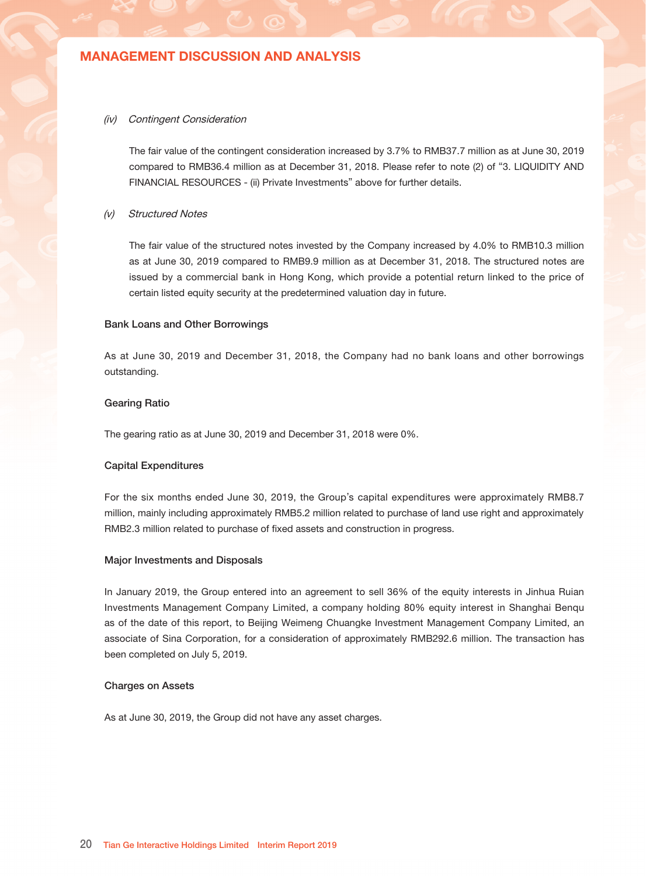The Group received the aforementioned cash consideration of RMB40.5 million and recognised a gain of RMB36.8 million upon completion of the disposal in July 2018. The fair value of the potential amount of all future cash collection was recognised as contingent consideration at the initial estimated amount of RMB44.9 million by calculating the present value of future expected cash flows based on a discount rate and the probability of cash collection, including the probability of exercising the Option by the Buyer. The Group subsequently recognized a fair value loss of RMB8.5 million for the contingent consideration as of December 31, 2018 as the change in possibility of collection of additional consideration. In addition, the Group recognised a fair value gain of approximately RMB186.7 million for the remaining 22.5% of equity interest in Yibo and as at December 31, 2018, the fair value of the Yibo Group was approximately RMB245.1 million.

The fair value of the contingent consideration was increased by RMB1.3 million for the six months ended June 30, 2019. In addition, the Group recognised a fair value gain of RMB2.8 million for the remaining 22.5% of equity interest in Yibo and as at June 30, 2019, the fair value of the Yibo Group was approximately RMB247.9 million.

The carrying amount of investment in Yibo Group as at December 31, 2018 and as at June 30, 2019 accounted for 7.8% and 7.5% of the Group's total consolidated assets as at December 31, 2018 and June 30, 2019, respectively. The Group did not receive any dividend from Yibo during the year ended December 31, 2018 and the six months ended June 30, 2019.

The Group's investment in Yibo Group is in line with its strategy to broaden its live streaming ecosystem, which includes beauty camera, short video and online games. And the Group's subsequent Disposal is to optimize the Group's investment structure and realize/liquidate part of its investments at fair market value.

The underlying Private Investments are independent from each other. Save for its investment in Yibo, there is no single Private Investment whose carrying amount is over 5% of the Group's total assets as of June 30, 2019.

#### (iii) Fund Investments

As of June 30, 2019, the Group has investment interests in nine venture capital funds, of which its investments in Shanghai Yunqi Wangchuang Asset Management Center (Limited Partnership) (上海 雲奇網創資產管理中心(有限合夥)), Yun Qi Partners I GP, Ltd. and Suzhou Yunzhou Venture Capital Investment Center (Limited Partnership) (蘇州雲周創業投資中心(有限合夥)) ("Yunqi Investments") constitute connected transactions to the Company. The principal investment objectives of these three funds include generating capital returns primarily through equity and equity-related investments in companies that operate TMT-related businesses in the PRC, including but not limited to, Internet financing, intelligent hardware, industrial internet and big data. For further details, please refer to the announcements issued by the Company on January 28, 2016, January 7, 2019 and January 22, 2019.

The historical aggregate investment amount in these nine venture capital funds was RMB267.7 million as at June 30, 2019. The fair value of these Fund Investments increased by 12.4% to RMB400.4 million as at June 30, 2019 compared to RMB356.4 million as at December 31, 2018.

Save for the Yunqi Investments, the general partners of the underlying Fund Investments are independent from each other. There is no single Fund Investment whose carrying amount is over 5% of the Company's total assets as of June 30, 2019.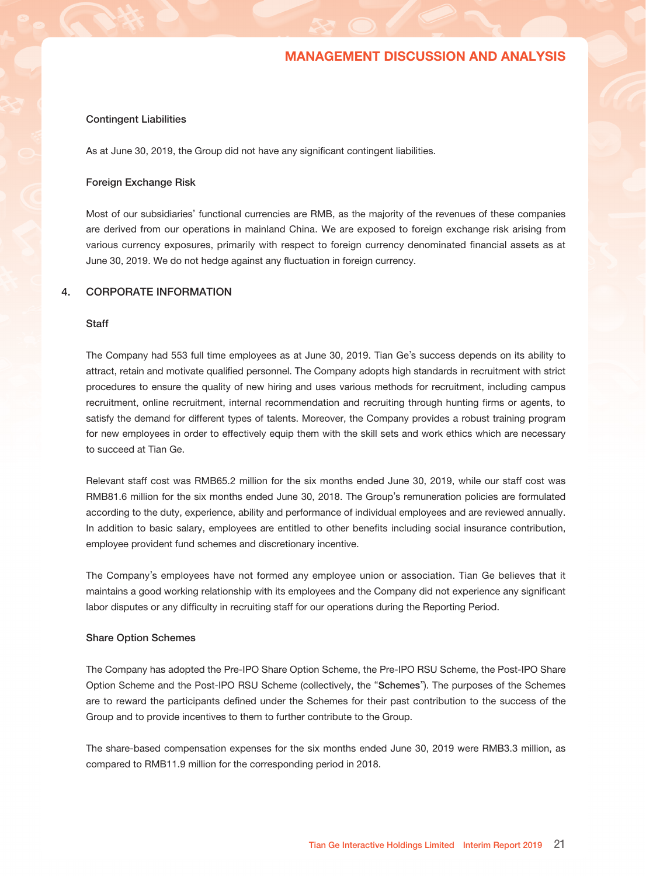#### (iv) Contingent Consideration

The fair value of the contingent consideration increased by 3.7% to RMB37.7 million as at June 30, 2019 compared to RMB36.4 million as at December 31, 2018. Please refer to note (2) of "3. LIQUIDITY AND FINANCIAL RESOURCES - (ii) Private Investments" above for further details.

#### (v) Structured Notes

The fair value of the structured notes invested by the Company increased by 4.0% to RMB10.3 million as at June 30, 2019 compared to RMB9.9 million as at December 31, 2018. The structured notes are issued by a commercial bank in Hong Kong, which provide a potential return linked to the price of certain listed equity security at the predetermined valuation day in future.

#### Bank Loans and Other Borrowings

As at June 30, 2019 and December 31, 2018, the Company had no bank loans and other borrowings outstanding.

#### Gearing Ratio

The gearing ratio as at June 30, 2019 and December 31, 2018 were 0%.

#### Capital Expenditures

For the six months ended June 30, 2019, the Group's capital expenditures were approximately RMB8.7 million, mainly including approximately RMB5.2 million related to purchase of land use right and approximately RMB2.3 million related to purchase of fixed assets and construction in progress.

#### Major Investments and Disposals

In January 2019, the Group entered into an agreement to sell 36% of the equity interests in Jinhua Ruian Investments Management Company Limited, a company holding 80% equity interest in Shanghai Benqu as of the date of this report, to Beijing Weimeng Chuangke Investment Management Company Limited, an associate of Sina Corporation, for a consideration of approximately RMB292.6 million. The transaction has been completed on July 5, 2019.

#### Charges on Assets

As at June 30, 2019, the Group did not have any asset charges.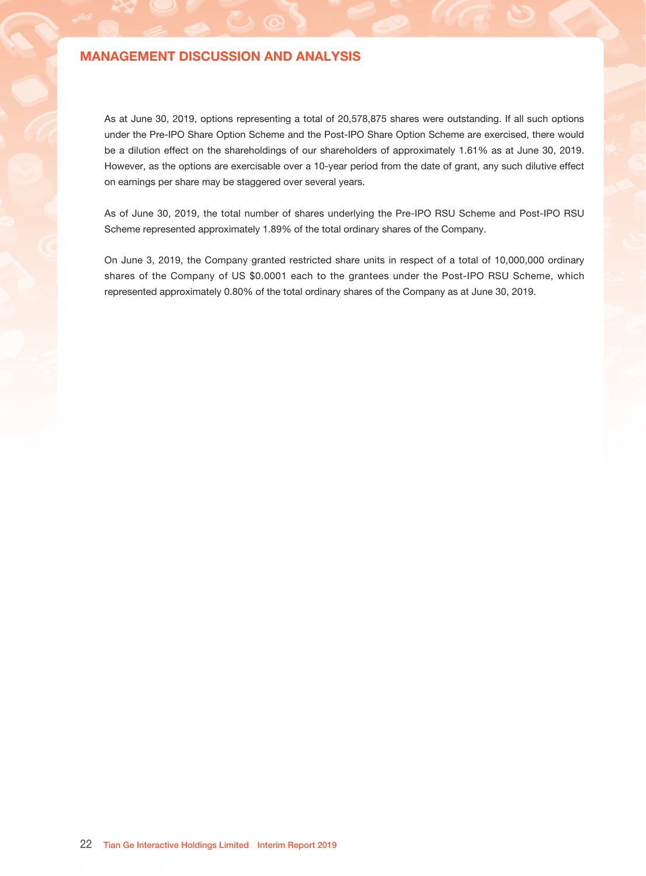#### Contingent Liabilities

As at June 30, 2019, the Group did not have any significant contingent liabilities.

#### Foreign Exchange Risk

Most of our subsidiaries' functional currencies are RMB, as the majority of the revenues of these companies are derived from our operations in mainland China. We are exposed to foreign exchange risk arising from various currency exposures, primarily with respect to foreign currency denominated financial assets as at June 30, 2019. We do not hedge against any fluctuation in foreign currency.

### 4. CORPORATE INFORMATION

#### **Staff**

The Company had 553 full time employees as at June 30, 2019. Tian Ge's success depends on its ability to attract, retain and motivate qualified personnel. The Company adopts high standards in recruitment with strict procedures to ensure the quality of new hiring and uses various methods for recruitment, including campus recruitment, online recruitment, internal recommendation and recruiting through hunting firms or agents, to satisfy the demand for different types of talents. Moreover, the Company provides a robust training program for new employees in order to effectively equip them with the skill sets and work ethics which are necessary to succeed at Tian Ge.

Relevant staff cost was RMB65.2 million for the six months ended June 30, 2019, while our staff cost was RMB81.6 million for the six months ended June 30, 2018. The Group's remuneration policies are formulated according to the duty, experience, ability and performance of individual employees and are reviewed annually. In addition to basic salary, employees are entitled to other benefits including social insurance contribution, employee provident fund schemes and discretionary incentive.

The Company's employees have not formed any employee union or association. Tian Ge believes that it maintains a good working relationship with its employees and the Company did not experience any significant labor disputes or any difficulty in recruiting staff for our operations during the Reporting Period.

### Share Option Schemes

The Company has adopted the Pre-IPO Share Option Scheme, the Pre-IPO RSU Scheme, the Post-IPO Share Option Scheme and the Post-IPO RSU Scheme (collectively, the "Schemes"). The purposes of the Schemes are to reward the participants defined under the Schemes for their past contribution to the success of the Group and to provide incentives to them to further contribute to the Group.

The share-based compensation expenses for the six months ended June 30, 2019 were RMB3.3 million, as compared to RMB11.9 million for the corresponding period in 2018.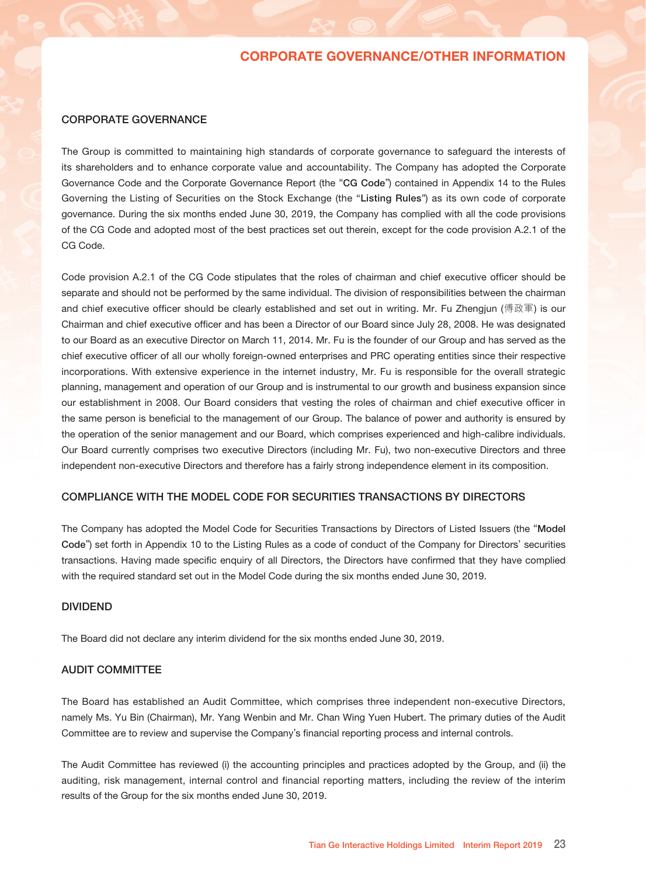As at June 30, 2019, options representing a total of 20,578,875 shares were outstanding. If all such options under the Pre-IPO Share Option Scheme and the Post-IPO Share Option Scheme are exercised, there would be a dilution effect on the shareholdings of our shareholders of approximately 1.61% as at June 30, 2019. However, as the options are exercisable over a 10-year period from the date of grant, any such dilutive effect on earnings per share may be staggered over several years.

As of June 30, 2019, the total number of shares underlying the Pre-IPO RSU Scheme and Post-IPO RSU Scheme represented approximately 1.89% of the total ordinary shares of the Company.

On June 3, 2019, the Company granted restricted share units in respect of a total of 10,000,000 ordinary shares of the Company of US \$0.0001 each to the grantees under the Post-IPO RSU Scheme, which represented approximately 0.80% of the total ordinary shares of the Company as at June 30, 2019.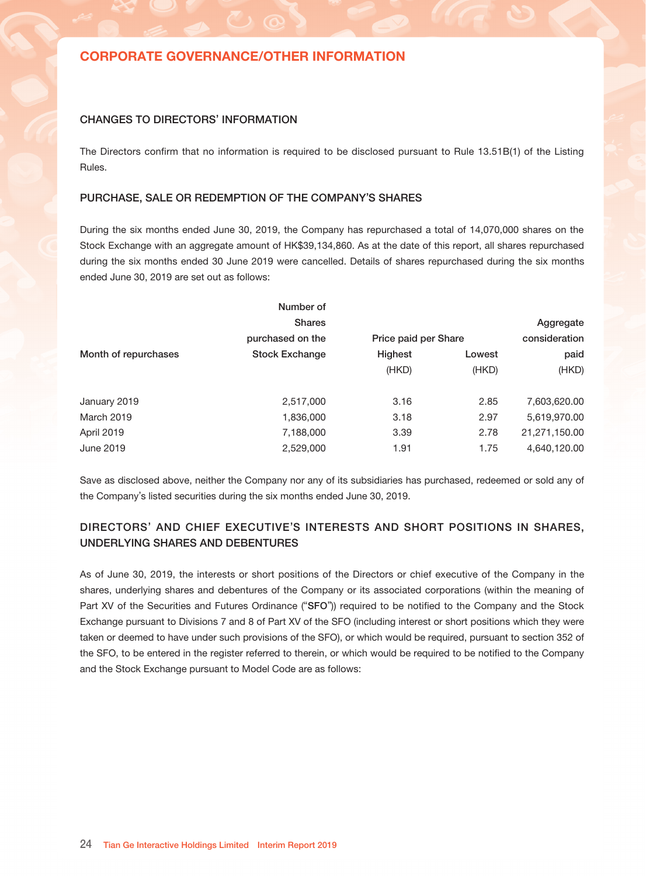### CORPORATE GOVERNANCE

The Group is committed to maintaining high standards of corporate governance to safeguard the interests of its shareholders and to enhance corporate value and accountability. The Company has adopted the Corporate Governance Code and the Corporate Governance Report (the "CG Code") contained in Appendix 14 to the Rules Governing the Listing of Securities on the Stock Exchange (the "Listing Rules") as its own code of corporate governance. During the six months ended June 30, 2019, the Company has complied with all the code provisions of the CG Code and adopted most of the best practices set out therein, except for the code provision A.2.1 of the CG Code.

Code provision A.2.1 of the CG Code stipulates that the roles of chairman and chief executive officer should be separate and should not be performed by the same individual. The division of responsibilities between the chairman and chief executive officer should be clearly established and set out in writing. Mr. Fu Zhengjun (傅政軍) is our Chairman and chief executive officer and has been a Director of our Board since July 28, 2008. He was designated to our Board as an executive Director on March 11, 2014. Mr. Fu is the founder of our Group and has served as the chief executive officer of all our wholly foreign-owned enterprises and PRC operating entities since their respective incorporations. With extensive experience in the internet industry, Mr. Fu is responsible for the overall strategic planning, management and operation of our Group and is instrumental to our growth and business expansion since our establishment in 2008. Our Board considers that vesting the roles of chairman and chief executive officer in the same person is beneficial to the management of our Group. The balance of power and authority is ensured by the operation of the senior management and our Board, which comprises experienced and high-calibre individuals. Our Board currently comprises two executive Directors (including Mr. Fu), two non-executive Directors and three independent non-executive Directors and therefore has a fairly strong independence element in its composition.

### COMPLIANCE WITH THE MODEL CODE FOR SECURITIES TRANSACTIONS BY DIRECTORS

The Company has adopted the Model Code for Securities Transactions by Directors of Listed Issuers (the "Model Code") set forth in Appendix 10 to the Listing Rules as a code of conduct of the Company for Directors' securities transactions. Having made specific enquiry of all Directors, the Directors have confirmed that they have complied with the required standard set out in the Model Code during the six months ended June 30, 2019.

#### DIVIDEND

The Board did not declare any interim dividend for the six months ended June 30, 2019.

### AUDIT COMMITTEE

The Board has established an Audit Committee, which comprises three independent non-executive Directors, namely Ms. Yu Bin (Chairman), Mr. Yang Wenbin and Mr. Chan Wing Yuen Hubert. The primary duties of the Audit Committee are to review and supervise the Company's financial reporting process and internal controls.

The Audit Committee has reviewed (i) the accounting principles and practices adopted by the Group, and (ii) the auditing, risk management, internal control and financial reporting matters, including the review of the interim results of the Group for the six months ended June 30, 2019.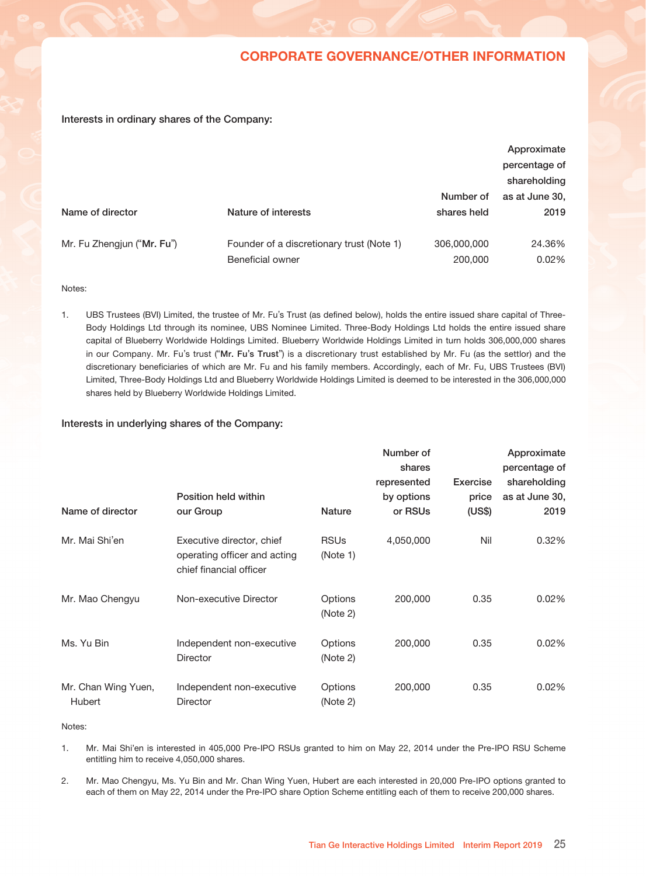### CHANGES TO DIRECTORS' INFORMATION

The Directors confirm that no information is required to be disclosed pursuant to Rule 13.51B(1) of the Listing Rules.

### PURCHASE, SALE OR REDEMPTION OF THE COMPANY'S SHARES

During the six months ended June 30, 2019, the Company has repurchased a total of 14,070,000 shares on the Stock Exchange with an aggregate amount of HK\$39,134,860. As at the date of this report, all shares repurchased during the six months ended 30 June 2019 were cancelled. Details of shares repurchased during the six months ended June 30, 2019 are set out as follows:

| Number of             |         |        |                      |
|-----------------------|---------|--------|----------------------|
| <b>Shares</b>         |         |        | Aggregate            |
| purchased on the      |         |        | consideration        |
| <b>Stock Exchange</b> | Highest | Lowest | paid                 |
|                       | (HKD)   | (HKD)  | (HKD)                |
| 2,517,000             | 3.16    | 2.85   | 7,603,620.00         |
| 1,836,000             | 3.18    | 2.97   | 5,619,970.00         |
| 7,188,000             | 3.39    | 2.78   | 21,271,150.00        |
| 2,529,000             | 1.91    | 1.75   | 4,640,120.00         |
|                       |         |        | Price paid per Share |

Save as disclosed above, neither the Company nor any of its subsidiaries has purchased, redeemed or sold any of the Company's listed securities during the six months ended June 30, 2019.

## DIRECTORS' AND CHIEF EXECUTIVE'S INTERESTS AND SHORT POSITIONS IN SHARES, UNDERLYING SHARES AND DEBENTURES

As of June 30, 2019, the interests or short positions of the Directors or chief executive of the Company in the shares, underlying shares and debentures of the Company or its associated corporations (within the meaning of Part XV of the Securities and Futures Ordinance ("SFO")) required to be notified to the Company and the Stock Exchange pursuant to Divisions 7 and 8 of Part XV of the SFO (including interest or short positions which they were taken or deemed to have under such provisions of the SFO), or which would be required, pursuant to section 352 of the SFO, to be entered in the register referred to therein, or which would be required to be notified to the Company and the Stock Exchange pursuant to Model Code are as follows: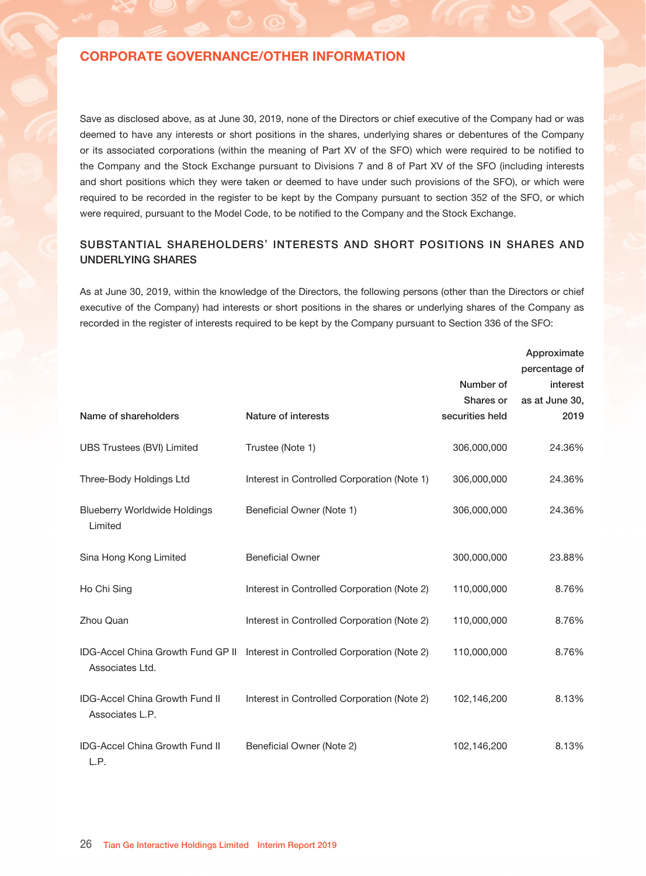#### Interests in ordinary shares of the Company:

|                            |                                                               |                          | Approximate<br>percentage of<br>shareholding |
|----------------------------|---------------------------------------------------------------|--------------------------|----------------------------------------------|
| Name of director           | Nature of interests                                           | Number of<br>shares held | as at June 30,<br>2019                       |
| Mr. Fu Zhengjun ("Mr. Fu") | Founder of a discretionary trust (Note 1)<br>Beneficial owner | 306,000,000<br>200,000   | 24.36%<br>0.02%                              |

#### Notes:

1. UBS Trustees (BVI) Limited, the trustee of Mr. Fu's Trust (as defined below), holds the entire issued share capital of Three-Body Holdings Ltd through its nominee, UBS Nominee Limited. Three-Body Holdings Ltd holds the entire issued share capital of Blueberry Worldwide Holdings Limited. Blueberry Worldwide Holdings Limited in turn holds 306,000,000 shares in our Company. Mr. Fu's trust ("Mr. Fu's Trust") is a discretionary trust established by Mr. Fu (as the settlor) and the discretionary beneficiaries of which are Mr. Fu and his family members. Accordingly, each of Mr. Fu, UBS Trustees (BVI) Limited, Three-Body Holdings Ltd and Blueberry Worldwide Holdings Limited is deemed to be interested in the 306,000,000 shares held by Blueberry Worldwide Holdings Limited.

### Interests in underlying shares of the Company:

| Name of director                     | Position held within<br>our Group                                                    | <b>Nature</b>           | Number of<br>shares<br>represented<br>by options<br>or RSUs | <b>Exercise</b><br>price<br>(US\$) | Approximate<br>percentage of<br>shareholding<br>as at June 30,<br>2019 |
|--------------------------------------|--------------------------------------------------------------------------------------|-------------------------|-------------------------------------------------------------|------------------------------------|------------------------------------------------------------------------|
| Mr. Mai Shi'en                       | Executive director, chief<br>operating officer and acting<br>chief financial officer | <b>RSUs</b><br>(Note 1) | 4,050,000                                                   | Nil                                | 0.32%                                                                  |
| Mr. Mao Chengyu                      | Non-executive Director                                                               | Options<br>(Note 2)     | 200,000                                                     | 0.35                               | 0.02%                                                                  |
| Ms. Yu Bin                           | Independent non-executive<br><b>Director</b>                                         | Options<br>(Note 2)     | 200,000                                                     | 0.35                               | 0.02%                                                                  |
| Mr. Chan Wing Yuen,<br><b>Hubert</b> | Independent non-executive<br><b>Director</b>                                         | Options<br>(Note 2)     | 200,000                                                     | 0.35                               | 0.02%                                                                  |

Notes:

1. Mr. Mai Shi'en is interested in 405,000 Pre-IPO RSUs granted to him on May 22, 2014 under the Pre-IPO RSU Scheme entitling him to receive 4,050,000 shares.

2. Mr. Mao Chengyu, Ms. Yu Bin and Mr. Chan Wing Yuen, Hubert are each interested in 20,000 Pre-IPO options granted to each of them on May 22, 2014 under the Pre-IPO share Option Scheme entitling each of them to receive 200,000 shares.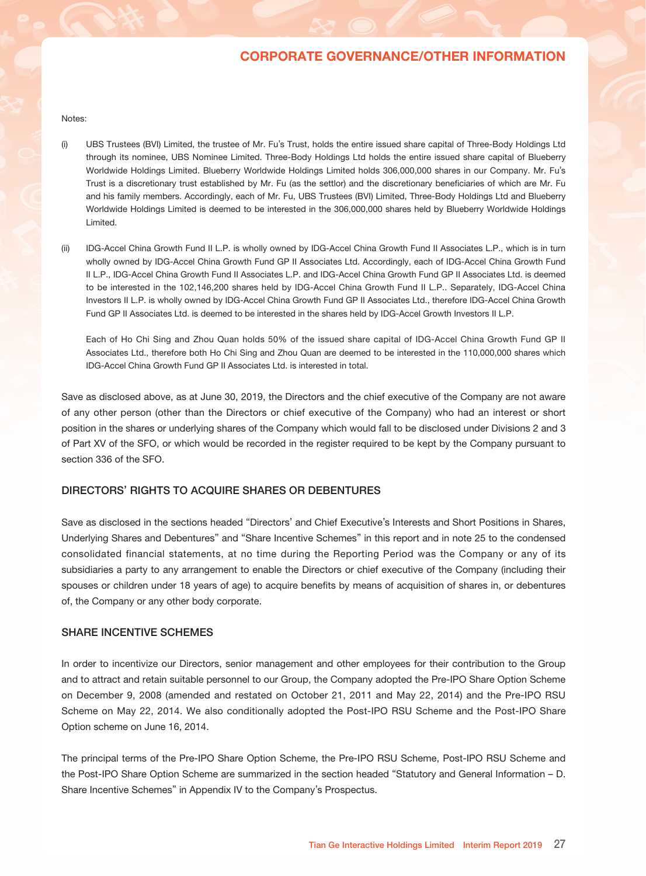Save as disclosed above, as at June 30, 2019, none of the Directors or chief executive of the Company had or was deemed to have any interests or short positions in the shares, underlying shares or debentures of the Company or its associated corporations (within the meaning of Part XV of the SFO) which were required to be notified to the Company and the Stock Exchange pursuant to Divisions 7 and 8 of Part XV of the SFO (including interests and short positions which they were taken or deemed to have under such provisions of the SFO), or which were required to be recorded in the register to be kept by the Company pursuant to section 352 of the SFO, or which were required, pursuant to the Model Code, to be notified to the Company and the Stock Exchange.

## SUBSTANTIAL SHAREHOLDERS' INTERESTS AND SHORT POSITIONS IN SHARES AND UNDERLYING SHARES

As at June 30, 2019, within the knowledge of the Directors, the following persons (other than the Directors or chief executive of the Company) had interests or short positions in the shares or underlying shares of the Company as recorded in the register of interests required to be kept by the Company pursuant to Section 336 of the SFO:

|                                                          |                                                                               |                 | Approximate    |
|----------------------------------------------------------|-------------------------------------------------------------------------------|-----------------|----------------|
|                                                          |                                                                               |                 | percentage of  |
|                                                          |                                                                               | Number of       | interest       |
|                                                          |                                                                               | Shares or       | as at June 30, |
| Name of shareholders                                     | Nature of interests                                                           | securities held | 2019           |
| UBS Trustees (BVI) Limited                               | Trustee (Note 1)                                                              | 306,000,000     | 24.36%         |
| Three-Body Holdings Ltd                                  | Interest in Controlled Corporation (Note 1)                                   | 306,000,000     | 24.36%         |
| <b>Blueberry Worldwide Holdings</b><br>Limited           | Beneficial Owner (Note 1)                                                     | 306,000,000     | 24.36%         |
| Sina Hong Kong Limited                                   | <b>Beneficial Owner</b>                                                       | 300,000,000     | 23.88%         |
| Ho Chi Sing                                              | Interest in Controlled Corporation (Note 2)                                   | 110,000,000     | 8.76%          |
| Zhou Quan                                                | Interest in Controlled Corporation (Note 2)                                   | 110,000,000     | 8.76%          |
| Associates Ltd.                                          | IDG-Accel China Growth Fund GP II Interest in Controlled Corporation (Note 2) | 110,000,000     | 8.76%          |
| <b>IDG-Accel China Growth Fund II</b><br>Associates L.P. | Interest in Controlled Corporation (Note 2)                                   | 102,146,200     | 8.13%          |
| IDG-Accel China Growth Fund II<br>L.P.                   | Beneficial Owner (Note 2)                                                     | 102,146,200     | 8.13%          |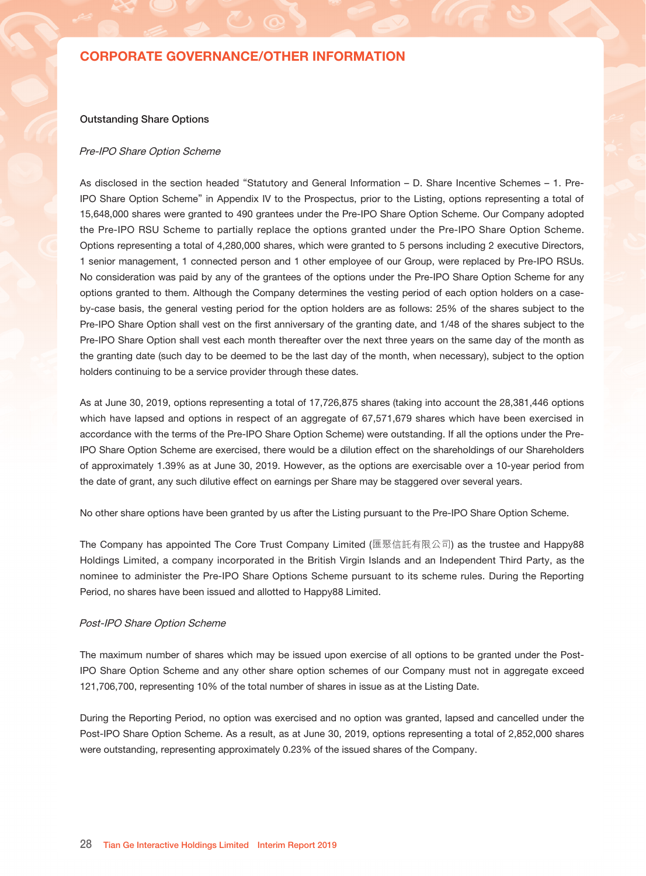#### Notes:

- (i) UBS Trustees (BVI) Limited, the trustee of Mr. Fu's Trust, holds the entire issued share capital of Three-Body Holdings Ltd through its nominee, UBS Nominee Limited. Three-Body Holdings Ltd holds the entire issued share capital of Blueberry Worldwide Holdings Limited. Blueberry Worldwide Holdings Limited holds 306,000,000 shares in our Company. Mr. Fu's Trust is a discretionary trust established by Mr. Fu (as the settlor) and the discretionary beneficiaries of which are Mr. Fu and his family members. Accordingly, each of Mr. Fu, UBS Trustees (BVI) Limited, Three-Body Holdings Ltd and Blueberry Worldwide Holdings Limited is deemed to be interested in the 306,000,000 shares held by Blueberry Worldwide Holdings Limited.
- (ii) IDG-Accel China Growth Fund II L.P. is wholly owned by IDG-Accel China Growth Fund II Associates L.P., which is in turn wholly owned by IDG-Accel China Growth Fund GP II Associates Ltd. Accordingly, each of IDG-Accel China Growth Fund II L.P., IDG-Accel China Growth Fund II Associates L.P. and IDG-Accel China Growth Fund GP II Associates Ltd. is deemed to be interested in the 102,146,200 shares held by IDG-Accel China Growth Fund II L.P.. Separately, IDG-Accel China Investors II L.P. is wholly owned by IDG-Accel China Growth Fund GP II Associates Ltd., therefore IDG-Accel China Growth Fund GP II Associates Ltd. is deemed to be interested in the shares held by IDG-Accel Growth Investors II L.P.

Each of Ho Chi Sing and Zhou Quan holds 50% of the issued share capital of IDG-Accel China Growth Fund GP II Associates Ltd., therefore both Ho Chi Sing and Zhou Quan are deemed to be interested in the 110,000,000 shares which IDG-Accel China Growth Fund GP II Associates Ltd. is interested in total.

Save as disclosed above, as at June 30, 2019, the Directors and the chief executive of the Company are not aware of any other person (other than the Directors or chief executive of the Company) who had an interest or short position in the shares or underlying shares of the Company which would fall to be disclosed under Divisions 2 and 3 of Part XV of the SFO, or which would be recorded in the register required to be kept by the Company pursuant to section 336 of the SFO.

### DIRECTORS' RIGHTS TO ACQUIRE SHARES OR DEBENTURES

Save as disclosed in the sections headed "Directors' and Chief Executive's Interests and Short Positions in Shares, Underlying Shares and Debentures" and "Share Incentive Schemes" in this report and in note 25 to the condensed consolidated financial statements, at no time during the Reporting Period was the Company or any of its subsidiaries a party to any arrangement to enable the Directors or chief executive of the Company (including their spouses or children under 18 years of age) to acquire benefits by means of acquisition of shares in, or debentures of, the Company or any other body corporate.

### SHARE INCENTIVE SCHEMES

In order to incentivize our Directors, senior management and other employees for their contribution to the Group and to attract and retain suitable personnel to our Group, the Company adopted the Pre-IPO Share Option Scheme on December 9, 2008 (amended and restated on October 21, 2011 and May 22, 2014) and the Pre-IPO RSU Scheme on May 22, 2014. We also conditionally adopted the Post-IPO RSU Scheme and the Post-IPO Share Option scheme on June 16, 2014.

The principal terms of the Pre-IPO Share Option Scheme, the Pre-IPO RSU Scheme, Post-IPO RSU Scheme and the Post-IPO Share Option Scheme are summarized in the section headed "Statutory and General Information – D. Share Incentive Schemes" in Appendix IV to the Company's Prospectus.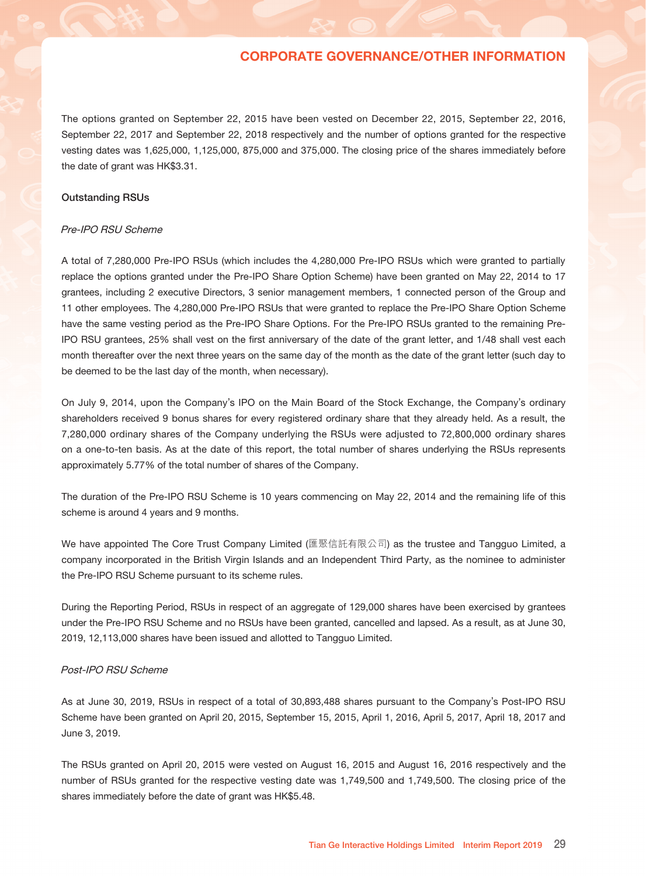### Outstanding Share Options

#### Pre-IPO Share Option Scheme

As disclosed in the section headed "Statutory and General Information – D. Share Incentive Schemes – 1. Pre-IPO Share Option Scheme" in Appendix IV to the Prospectus, prior to the Listing, options representing a total of 15,648,000 shares were granted to 490 grantees under the Pre-IPO Share Option Scheme. Our Company adopted the Pre-IPO RSU Scheme to partially replace the options granted under the Pre-IPO Share Option Scheme. Options representing a total of 4,280,000 shares, which were granted to 5 persons including 2 executive Directors, 1 senior management, 1 connected person and 1 other employee of our Group, were replaced by Pre-IPO RSUs. No consideration was paid by any of the grantees of the options under the Pre-IPO Share Option Scheme for any options granted to them. Although the Company determines the vesting period of each option holders on a caseby-case basis, the general vesting period for the option holders are as follows: 25% of the shares subject to the Pre-IPO Share Option shall vest on the first anniversary of the granting date, and 1/48 of the shares subject to the Pre-IPO Share Option shall vest each month thereafter over the next three years on the same day of the month as the granting date (such day to be deemed to be the last day of the month, when necessary), subject to the option holders continuing to be a service provider through these dates.

As at June 30, 2019, options representing a total of 17,726,875 shares (taking into account the 28,381,446 options which have lapsed and options in respect of an aggregate of 67,571,679 shares which have been exercised in accordance with the terms of the Pre-IPO Share Option Scheme) were outstanding. If all the options under the Pre-IPO Share Option Scheme are exercised, there would be a dilution effect on the shareholdings of our Shareholders of approximately 1.39% as at June 30, 2019. However, as the options are exercisable over a 10-year period from the date of grant, any such dilutive effect on earnings per Share may be staggered over several years.

No other share options have been granted by us after the Listing pursuant to the Pre-IPO Share Option Scheme.

The Company has appointed The Core Trust Company Limited (匯聚信託有限公司) as the trustee and Happy88 Holdings Limited, a company incorporated in the British Virgin Islands and an Independent Third Party, as the nominee to administer the Pre-IPO Share Options Scheme pursuant to its scheme rules. During the Reporting Period, no shares have been issued and allotted to Happy88 Limited.

#### Post-IPO Share Option Scheme

The maximum number of shares which may be issued upon exercise of all options to be granted under the Post-IPO Share Option Scheme and any other share option schemes of our Company must not in aggregate exceed 121,706,700, representing 10% of the total number of shares in issue as at the Listing Date.

During the Reporting Period, no option was exercised and no option was granted, lapsed and cancelled under the Post-IPO Share Option Scheme. As a result, as at June 30, 2019, options representing a total of 2,852,000 shares were outstanding, representing approximately 0.23% of the issued shares of the Company.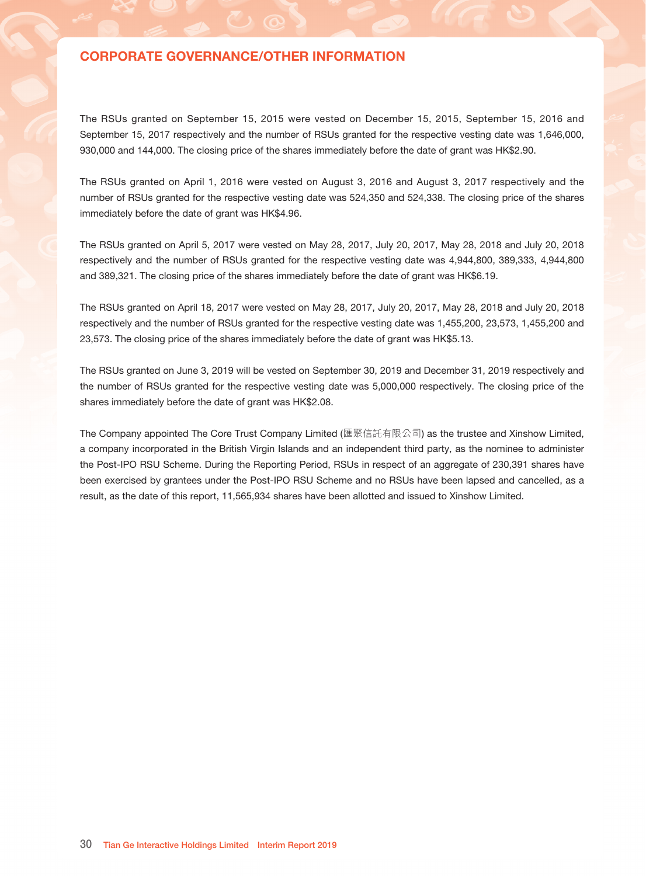The options granted on September 22, 2015 have been vested on December 22, 2015, September 22, 2016, September 22, 2017 and September 22, 2018 respectively and the number of options granted for the respective vesting dates was 1,625,000, 1,125,000, 875,000 and 375,000. The closing price of the shares immediately before the date of grant was HK\$3.31.

### Outstanding RSUs

#### Pre-IPO RSU Scheme

A total of 7,280,000 Pre-IPO RSUs (which includes the 4,280,000 Pre-IPO RSUs which were granted to partially replace the options granted under the Pre-IPO Share Option Scheme) have been granted on May 22, 2014 to 17 grantees, including 2 executive Directors, 3 senior management members, 1 connected person of the Group and 11 other employees. The 4,280,000 Pre-IPO RSUs that were granted to replace the Pre-IPO Share Option Scheme have the same vesting period as the Pre-IPO Share Options. For the Pre-IPO RSUs granted to the remaining Pre-IPO RSU grantees, 25% shall vest on the first anniversary of the date of the grant letter, and 1/48 shall vest each month thereafter over the next three years on the same day of the month as the date of the grant letter (such day to be deemed to be the last day of the month, when necessary).

On July 9, 2014, upon the Company's IPO on the Main Board of the Stock Exchange, the Company's ordinary shareholders received 9 bonus shares for every registered ordinary share that they already held. As a result, the 7,280,000 ordinary shares of the Company underlying the RSUs were adjusted to 72,800,000 ordinary shares on a one-to-ten basis. As at the date of this report, the total number of shares underlying the RSUs represents approximately 5.77% of the total number of shares of the Company.

The duration of the Pre-IPO RSU Scheme is 10 years commencing on May 22, 2014 and the remaining life of this scheme is around 4 years and 9 months.

We have appointed The Core Trust Company Limited (匯聚信託有限公司) as the trustee and Tangguo Limited, a company incorporated in the British Virgin Islands and an Independent Third Party, as the nominee to administer the Pre-IPO RSU Scheme pursuant to its scheme rules.

During the Reporting Period, RSUs in respect of an aggregate of 129,000 shares have been exercised by grantees under the Pre-IPO RSU Scheme and no RSUs have been granted, cancelled and lapsed. As a result, as at June 30, 2019, 12,113,000 shares have been issued and allotted to Tangguo Limited.

### Post-IPO RSU Scheme

As at June 30, 2019, RSUs in respect of a total of 30,893,488 shares pursuant to the Company's Post-IPO RSU Scheme have been granted on April 20, 2015, September 15, 2015, April 1, 2016, April 5, 2017, April 18, 2017 and June 3, 2019.

The RSUs granted on April 20, 2015 were vested on August 16, 2015 and August 16, 2016 respectively and the number of RSUs granted for the respective vesting date was 1,749,500 and 1,749,500. The closing price of the shares immediately before the date of grant was HK\$5.48.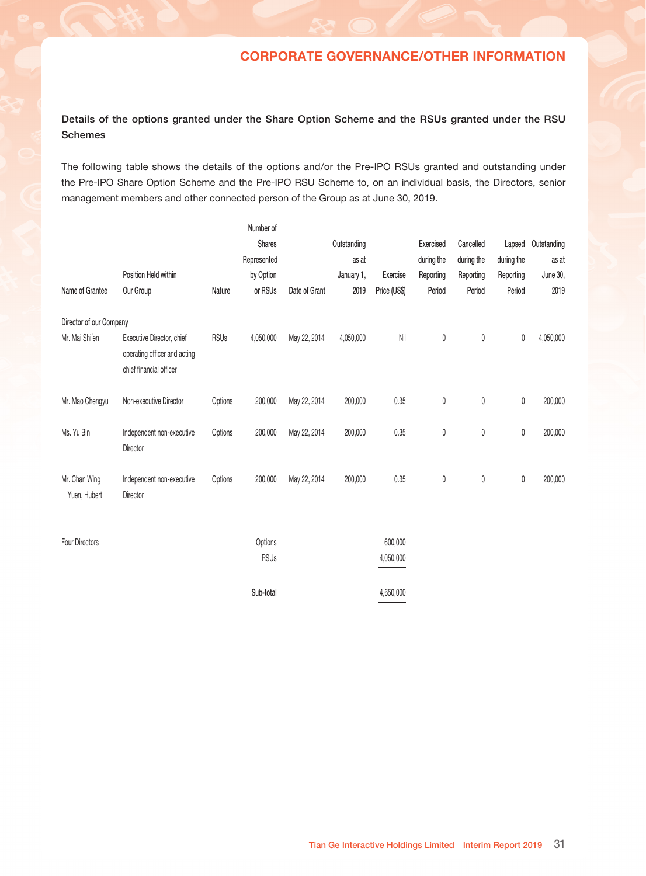The RSUs granted on September 15, 2015 were vested on December 15, 2015, September 15, 2016 and September 15, 2017 respectively and the number of RSUs granted for the respective vesting date was 1,646,000, 930,000 and 144,000. The closing price of the shares immediately before the date of grant was HK\$2.90.

The RSUs granted on April 1, 2016 were vested on August 3, 2016 and August 3, 2017 respectively and the number of RSUs granted for the respective vesting date was 524,350 and 524,338. The closing price of the shares immediately before the date of grant was HK\$4.96.

The RSUs granted on April 5, 2017 were vested on May 28, 2017, July 20, 2017, May 28, 2018 and July 20, 2018 respectively and the number of RSUs granted for the respective vesting date was 4,944,800, 389,333, 4,944,800 and 389,321. The closing price of the shares immediately before the date of grant was HK\$6.19.

The RSUs granted on April 18, 2017 were vested on May 28, 2017, July 20, 2017, May 28, 2018 and July 20, 2018 respectively and the number of RSUs granted for the respective vesting date was 1,455,200, 23,573, 1,455,200 and 23,573. The closing price of the shares immediately before the date of grant was HK\$5.13.

The RSUs granted on June 3, 2019 will be vested on September 30, 2019 and December 31, 2019 respectively and the number of RSUs granted for the respective vesting date was 5,000,000 respectively. The closing price of the shares immediately before the date of grant was HK\$2.08.

The Company appointed The Core Trust Company Limited (匯聚信託有限公司) as the trustee and Xinshow Limited, a company incorporated in the British Virgin Islands and an independent third party, as the nominee to administer the Post-IPO RSU Scheme. During the Reporting Period, RSUs in respect of an aggregate of 230,391 shares have been exercised by grantees under the Post-IPO RSU Scheme and no RSUs have been lapsed and cancelled, as a result, as the date of this report, 11,565,934 shares have been allotted and issued to Xinshow Limited.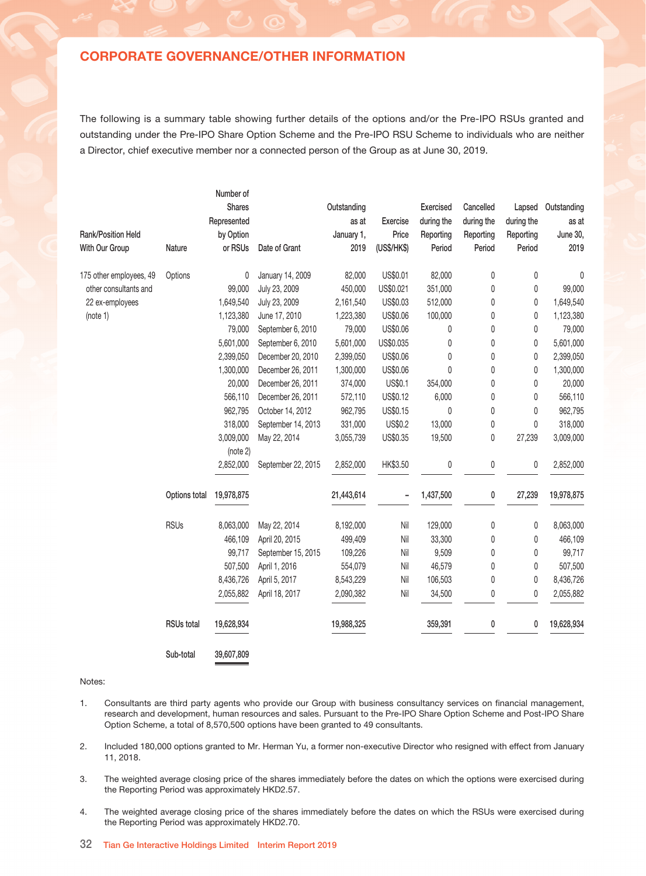## Details of the options granted under the Share Option Scheme and the RSUs granted under the RSU Schemes

The following table shows the details of the options and/or the Pre-IPO RSUs granted and outstanding under the Pre-IPO Share Option Scheme and the Pre-IPO RSU Scheme to, on an individual basis, the Directors, senior management members and other connected person of the Group as at June 30, 2019.

|                               |                                                                                      |             | Number of              |               |             |                      |            |            |              |             |
|-------------------------------|--------------------------------------------------------------------------------------|-------------|------------------------|---------------|-------------|----------------------|------------|------------|--------------|-------------|
|                               |                                                                                      |             | Shares                 |               | Outstanding |                      | Exercised  | Cancelled  | Lapsed       | Outstanding |
|                               |                                                                                      |             | Represented            |               | as at       |                      | during the | during the | during the   | as at       |
|                               | Position Held within                                                                 |             | by Option              |               | January 1,  | Exercise             | Reporting  | Reporting  | Reporting    | June 30,    |
| Name of Grantee               | Our Group                                                                            | Nature      | or RSUs                | Date of Grant | 2019        | Price (US\$)         | Period     | Period     | Period       | 2019        |
| Director of our Company       |                                                                                      |             |                        |               |             |                      |            |            |              |             |
| Mr. Mai Shi'en                | Executive Director, chief<br>operating officer and acting<br>chief financial officer | <b>RSUs</b> | 4,050,000              | May 22, 2014  | 4,050,000   | $\mathsf{Nil}$       | 0          | $\pmb{0}$  | 0            | 4,050,000   |
| Mr. Mao Chengyu               | Non-executive Director                                                               | Options     | 200,000                | May 22, 2014  | 200,000     | 0.35                 | 0          | $\pmb{0}$  | $\mathbb{0}$ | 200,000     |
| Ms. Yu Bin                    | Independent non-executive<br>Director                                                | Options     | 200,000                | May 22, 2014  | 200,000     | 0.35                 | 0          | $\pmb{0}$  | 0            | 200,000     |
| Mr. Chan Wing<br>Yuen, Hubert | Independent non-executive<br>Director                                                | Options     | 200,000                | May 22, 2014  | 200,000     | 0.35                 | 0          | $\pmb{0}$  | $\mathbb{0}$ | 200,000     |
| Four Directors                |                                                                                      |             | Options<br><b>RSUs</b> |               |             | 600,000<br>4,050,000 |            |            |              |             |
|                               |                                                                                      |             | Sub-total              |               |             | 4.650.000            |            |            |              |             |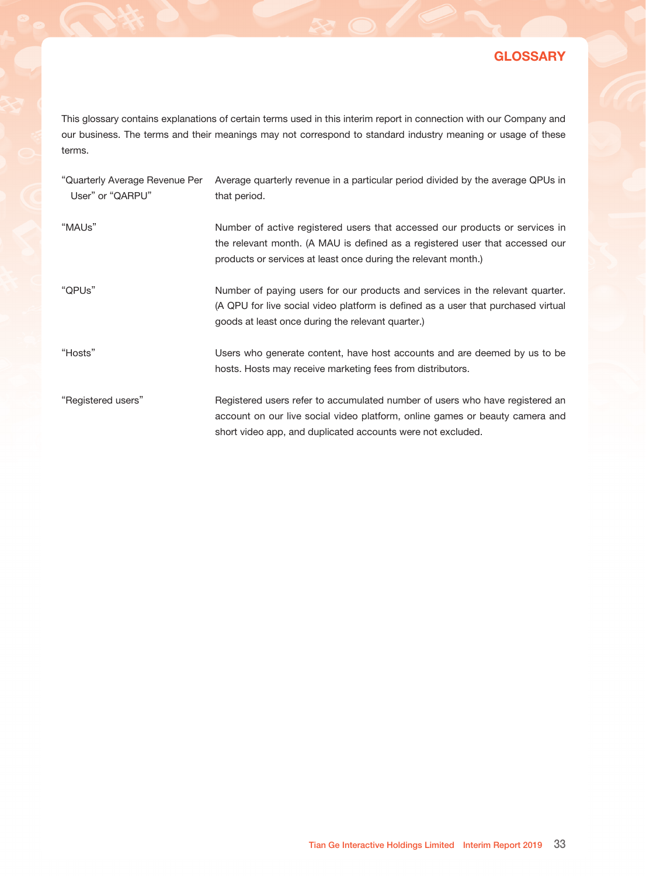The following is a summary table showing further details of the options and/or the Pre-IPO RSUs granted and outstanding under the Pre-IPO Share Option Scheme and the Pre-IPO RSU Scheme to individuals who are neither a Director, chief executive member nor a connected person of the Group as at June 30, 2019.

| Rank/Position Held<br>With Our Group | Nature            | Number of<br><b>Shares</b><br>Represented<br>by Option<br>or RSUs | Date of Grant      | Outstanding<br>as at<br>January 1,<br>2019 | Exercise<br>Price<br>(US\$/HK\$) | <b>Exercised</b><br>during the<br>Reporting<br>Period | Cancelled<br>during the<br>Reporting<br>Period | Lapsed<br>during the<br>Reporting<br>Period | Outstanding<br>as at<br>June 30,<br>2019 |
|--------------------------------------|-------------------|-------------------------------------------------------------------|--------------------|--------------------------------------------|----------------------------------|-------------------------------------------------------|------------------------------------------------|---------------------------------------------|------------------------------------------|
| 175 other employees, 49              | Options           | 0                                                                 | January 14, 2009   | 82,000                                     | US\$0.01                         | 82,000                                                | 0                                              | 0                                           | 0                                        |
| other consultants and                |                   | 99,000                                                            | July 23, 2009      | 450,000                                    | US\$0.021                        | 351,000                                               | 0                                              | 0                                           | 99,000                                   |
| 22 ex-employees                      |                   | 1,649,540                                                         | July 23, 2009      | 2,161,540                                  | US\$0.03                         | 512,000                                               | 0                                              | 0                                           | 1,649,540                                |
| (note 1)                             |                   | 1,123,380                                                         | June 17, 2010      | 1,223,380                                  | US\$0.06                         | 100,000                                               | 0                                              | 0                                           | 1,123,380                                |
|                                      |                   | 79,000                                                            | September 6, 2010  | 79,000                                     | US\$0.06                         | 0                                                     | 0                                              | 0                                           | 79,000                                   |
|                                      |                   | 5,601,000                                                         | September 6, 2010  | 5,601,000                                  | US\$0.035                        | 0                                                     | 0                                              | 0                                           | 5,601,000                                |
|                                      |                   | 2,399,050                                                         | December 20, 2010  | 2,399,050                                  | US\$0.06                         | 0                                                     | 0                                              | 0                                           | 2,399,050                                |
|                                      |                   | 1,300,000                                                         | December 26, 2011  | 1,300,000                                  | US\$0.06                         | 0                                                     | 0                                              | 0                                           | 1,300,000                                |
|                                      |                   | 20,000                                                            | December 26, 2011  | 374,000                                    | US\$0.1                          | 354,000                                               | 0                                              | 0                                           | 20,000                                   |
|                                      |                   | 566,110                                                           | December 26, 2011  | 572,110                                    | US\$0.12                         | 6,000                                                 | 0                                              | 0                                           | 566,110                                  |
|                                      |                   | 962,795                                                           | October 14, 2012   | 962,795                                    | US\$0.15                         | 0                                                     | 0                                              | 0                                           | 962,795                                  |
|                                      |                   | 318,000                                                           | September 14, 2013 | 331,000                                    | US\$0.2                          | 13,000                                                | 0                                              | 0                                           | 318,000                                  |
|                                      |                   | 3,009,000<br>(note 2)                                             | May 22, 2014       | 3,055,739                                  | US\$0.35                         | 19,500                                                | 0                                              | 27,239                                      | 3,009,000                                |
|                                      |                   | 2,852,000                                                         | September 22, 2015 | 2,852,000                                  | HK\$3.50                         | 0                                                     | 0                                              | 0                                           | 2,852,000                                |
|                                      | Options total     | 19,978,875                                                        |                    | 21,443,614                                 | $\overline{a}$                   | 1,437,500                                             | 0                                              | 27,239                                      | 19,978,875                               |
|                                      | <b>RSUs</b>       | 8,063,000                                                         | May 22, 2014       | 8,192,000                                  | Nil                              | 129,000                                               | 0                                              | 0                                           | 8,063,000                                |
|                                      |                   | 466,109                                                           | April 20, 2015     | 499,409                                    | Nil                              | 33,300                                                | 0                                              | 0                                           | 466,109                                  |
|                                      |                   | 99,717                                                            | September 15, 2015 | 109,226                                    | Nil                              | 9,509                                                 | 0                                              | 0                                           | 99,717                                   |
|                                      |                   | 507,500                                                           | April 1, 2016      | 554,079                                    | Nil                              | 46,579                                                | 0                                              | 0                                           | 507,500                                  |
|                                      |                   | 8,436,726                                                         | April 5, 2017      | 8,543,229                                  | Nil                              | 106,503                                               | 0                                              | 0                                           | 8,436,726                                |
|                                      |                   | 2,055,882                                                         | April 18, 2017     | 2,090,382                                  | Nil                              | 34,500                                                | 0                                              | 0                                           | 2,055,882                                |
|                                      | <b>RSUs total</b> | 19,628,934                                                        |                    | 19,988,325                                 |                                  | 359,391                                               | 0                                              | 0                                           | 19,628,934                               |
|                                      | Sub-total         | 39,607,809                                                        |                    |                                            |                                  |                                                       |                                                |                                             |                                          |

#### Notes:

- 1. Consultants are third party agents who provide our Group with business consultancy services on financial management, research and development, human resources and sales. Pursuant to the Pre-IPO Share Option Scheme and Post-IPO Share Option Scheme, a total of 8,570,500 options have been granted to 49 consultants.
- 2. Included 180,000 options granted to Mr. Herman Yu, a former non-executive Director who resigned with effect from January 11, 2018.
- 3. The weighted average closing price of the shares immediately before the dates on which the options were exercised during the Reporting Period was approximately HKD2.57.
- 4. The weighted average closing price of the shares immediately before the dates on which the RSUs were exercised during the Reporting Period was approximately HKD2.70.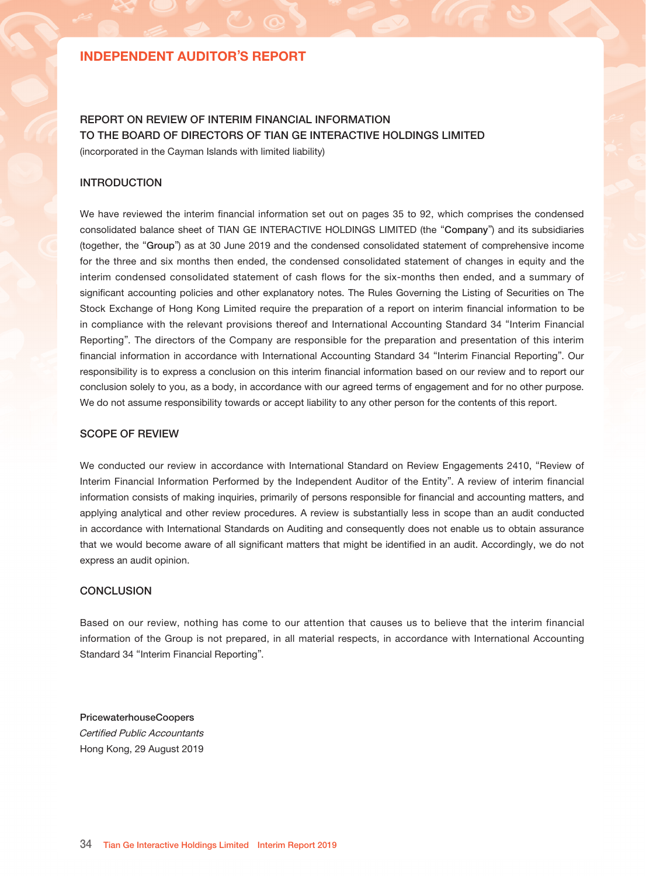# **GLOSSARY**

This glossary contains explanations of certain terms used in this interim report in connection with our Company and our business. The terms and their meanings may not correspond to standard industry meaning or usage of these terms.

| "Quarterly Average Revenue Per<br>User" or "QARPU" | Average quarterly revenue in a particular period divided by the average QPUs in<br>that period.                                                                                                                               |
|----------------------------------------------------|-------------------------------------------------------------------------------------------------------------------------------------------------------------------------------------------------------------------------------|
| "MAUs"                                             | Number of active registered users that accessed our products or services in<br>the relevant month. (A MAU is defined as a registered user that accessed our<br>products or services at least once during the relevant month.) |
| "QPUs"                                             | Number of paying users for our products and services in the relevant quarter.<br>(A QPU for live social video platform is defined as a user that purchased virtual<br>goods at least once during the relevant quarter.)       |
| "Hosts"                                            | Users who generate content, have host accounts and are deemed by us to be<br>hosts. Hosts may receive marketing fees from distributors.                                                                                       |
| "Registered users"                                 | Registered users refer to accumulated number of users who have registered an<br>account on our live social video platform, online games or beauty camera and<br>short video app, and duplicated accounts were not excluded.   |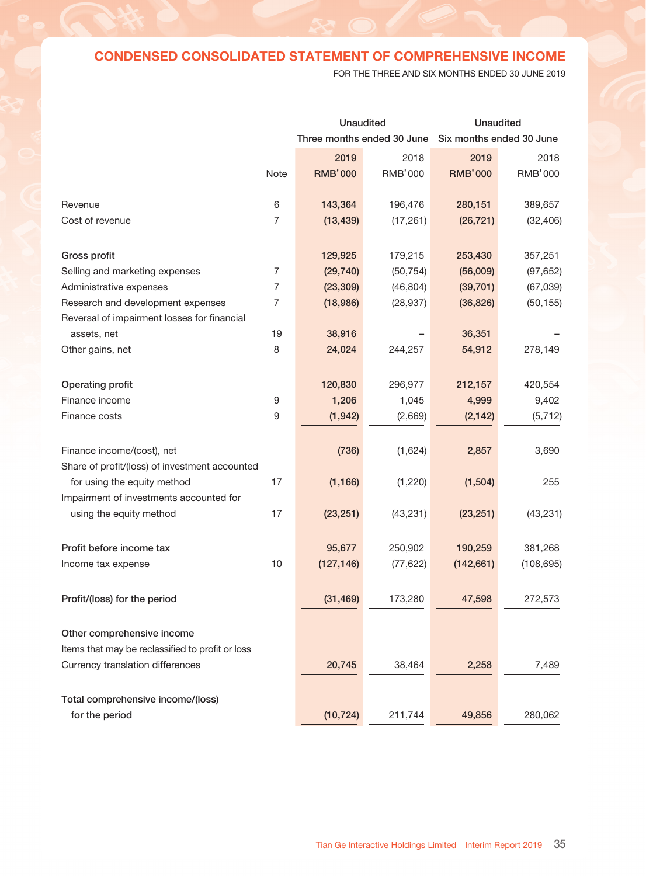## INDEPENDENT AUDITOR'S REPORT

## REPORT ON REVIEW OF INTERIM FINANCIAL INFORMATION TO THE BOARD OF DIRECTORS OF TIAN GE INTERACTIVE HOLDINGS LIMITED (incorporated in the Cayman Islands with limited liability)

### INTRODUCTION

We have reviewed the interim financial information set out on pages 35 to 92, which comprises the condensed consolidated balance sheet of TIAN GE INTERACTIVE HOLDINGS LIMITED (the "Company") and its subsidiaries (together, the "Group") as at 30 June 2019 and the condensed consolidated statement of comprehensive income for the three and six months then ended, the condensed consolidated statement of changes in equity and the interim condensed consolidated statement of cash flows for the six-months then ended, and a summary of significant accounting policies and other explanatory notes. The Rules Governing the Listing of Securities on The Stock Exchange of Hong Kong Limited require the preparation of a report on interim financial information to be in compliance with the relevant provisions thereof and International Accounting Standard 34 "Interim Financial Reporting". The directors of the Company are responsible for the preparation and presentation of this interim financial information in accordance with International Accounting Standard 34 "Interim Financial Reporting". Our responsibility is to express a conclusion on this interim financial information based on our review and to report our conclusion solely to you, as a body, in accordance with our agreed terms of engagement and for no other purpose. We do not assume responsibility towards or accept liability to any other person for the contents of this report.

### SCOPE OF REVIEW

We conducted our review in accordance with International Standard on Review Engagements 2410, "Review of Interim Financial Information Performed by the Independent Auditor of the Entity". A review of interim financial information consists of making inquiries, primarily of persons responsible for financial and accounting matters, and applying analytical and other review procedures. A review is substantially less in scope than an audit conducted in accordance with International Standards on Auditing and consequently does not enable us to obtain assurance that we would become aware of all significant matters that might be identified in an audit. Accordingly, we do not express an audit opinion.

### **CONCLUSION**

Based on our review, nothing has come to our attention that causes us to believe that the interim financial information of the Group is not prepared, in all material respects, in accordance with International Accounting Standard 34 "Interim Financial Reporting".

PricewaterhouseCoopers Certified Public Accountants Hong Kong, 29 August 2019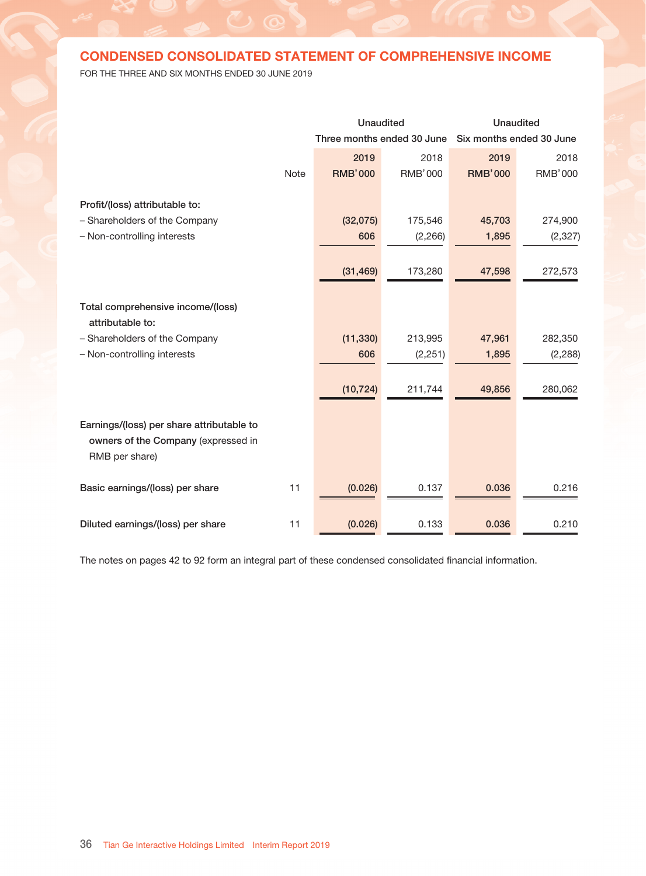# CONDENSED CONSOLIDATED STATEMENT OF COMPREHENSIVE INCOME

FOR THE THREE AND SIX MONTHS ENDED 30 JUNE 2019

|                                                                    |                  | <b>Unaudited</b>           |                | <b>Unaudited</b>         |                |  |
|--------------------------------------------------------------------|------------------|----------------------------|----------------|--------------------------|----------------|--|
|                                                                    |                  | Three months ended 30 June |                | Six months ended 30 June |                |  |
|                                                                    |                  | 2019                       | 2018           | 2019                     | 2018           |  |
|                                                                    | Note             | <b>RMB'000</b>             | <b>RMB'000</b> | <b>RMB'000</b>           | <b>RMB'000</b> |  |
| Revenue                                                            | 6                | 143,364                    | 196,476        | 280,151                  | 389,657        |  |
| Cost of revenue                                                    | $\overline{7}$   | (13, 439)                  | (17, 261)      | (26, 721)                | (32, 406)      |  |
| Gross profit                                                       |                  | 129,925                    | 179,215        | 253,430                  | 357,251        |  |
| Selling and marketing expenses                                     | 7                | (29, 740)                  | (50, 754)      | (56,009)                 | (97, 652)      |  |
| Administrative expenses                                            | 7                | (23, 309)                  | (46, 804)      | (39, 701)                | (67, 039)      |  |
| Research and development expenses                                  | 7                | (18,986)                   | (28, 937)      | (36, 826)                | (50, 155)      |  |
| Reversal of impairment losses for financial                        |                  |                            |                |                          |                |  |
| assets, net                                                        | 19               | 38,916                     |                | 36,351                   |                |  |
| Other gains, net                                                   | 8                | 24,024                     | 244,257        | 54,912                   | 278,149        |  |
| Operating profit                                                   |                  | 120,830                    | 296,977        | 212,157                  | 420,554        |  |
| Finance income                                                     | $\boldsymbol{9}$ | 1,206                      | 1,045          | 4,999                    | 9,402          |  |
| Finance costs                                                      | 9                | (1, 942)                   | (2,669)        | (2, 142)                 | (5, 712)       |  |
|                                                                    |                  |                            |                |                          |                |  |
| Finance income/(cost), net                                         |                  | (736)                      | (1,624)        | 2,857                    | 3,690          |  |
| Share of profit/(loss) of investment accounted                     |                  |                            |                |                          |                |  |
| for using the equity method                                        | 17               | (1, 166)                   | (1,220)        | (1, 504)                 | 255            |  |
| Impairment of investments accounted for<br>using the equity method | 17               | (23, 251)                  | (43, 231)      | (23, 251)                | (43, 231)      |  |
|                                                                    |                  |                            |                |                          |                |  |
| Profit before income tax                                           |                  | 95,677                     | 250,902        | 190,259                  | 381,268        |  |
| Income tax expense                                                 | 10               | (127, 146)                 | (77, 622)      | (142, 661)               | (108, 695)     |  |
| Profit/(loss) for the period                                       |                  | (31, 469)                  | 173,280        | 47,598                   | 272,573        |  |
| Other comprehensive income                                         |                  |                            |                |                          |                |  |
| Items that may be reclassified to profit or loss                   |                  |                            |                |                          |                |  |
| Currency translation differences                                   |                  | 20,745                     | 38,464         | 2,258                    | 7,489          |  |
|                                                                    |                  |                            |                |                          |                |  |
| Total comprehensive income/(loss)                                  |                  |                            |                |                          |                |  |
| for the period                                                     |                  | (10, 724)                  | 211,744        | 49,856                   | 280,062        |  |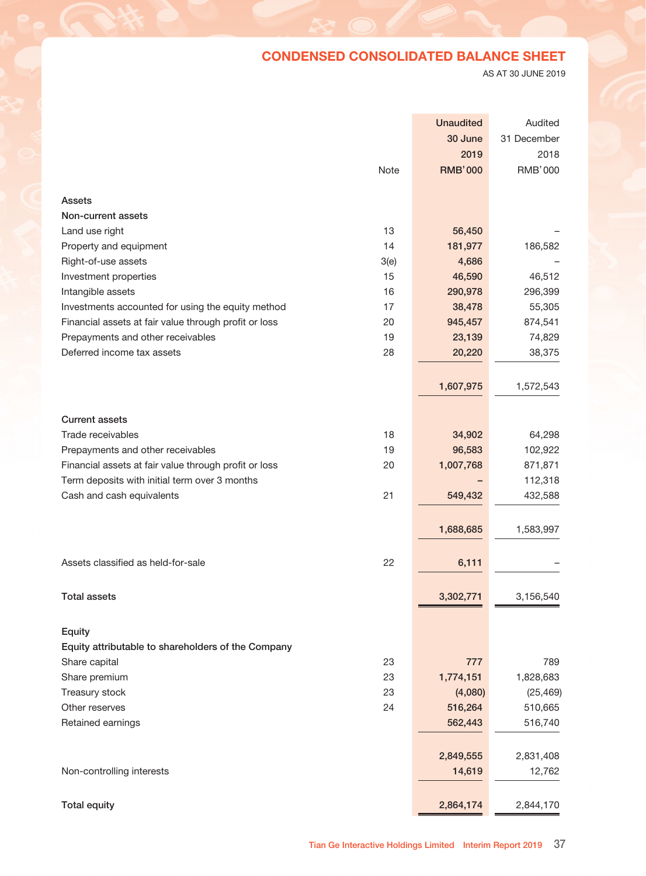# CONDENSED CONSOLIDATED STATEMENT OF COMPREHENSIVE INCOME

FOR THE THREE AND SIX MONTHS ENDED 30 JUNE 2019

|                                           |             | <b>Unaudited</b>           |                | <b>Unaudited</b> |                          |  |
|-------------------------------------------|-------------|----------------------------|----------------|------------------|--------------------------|--|
|                                           |             | Three months ended 30 June |                |                  | Six months ended 30 June |  |
|                                           |             | 2019                       | 2018           | 2019             | 2018                     |  |
|                                           | <b>Note</b> | <b>RMB'000</b>             | <b>RMB'000</b> | <b>RMB'000</b>   | <b>RMB'000</b>           |  |
|                                           |             |                            |                |                  |                          |  |
| Profit/(loss) attributable to:            |             |                            |                |                  |                          |  |
| - Shareholders of the Company             |             | (32,075)                   | 175,546        | 45,703           | 274,900                  |  |
| - Non-controlling interests               |             | 606                        | (2, 266)       | 1,895            | (2, 327)                 |  |
|                                           |             |                            |                |                  |                          |  |
|                                           |             | (31, 469)                  | 173,280        | 47,598           | 272,573                  |  |
|                                           |             |                            |                |                  |                          |  |
| Total comprehensive income/(loss)         |             |                            |                |                  |                          |  |
| attributable to:                          |             |                            |                |                  |                          |  |
| - Shareholders of the Company             |             | (11, 330)                  | 213,995        | 47,961           | 282,350                  |  |
| - Non-controlling interests               |             | 606                        | (2,251)        | 1,895            | (2, 288)                 |  |
|                                           |             |                            |                |                  |                          |  |
|                                           |             | (10, 724)                  | 211,744        | 49,856           | 280,062                  |  |
|                                           |             |                            |                |                  |                          |  |
| Earnings/(loss) per share attributable to |             |                            |                |                  |                          |  |
| owners of the Company (expressed in       |             |                            |                |                  |                          |  |
| RMB per share)                            |             |                            |                |                  |                          |  |
|                                           |             |                            |                |                  |                          |  |
| Basic earnings/(loss) per share           | 11          | (0.026)                    | 0.137          | 0.036            | 0.216                    |  |
|                                           |             |                            |                |                  |                          |  |
| Diluted earnings/(loss) per share         | 11          | (0.026)                    | 0.133          | 0.036            | 0.210                    |  |

The notes on pages 42 to 92 form an integral part of these condensed consolidated financial information.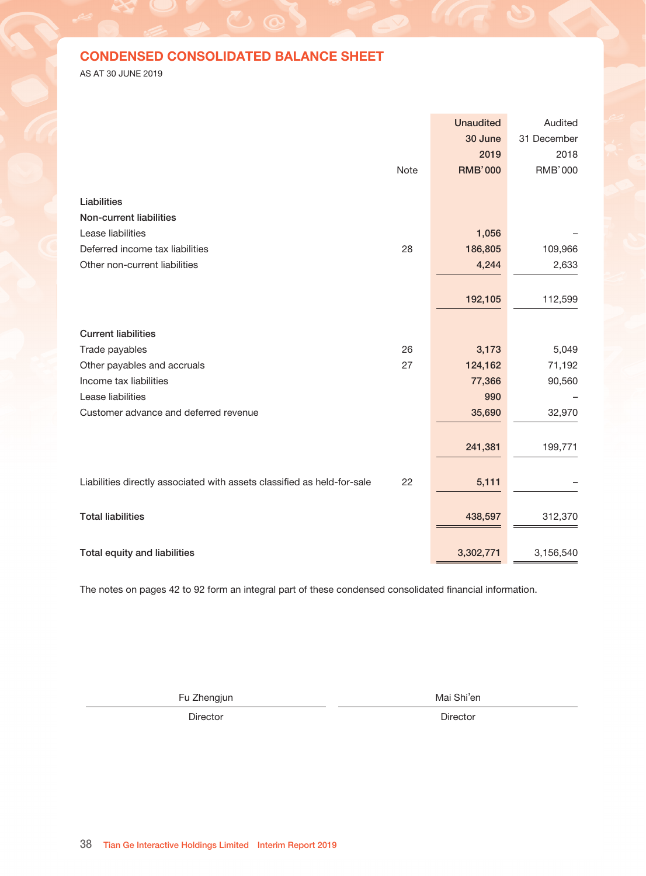# CONDENSED CONSOLIDATED BALANCE SHEET

AS AT 30 JUNE 2019

|                                                       |          | <b>Unaudited</b> | Audited        |
|-------------------------------------------------------|----------|------------------|----------------|
|                                                       |          | 30 June          | 31 December    |
|                                                       |          | 2019             | 2018           |
|                                                       | Note     | <b>RMB'000</b>   | <b>RMB'000</b> |
|                                                       |          |                  |                |
| <b>Assets</b>                                         |          |                  |                |
| Non-current assets                                    |          |                  |                |
| Land use right                                        | 13       | 56,450           |                |
| Property and equipment                                | 14       | 181,977          | 186,582        |
| Right-of-use assets                                   | 3(e)     | 4,686            |                |
| Investment properties                                 | 15       | 46,590           | 46,512         |
| Intangible assets                                     | 16       | 290,978          | 296,399        |
| Investments accounted for using the equity method     | 17       | 38,478           | 55,305         |
| Financial assets at fair value through profit or loss | 20       | 945,457          | 874,541        |
| Prepayments and other receivables                     | 19       | 23,139           | 74,829         |
| Deferred income tax assets                            | 28       | 20,220           | 38,375         |
|                                                       |          |                  |                |
|                                                       |          | 1,607,975        | 1,572,543      |
|                                                       |          |                  |                |
| <b>Current assets</b>                                 |          |                  |                |
| Trade receivables                                     | 18       |                  |                |
|                                                       |          | 34,902           | 64,298         |
| Prepayments and other receivables                     | 19<br>20 | 96,583           | 102,922        |
| Financial assets at fair value through profit or loss |          | 1,007,768        | 871,871        |
| Term deposits with initial term over 3 months         |          |                  | 112,318        |
| Cash and cash equivalents                             | 21       | 549,432          | 432,588        |
|                                                       |          |                  |                |
|                                                       |          | 1,688,685        | 1,583,997      |
|                                                       |          |                  |                |
| Assets classified as held-for-sale                    | 22       | 6,111            |                |
|                                                       |          |                  |                |
| <b>Total assets</b>                                   |          | 3,302,771        | 3,156,540      |
|                                                       |          |                  |                |
| Equity                                                |          |                  |                |
| Equity attributable to shareholders of the Company    |          |                  |                |
| Share capital                                         | 23       | 777              | 789            |
| Share premium                                         | 23       | 1,774,151        | 1,828,683      |
| Treasury stock                                        | 23       | (4,080)          | (25, 469)      |
| Other reserves                                        | 24       | 516,264          | 510,665        |
| Retained earnings                                     |          | 562,443          | 516,740        |
|                                                       |          |                  |                |
|                                                       |          |                  |                |
|                                                       |          | 2,849,555        | 2,831,408      |
| Non-controlling interests                             |          | 14,619           | 12,762         |
|                                                       |          |                  |                |
| <b>Total equity</b>                                   |          | 2,864,174        | 2,844,170      |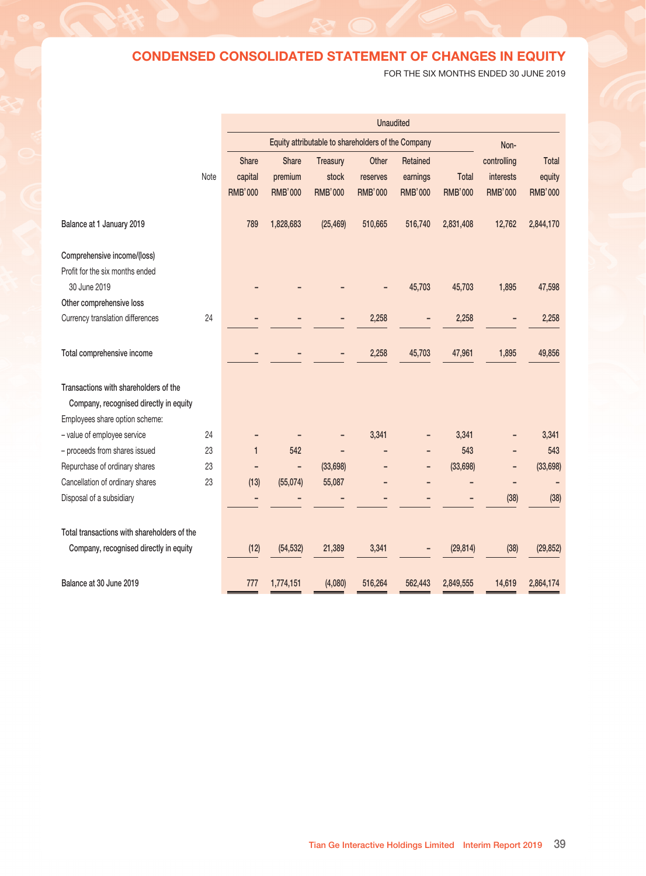# CONDENSED CONSOLIDATED BALANCE SHEET

AS AT 30 JUNE 2019

|                                                                         |      | <b>Unaudited</b> | Audited        |
|-------------------------------------------------------------------------|------|------------------|----------------|
|                                                                         |      | 30 June          | 31 December    |
|                                                                         |      | 2019             | 2018           |
|                                                                         | Note | <b>RMB'000</b>   | <b>RMB'000</b> |
|                                                                         |      |                  |                |
| Liabilities                                                             |      |                  |                |
| Non-current liabilities                                                 |      |                  |                |
| Lease liabilities                                                       |      | 1,056            |                |
| Deferred income tax liabilities                                         | 28   | 186,805          | 109,966        |
| Other non-current liabilities                                           |      | 4,244            | 2,633          |
|                                                                         |      |                  |                |
|                                                                         |      | 192,105          | 112,599        |
|                                                                         |      |                  |                |
| <b>Current liabilities</b>                                              |      |                  |                |
| Trade payables                                                          | 26   | 3,173            | 5,049          |
| Other payables and accruals                                             | 27   | 124,162          | 71,192         |
| Income tax liabilities                                                  |      | 77,366           | 90,560         |
| Lease liabilities                                                       |      | 990              |                |
| Customer advance and deferred revenue                                   |      | 35,690           | 32,970         |
|                                                                         |      |                  |                |
|                                                                         |      | 241,381          | 199,771        |
|                                                                         |      |                  |                |
| Liabilities directly associated with assets classified as held-for-sale | 22   | 5,111            |                |
|                                                                         |      |                  |                |
| <b>Total liabilities</b>                                                |      | 438,597          | 312,370        |
|                                                                         |      |                  |                |
| Total equity and liabilities                                            |      | 3,302,771        | 3,156,540      |
|                                                                         |      |                  |                |

The notes on pages 42 to 92 form an integral part of these condensed consolidated financial information.

Fu Zhengjun Mai Shi'en

Director **Director** Director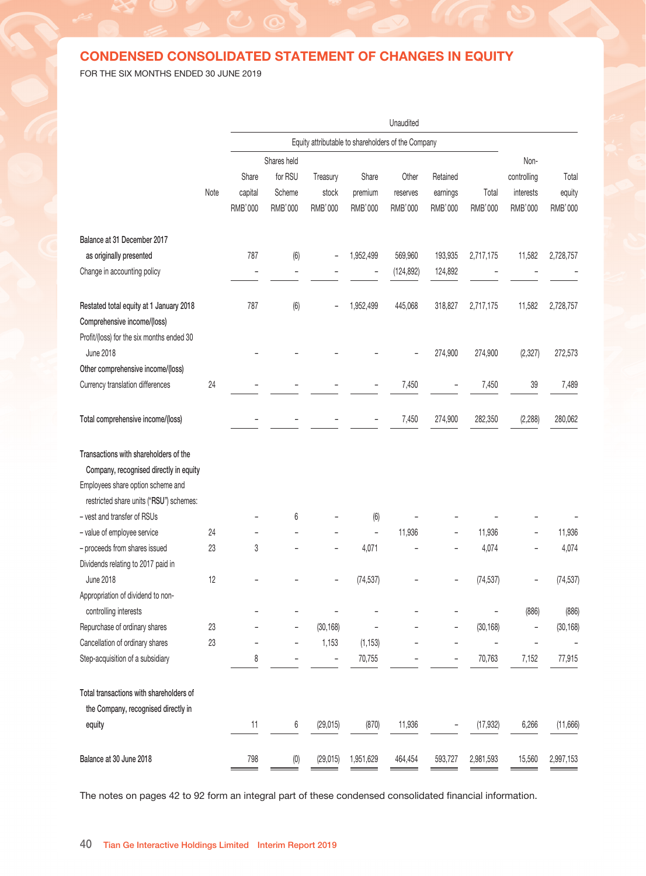# CONDENSED CONSOLIDATED STATEMENT OF CHANGES IN EQUITY

FOR THE SIX MONTHS ENDED 30 JUNE 2019

|                                             |      | <b>Unaudited</b> |                                                    |                |                |                |                |                |                |  |
|---------------------------------------------|------|------------------|----------------------------------------------------|----------------|----------------|----------------|----------------|----------------|----------------|--|
|                                             |      |                  | Equity attributable to shareholders of the Company |                |                |                |                |                |                |  |
|                                             |      | <b>Share</b>     | <b>Share</b>                                       | Treasury       | Other          | Retained       |                | controlling    | Total          |  |
|                                             | Note | capital          | premium                                            | stock          | reserves       | earnings       | <b>Total</b>   | interests      | equity         |  |
|                                             |      | <b>RMB'000</b>   | <b>RMB'000</b>                                     | <b>RMB'000</b> | <b>RMB'000</b> | <b>RMB'000</b> | <b>RMB'000</b> | <b>RMB'000</b> | <b>RMB'000</b> |  |
| Balance at 1 January 2019                   |      | 789              | 1,828,683                                          | (25, 469)      | 510,665        | 516,740        | 2,831,408      | 12,762         | 2,844,170      |  |
| Comprehensive income/(loss)                 |      |                  |                                                    |                |                |                |                |                |                |  |
| Profit for the six months ended             |      |                  |                                                    |                |                |                |                |                |                |  |
| 30 June 2019                                |      |                  |                                                    |                |                | 45,703         | 45,703         | 1,895          | 47,598         |  |
| Other comprehensive loss                    |      |                  |                                                    |                |                |                |                |                |                |  |
| Currency translation differences            | 24   |                  |                                                    |                | 2,258          |                | 2,258          |                | 2,258          |  |
| Total comprehensive income                  |      |                  |                                                    |                | 2,258          | 45,703         | 47,961         | 1,895          | 49,856         |  |
|                                             |      |                  |                                                    |                |                |                |                |                |                |  |
| Transactions with shareholders of the       |      |                  |                                                    |                |                |                |                |                |                |  |
| Company, recognised directly in equity      |      |                  |                                                    |                |                |                |                |                |                |  |
| Employees share option scheme:              |      |                  |                                                    |                |                |                |                |                |                |  |
| - value of employee service                 | 24   |                  |                                                    |                | 3,341          |                | 3,341          |                | 3,341          |  |
| - proceeds from shares issued               | 23   | $\mathbf{1}$     | 542                                                |                |                |                | 543            |                | 543            |  |
| Repurchase of ordinary shares               | 23   |                  |                                                    | (33, 698)      |                |                | (33, 698)      | ۰              | (33, 698)      |  |
| Cancellation of ordinary shares             | 23   | (13)             | (55,074)                                           | 55,087         |                |                |                | Ë              |                |  |
| Disposal of a subsidiary                    |      |                  |                                                    |                |                |                |                | (38)           | (38)           |  |
|                                             |      |                  |                                                    |                |                |                |                |                |                |  |
| Total transactions with shareholders of the |      |                  |                                                    |                |                |                |                |                |                |  |
| Company, recognised directly in equity      |      | (12)             | (54, 532)                                          | 21,389         | 3,341          |                | (29, 814)      | (38)           | (29, 852)      |  |
| Balance at 30 June 2019                     |      | 777              | 1,774,151                                          | (4,080)        | 516,264        | 562,443        | 2,849,555      | 14,619         | 2,864,174      |  |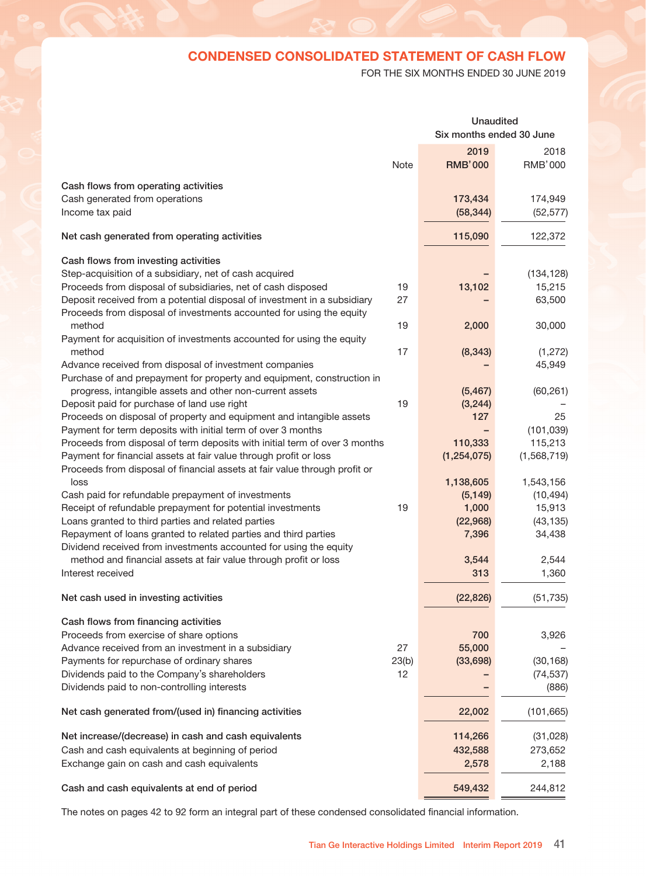## CONDENSED CONSOLIDATED STATEMENT OF CHANGES IN EQUITY

FOR THE SIX MONTHS ENDED 30 JUNE 2019

|                                           |      | Unaudited      |                                                    |                |                |                |                          |                   |                          |                |
|-------------------------------------------|------|----------------|----------------------------------------------------|----------------|----------------|----------------|--------------------------|-------------------|--------------------------|----------------|
|                                           |      |                | Equity attributable to shareholders of the Company |                |                |                |                          |                   |                          |                |
|                                           |      |                | Shares held                                        |                |                |                |                          |                   | Non-                     |                |
|                                           |      | Share          | for RSU                                            | Treasury       | Share          | Other          | Retained                 |                   | controlling              | Total          |
|                                           | Note | capital        | Scheme                                             | stock          | premium        | reserves       | earnings                 | Total             | interests                | equity         |
|                                           |      | <b>RMB'000</b> | <b>RMB'000</b>                                     | <b>RMB'000</b> | <b>RMB'000</b> | <b>RMB'000</b> | RMB'000                  | <b>RMB'000</b>    | RMB'000                  | <b>RMB'000</b> |
| Balance at 31 December 2017               |      |                |                                                    |                |                |                |                          |                   |                          |                |
| as originally presented                   |      | 787            | (6)                                                |                | 1,952,499      | 569,960        | 193,935                  | 2,717,175         | 11,582                   | 2,728,757      |
| Change in accounting policy               |      |                |                                                    |                |                | (124, 892)     | 124,892                  |                   |                          |                |
| Restated total equity at 1 January 2018   |      | 787            | (6)                                                |                | 1,952,499      | 445,068        | 318,827                  | 2,717,175         | 11,582                   | 2,728,757      |
| Comprehensive income/(loss)               |      |                |                                                    |                |                |                |                          |                   |                          |                |
| Profit/(loss) for the six months ended 30 |      |                |                                                    |                |                |                |                          |                   |                          |                |
| June 2018                                 |      |                |                                                    |                |                |                | 274,900                  | 274,900           | (2, 327)                 | 272,573        |
| Other comprehensive income/(loss)         |      |                |                                                    |                |                |                |                          |                   |                          |                |
| Currency translation differences          | 24   |                |                                                    |                |                | 7,450          |                          | 7,450             | 39                       | 7,489          |
| Total comprehensive income/(loss)         |      |                |                                                    |                |                | 7,450          | 274,900                  | 282,350           | (2, 288)                 | 280,062        |
| Transactions with shareholders of the     |      |                |                                                    |                |                |                |                          |                   |                          |                |
| Company, recognised directly in equity    |      |                |                                                    |                |                |                |                          |                   |                          |                |
| Employees share option scheme and         |      |                |                                                    |                |                |                |                          |                   |                          |                |
| restricted share units ("RSU") schemes:   |      |                |                                                    |                |                |                |                          |                   |                          |                |
| - vest and transfer of RSUs               |      |                | 6                                                  |                | (6)            |                |                          |                   |                          |                |
| - value of employee service               | 24   |                |                                                    |                | $\overline{a}$ | 11,936         |                          | 11,936            |                          | 11,936         |
| - proceeds from shares issued             | 23   | 3              |                                                    |                | 4,071          |                |                          | 4,074             |                          | 4,074          |
| Dividends relating to 2017 paid in        |      |                |                                                    |                |                |                |                          |                   |                          |                |
| <b>June 2018</b>                          | 12   |                |                                                    |                | (74, 537)      |                |                          | (74, 537)         |                          | (74, 537)      |
| Appropriation of dividend to non-         |      |                |                                                    |                |                |                |                          |                   |                          |                |
| controlling interests                     |      |                |                                                    |                |                |                |                          |                   | (886)                    | (886)          |
| Repurchase of ordinary shares             | 23   |                |                                                    | (30, 168)      |                |                |                          | (30, 168)         | <sup>-</sup>             | (30, 168)      |
| Cancellation of ordinary shares           | 23   |                | $\overline{a}$                                     | 1,153          | (1, 153)       |                |                          | $\qquad \qquad -$ | $\overline{\phantom{0}}$ |                |
| Step-acquisition of a subsidiary          |      | 8              | $\overline{a}$                                     | $\overline{a}$ | 70,755         |                | $\overline{\phantom{0}}$ | 70,763            | 7,152                    | 77,915         |
| Total transactions with shareholders of   |      |                |                                                    |                |                |                |                          |                   |                          |                |
| the Company, recognised directly in       |      |                |                                                    |                |                |                |                          |                   |                          |                |
| equity                                    |      | 11             | 6                                                  | (29, 015)      | (870)          | 11,936         |                          | (17, 932)         | 6,266                    | (11,666)       |
| Balance at 30 June 2018                   |      | 798            | (0)                                                | (29, 015)      | 1,951,629      | 464,454        | 593,727                  | 2,981,593         | 15,560                   | 2,997,153      |

The notes on pages 42 to 92 form an integral part of these condensed consolidated financial information.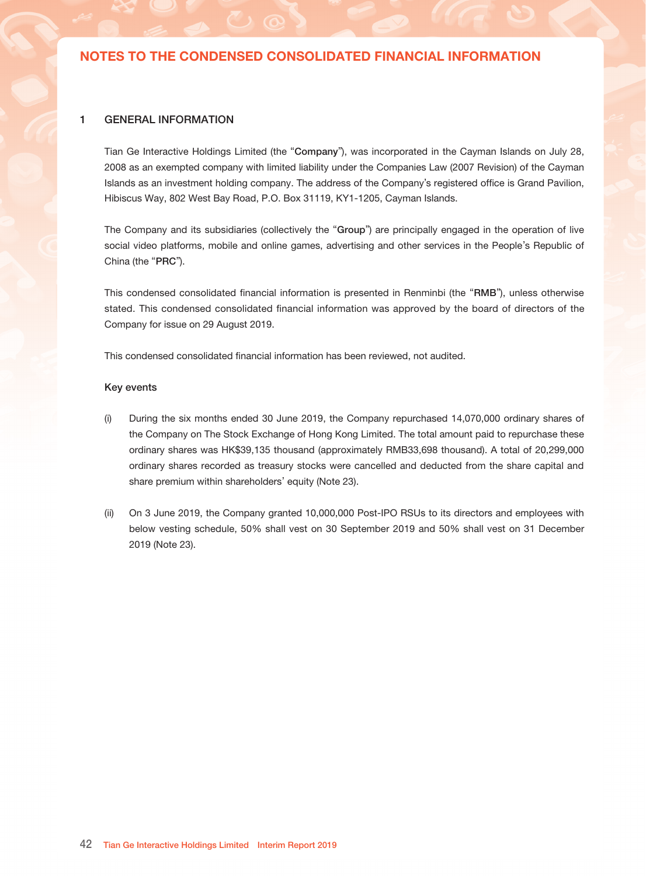# CONDENSED CONSOLIDATED STATEMENT OF CASH FLOW

FOR THE SIX MONTHS ENDED 30 JUNE 2019

|                                                                            |       | <b>Unaudited</b>         |                |  |
|----------------------------------------------------------------------------|-------|--------------------------|----------------|--|
|                                                                            |       | Six months ended 30 June |                |  |
|                                                                            |       | 2019                     | 2018           |  |
|                                                                            | Note  | <b>RMB'000</b>           | <b>RMB'000</b> |  |
|                                                                            |       |                          |                |  |
| Cash flows from operating activities                                       |       |                          |                |  |
| Cash generated from operations                                             |       | 173,434                  | 174,949        |  |
| Income tax paid                                                            |       | (58, 344)                | (52, 577)      |  |
| Net cash generated from operating activities                               |       | 115,090                  | 122,372        |  |
| Cash flows from investing activities                                       |       |                          |                |  |
| Step-acquisition of a subsidiary, net of cash acquired                     |       |                          | (134, 128)     |  |
| Proceeds from disposal of subsidiaries, net of cash disposed               | 19    | 13,102                   | 15,215         |  |
| Deposit received from a potential disposal of investment in a subsidiary   | 27    |                          | 63,500         |  |
| Proceeds from disposal of investments accounted for using the equity       |       |                          |                |  |
| method                                                                     | 19    | 2,000                    | 30,000         |  |
| Payment for acquisition of investments accounted for using the equity      |       |                          |                |  |
| method                                                                     | 17    | (8, 343)                 | (1, 272)       |  |
| Advance received from disposal of investment companies                     |       |                          | 45,949         |  |
| Purchase of and prepayment for property and equipment, construction in     |       |                          |                |  |
| progress, intangible assets and other non-current assets                   |       | (5, 467)                 | (60, 261)      |  |
| Deposit paid for purchase of land use right                                | 19    | (3, 244)                 |                |  |
| Proceeds on disposal of property and equipment and intangible assets       |       | 127                      | 25             |  |
| Payment for term deposits with initial term of over 3 months               |       |                          | (101, 039)     |  |
| Proceeds from disposal of term deposits with initial term of over 3 months |       | 110,333                  | 115,213        |  |
| Payment for financial assets at fair value through profit or loss          |       | (1, 254, 075)            | (1,568,719)    |  |
| Proceeds from disposal of financial assets at fair value through profit or |       |                          |                |  |
| loss                                                                       |       | 1,138,605                | 1,543,156      |  |
| Cash paid for refundable prepayment of investments                         |       | (5, 149)                 | (10, 494)      |  |
| Receipt of refundable prepayment for potential investments                 | 19    | 1,000                    | 15,913         |  |
| Loans granted to third parties and related parties                         |       | (22, 968)                | (43, 135)      |  |
| Repayment of loans granted to related parties and third parties            |       | 7,396                    | 34,438         |  |
| Dividend received from investments accounted for using the equity          |       |                          |                |  |
| method and financial assets at fair value through profit or loss           |       | 3,544                    | 2,544          |  |
| Interest received                                                          |       | 313                      | 1,360          |  |
|                                                                            |       |                          |                |  |
| Net cash used in investing activities                                      |       | (22, 826)                | (51, 735)      |  |
| Cash flows from financing activities                                       |       |                          |                |  |
| Proceeds from exercise of share options                                    |       | 700                      | 3,926          |  |
| Advance received from an investment in a subsidiary                        | 27    | 55,000                   |                |  |
| Payments for repurchase of ordinary shares                                 | 23(b) | (33, 698)                | (30, 168)      |  |
| Dividends paid to the Company's shareholders                               | 12    |                          | (74, 537)      |  |
| Dividends paid to non-controlling interests                                |       |                          | (886)          |  |
|                                                                            |       |                          |                |  |
| Net cash generated from/(used in) financing activities                     |       | 22,002                   | (101, 665)     |  |
| Net increase/(decrease) in cash and cash equivalents                       |       | 114,266                  | (31, 028)      |  |
| Cash and cash equivalents at beginning of period                           |       | 432,588                  | 273,652        |  |
| Exchange gain on cash and cash equivalents                                 |       | 2,578                    | 2,188          |  |
| Cash and cash equivalents at end of period                                 |       | 549,432                  | 244,812        |  |

The notes on pages 42 to 92 form an integral part of these condensed consolidated financial information.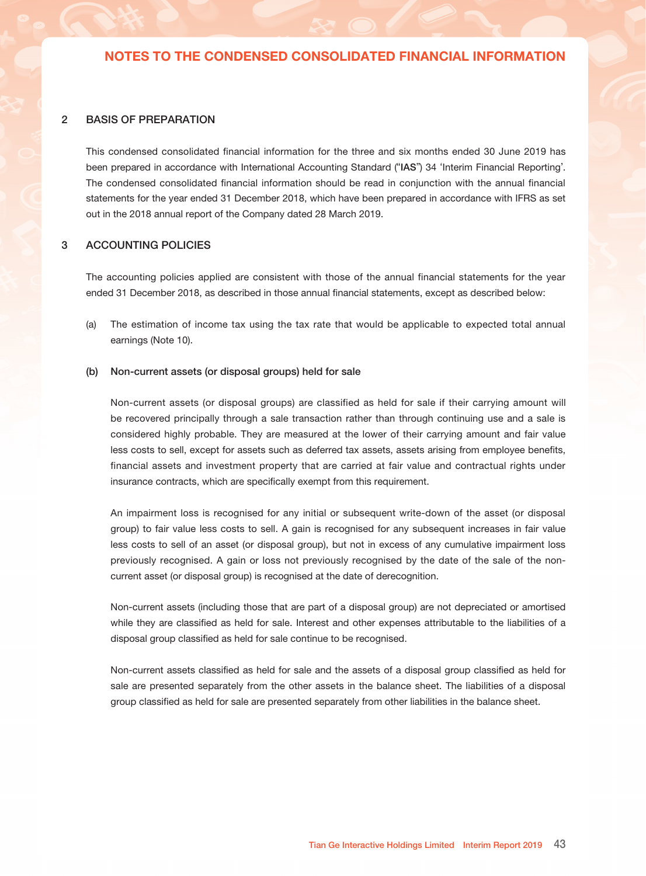### 1 GENERAL INFORMATION

Tian Ge Interactive Holdings Limited (the "Company"), was incorporated in the Cayman Islands on July 28, 2008 as an exempted company with limited liability under the Companies Law (2007 Revision) of the Cayman Islands as an investment holding company. The address of the Company's registered office is Grand Pavilion, Hibiscus Way, 802 West Bay Road, P.O. Box 31119, KY1-1205, Cayman Islands.

The Company and its subsidiaries (collectively the "Group") are principally engaged in the operation of live social video platforms, mobile and online games, advertising and other services in the People's Republic of China (the "PRC").

This condensed consolidated financial information is presented in Renminbi (the "RMB"), unless otherwise stated. This condensed consolidated financial information was approved by the board of directors of the Company for issue on 29 August 2019.

This condensed consolidated financial information has been reviewed, not audited.

#### Key events

- (i) During the six months ended 30 June 2019, the Company repurchased 14,070,000 ordinary shares of the Company on The Stock Exchange of Hong Kong Limited. The total amount paid to repurchase these ordinary shares was HK\$39,135 thousand (approximately RMB33,698 thousand). A total of 20,299,000 ordinary shares recorded as treasury stocks were cancelled and deducted from the share capital and share premium within shareholders' equity (Note 23).
- (ii) On 3 June 2019, the Company granted 10,000,000 Post-IPO RSUs to its directors and employees with below vesting schedule, 50% shall vest on 30 September 2019 and 50% shall vest on 31 December 2019 (Note 23).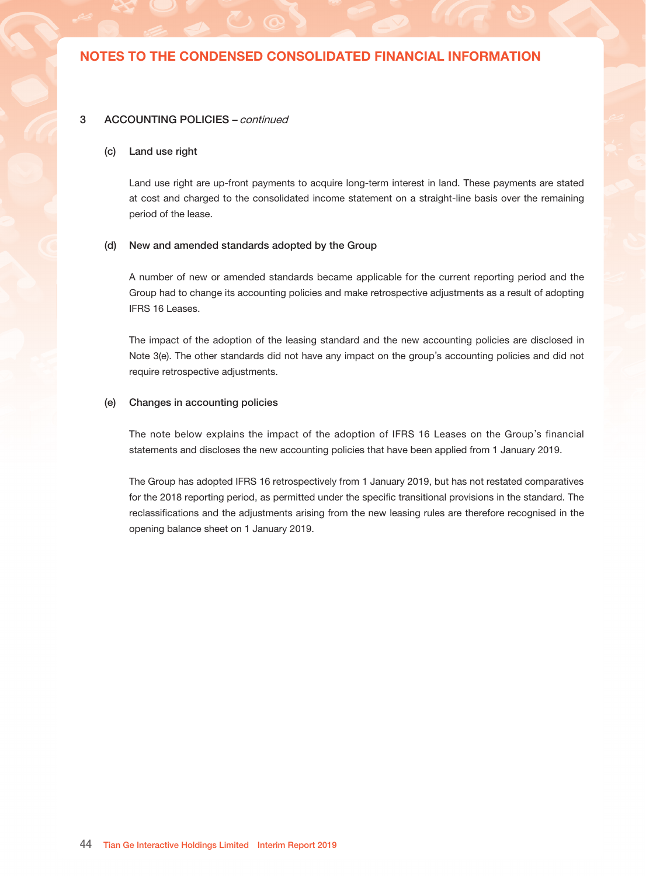#### 2 BASIS OF PREPARATION

This condensed consolidated financial information for the three and six months ended 30 June 2019 has been prepared in accordance with International Accounting Standard ("IAS") 34 'Interim Financial Reporting'. The condensed consolidated financial information should be read in conjunction with the annual financial statements for the year ended 31 December 2018, which have been prepared in accordance with IFRS as set out in the 2018 annual report of the Company dated 28 March 2019.

### 3 ACCOUNTING POLICIES

The accounting policies applied are consistent with those of the annual financial statements for the year ended 31 December 2018, as described in those annual financial statements, except as described below:

(a) The estimation of income tax using the tax rate that would be applicable to expected total annual earnings (Note 10).

#### (b) Non-current assets (or disposal groups) held for sale

Non-current assets (or disposal groups) are classified as held for sale if their carrying amount will be recovered principally through a sale transaction rather than through continuing use and a sale is considered highly probable. They are measured at the lower of their carrying amount and fair value less costs to sell, except for assets such as deferred tax assets, assets arising from employee benefits, financial assets and investment property that are carried at fair value and contractual rights under insurance contracts, which are specifically exempt from this requirement.

An impairment loss is recognised for any initial or subsequent write-down of the asset (or disposal group) to fair value less costs to sell. A gain is recognised for any subsequent increases in fair value less costs to sell of an asset (or disposal group), but not in excess of any cumulative impairment loss previously recognised. A gain or loss not previously recognised by the date of the sale of the noncurrent asset (or disposal group) is recognised at the date of derecognition.

Non-current assets (including those that are part of a disposal group) are not depreciated or amortised while they are classified as held for sale. Interest and other expenses attributable to the liabilities of a disposal group classified as held for sale continue to be recognised.

Non-current assets classified as held for sale and the assets of a disposal group classified as held for sale are presented separately from the other assets in the balance sheet. The liabilities of a disposal group classified as held for sale are presented separately from other liabilities in the balance sheet.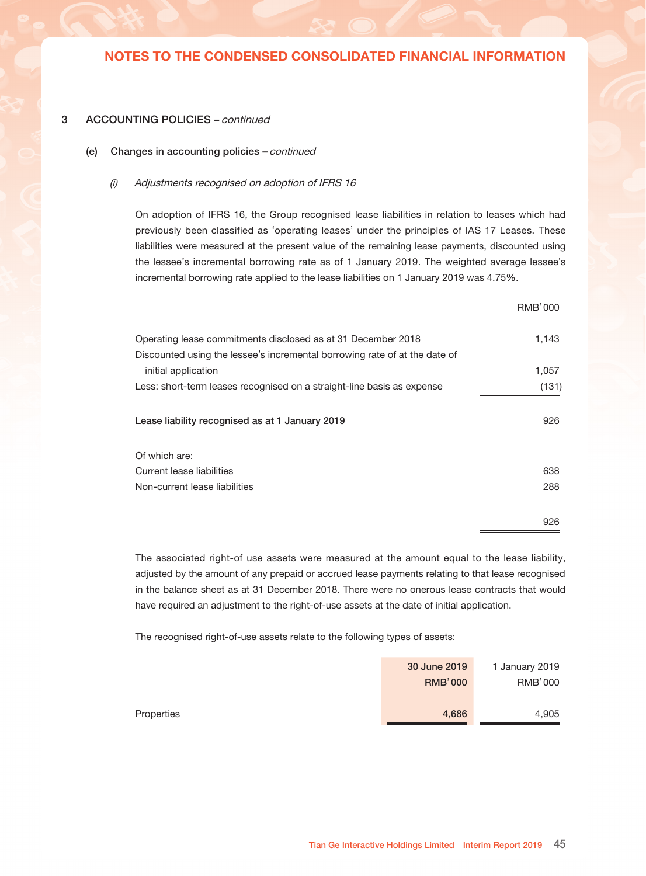#### 3 ACCOUNTING POLICIES – continued

#### (c) Land use right

Land use right are up-front payments to acquire long-term interest in land. These payments are stated at cost and charged to the consolidated income statement on a straight-line basis over the remaining period of the lease.

#### (d) New and amended standards adopted by the Group

A number of new or amended standards became applicable for the current reporting period and the Group had to change its accounting policies and make retrospective adjustments as a result of adopting IFRS 16 Leases.

The impact of the adoption of the leasing standard and the new accounting policies are disclosed in Note 3(e). The other standards did not have any impact on the group's accounting policies and did not require retrospective adjustments.

#### (e) Changes in accounting policies

The note below explains the impact of the adoption of IFRS 16 Leases on the Group's financial statements and discloses the new accounting policies that have been applied from 1 January 2019.

The Group has adopted IFRS 16 retrospectively from 1 January 2019, but has not restated comparatives for the 2018 reporting period, as permitted under the specific transitional provisions in the standard. The reclassifications and the adjustments arising from the new leasing rules are therefore recognised in the opening balance sheet on 1 January 2019.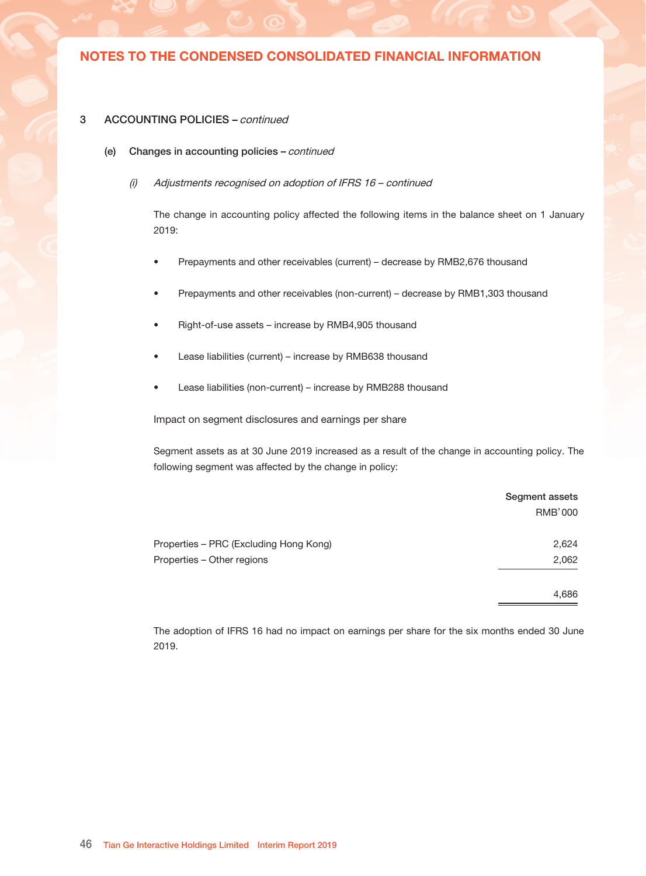#### 3 ACCOUNTING POLICIES – continued

(e) Changes in accounting policies – continued

#### (i) Adjustments recognised on adoption of IFRS 16

On adoption of IFRS 16, the Group recognised lease liabilities in relation to leases which had previously been classified as 'operating leases' under the principles of IAS 17 Leases. These liabilities were measured at the present value of the remaining lease payments, discounted using the lessee's incremental borrowing rate as of 1 January 2019. The weighted average lessee's incremental borrowing rate applied to the lease liabilities on 1 January 2019 was 4.75%.

|                                                                            | <b>RMB'000</b> |
|----------------------------------------------------------------------------|----------------|
| Operating lease commitments disclosed as at 31 December 2018               | 1,143          |
| Discounted using the lessee's incremental borrowing rate of at the date of |                |
| initial application                                                        | 1,057          |
| Less: short-term leases recognised on a straight-line basis as expense     | (131)          |
| Lease liability recognised as at 1 January 2019                            | 926            |
| Of which are:                                                              |                |
| Current lease liabilities                                                  | 638            |
| Non-current lease liabilities                                              | 288            |
|                                                                            | 926            |

The associated right-of use assets were measured at the amount equal to the lease liability, adjusted by the amount of any prepaid or accrued lease payments relating to that lease recognised in the balance sheet as at 31 December 2018. There were no onerous lease contracts that would have required an adjustment to the right-of-use assets at the date of initial application.

The recognised right-of-use assets relate to the following types of assets:

|            | 30 June 2019   | 1 January 2019 |
|------------|----------------|----------------|
|            | <b>RMB'000</b> | <b>RMB'000</b> |
|            |                |                |
| Properties | 4,686          | 4.905          |
|            |                |                |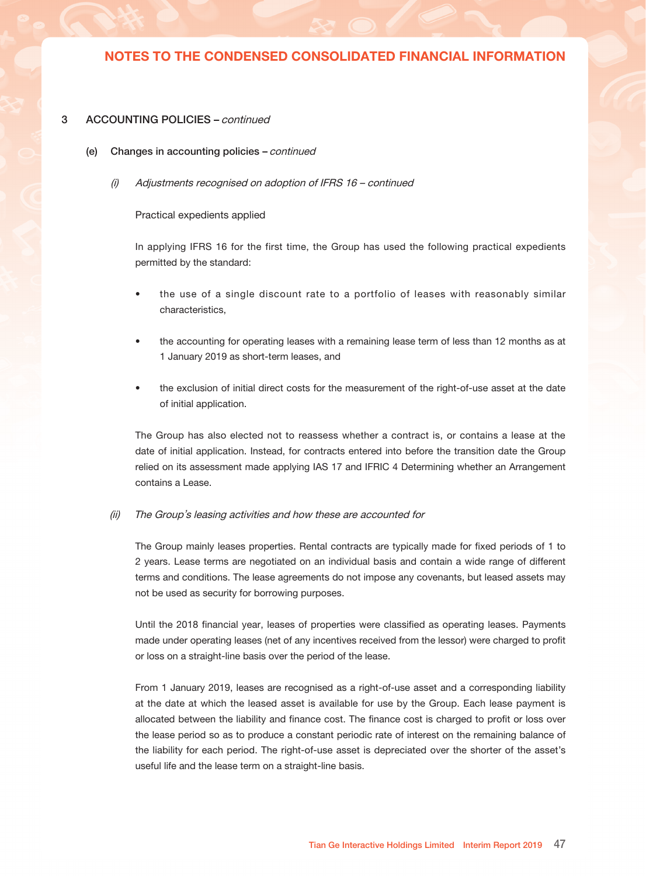#### 3 ACCOUNTING POLICIES – continued

- (e) Changes in accounting policies continued
	- (i) Adjustments recognised on adoption of IFRS 16 continued

The change in accounting policy affected the following items in the balance sheet on 1 January 2019:

- Prepayments and other receivables (current) decrease by RMB2,676 thousand
- Prepayments and other receivables (non-current) decrease by RMB1,303 thousand
- Right-of-use assets increase by RMB4,905 thousand
- Lease liabilities (current) increase by RMB638 thousand
- Lease liabilities (non-current) increase by RMB288 thousand

Impact on segment disclosures and earnings per share

Segment assets as at 30 June 2019 increased as a result of the change in accounting policy. The following segment was affected by the change in policy:

|                                        | Segment assets |
|----------------------------------------|----------------|
|                                        | <b>RMB'000</b> |
| Properties - PRC (Excluding Hong Kong) | 2,624          |
| Properties - Other regions             | 2,062          |
|                                        | 4,686          |

The adoption of IFRS 16 had no impact on earnings per share for the six months ended 30 June 2019.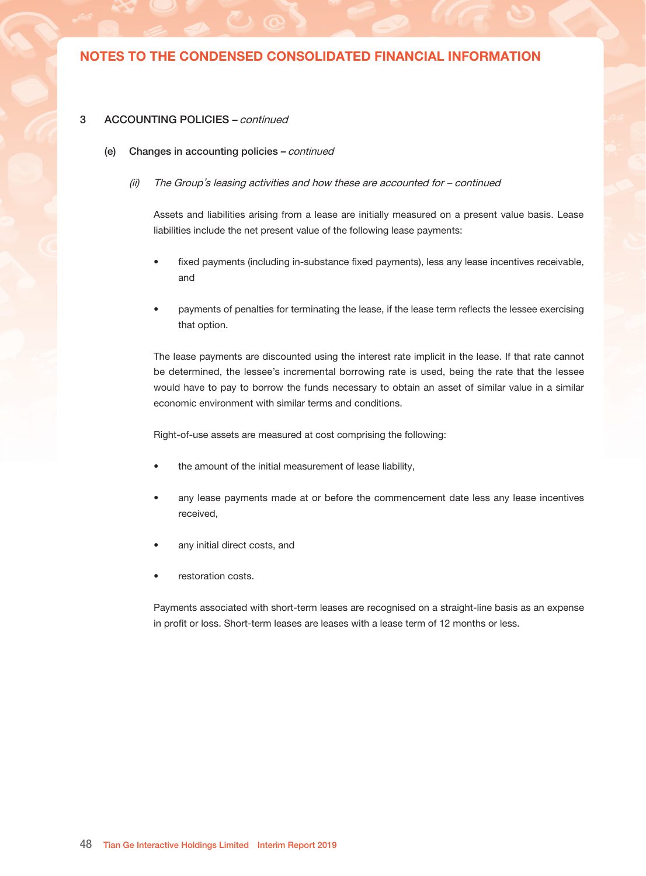### 3 ACCOUNTING POLICIES – continued

- (e) Changes in accounting policies continued
	- (i) Adjustments recognised on adoption of IFRS 16 continued

#### Practical expedients applied

In applying IFRS 16 for the first time, the Group has used the following practical expedients permitted by the standard:

- the use of a single discount rate to a portfolio of leases with reasonably similar characteristics,
- the accounting for operating leases with a remaining lease term of less than 12 months as at 1 January 2019 as short-term leases, and
- the exclusion of initial direct costs for the measurement of the right-of-use asset at the date of initial application.

The Group has also elected not to reassess whether a contract is, or contains a lease at the date of initial application. Instead, for contracts entered into before the transition date the Group relied on its assessment made applying IAS 17 and IFRIC 4 Determining whether an Arrangement contains a Lease.

#### (ii) The Group's leasing activities and how these are accounted for

The Group mainly leases properties. Rental contracts are typically made for fixed periods of 1 to 2 years. Lease terms are negotiated on an individual basis and contain a wide range of different terms and conditions. The lease agreements do not impose any covenants, but leased assets may not be used as security for borrowing purposes.

Until the 2018 financial year, leases of properties were classified as operating leases. Payments made under operating leases (net of any incentives received from the lessor) were charged to profit or loss on a straight-line basis over the period of the lease.

From 1 January 2019, leases are recognised as a right-of-use asset and a corresponding liability at the date at which the leased asset is available for use by the Group. Each lease payment is allocated between the liability and finance cost. The finance cost is charged to profit or loss over the lease period so as to produce a constant periodic rate of interest on the remaining balance of the liability for each period. The right-of-use asset is depreciated over the shorter of the asset's useful life and the lease term on a straight-line basis.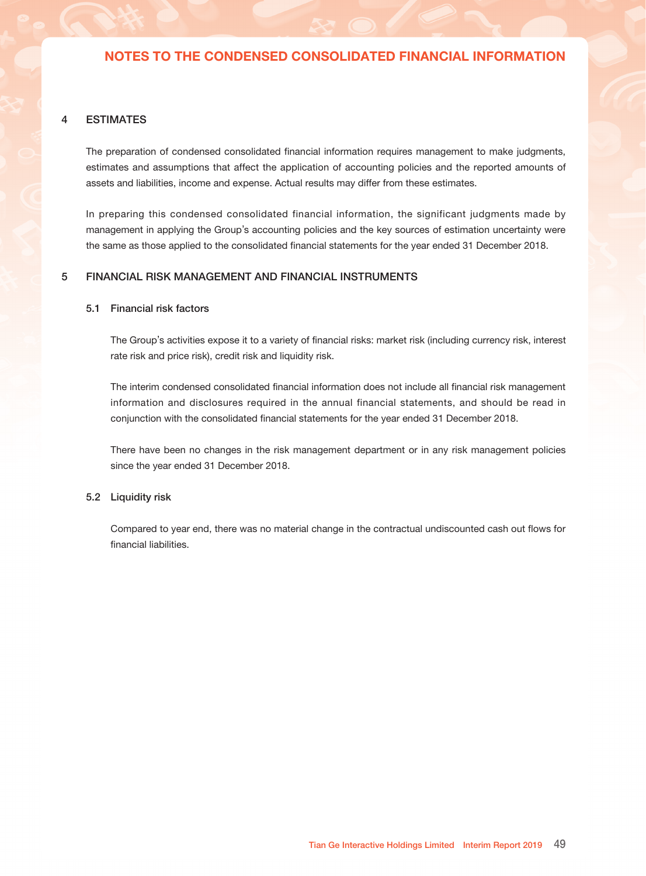### 3 ACCOUNTING POLICIES – continued

- (e) Changes in accounting policies continued
	- (ii) The Group's leasing activities and how these are accounted for continued

Assets and liabilities arising from a lease are initially measured on a present value basis. Lease liabilities include the net present value of the following lease payments:

- fixed payments (including in-substance fixed payments), less any lease incentives receivable, and
- payments of penalties for terminating the lease, if the lease term reflects the lessee exercising that option.

The lease payments are discounted using the interest rate implicit in the lease. If that rate cannot be determined, the lessee's incremental borrowing rate is used, being the rate that the lessee would have to pay to borrow the funds necessary to obtain an asset of similar value in a similar economic environment with similar terms and conditions.

Right-of-use assets are measured at cost comprising the following:

- the amount of the initial measurement of lease liability,
- any lease payments made at or before the commencement date less any lease incentives received,
- any initial direct costs, and
- restoration costs.

Payments associated with short-term leases are recognised on a straight-line basis as an expense in profit or loss. Short-term leases are leases with a lease term of 12 months or less.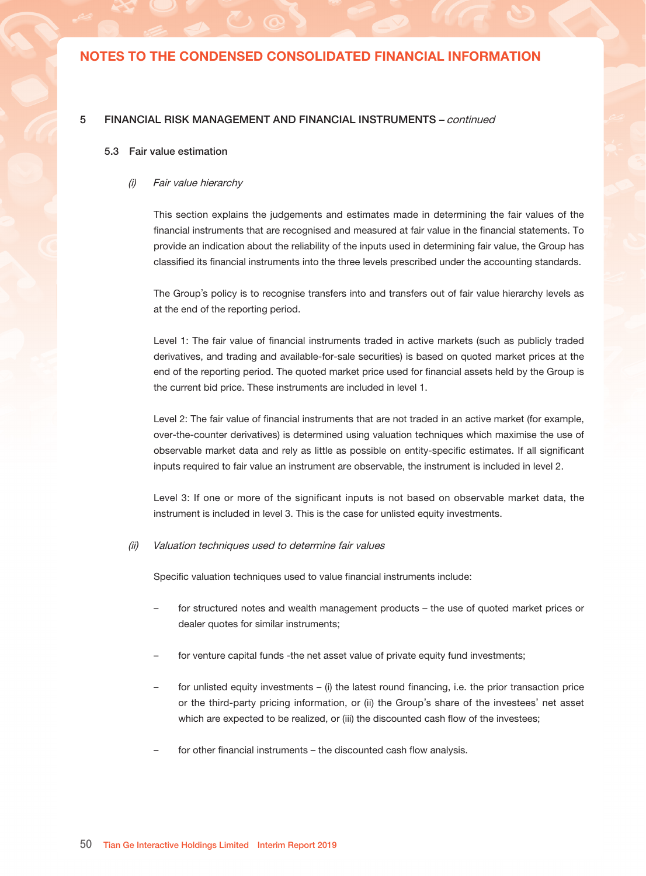#### 4 ESTIMATES

The preparation of condensed consolidated financial information requires management to make judgments, estimates and assumptions that affect the application of accounting policies and the reported amounts of assets and liabilities, income and expense. Actual results may differ from these estimates.

In preparing this condensed consolidated financial information, the significant judgments made by management in applying the Group's accounting policies and the key sources of estimation uncertainty were the same as those applied to the consolidated financial statements for the year ended 31 December 2018.

### 5 FINANCIAL RISK MANAGEMENT AND FINANCIAL INSTRUMENTS

### 5.1 Financial risk factors

The Group's activities expose it to a variety of financial risks: market risk (including currency risk, interest rate risk and price risk), credit risk and liquidity risk.

The interim condensed consolidated financial information does not include all financial risk management information and disclosures required in the annual financial statements, and should be read in conjunction with the consolidated financial statements for the year ended 31 December 2018.

There have been no changes in the risk management department or in any risk management policies since the year ended 31 December 2018.

#### 5.2 Liquidity risk

Compared to year end, there was no material change in the contractual undiscounted cash out flows for financial liabilities.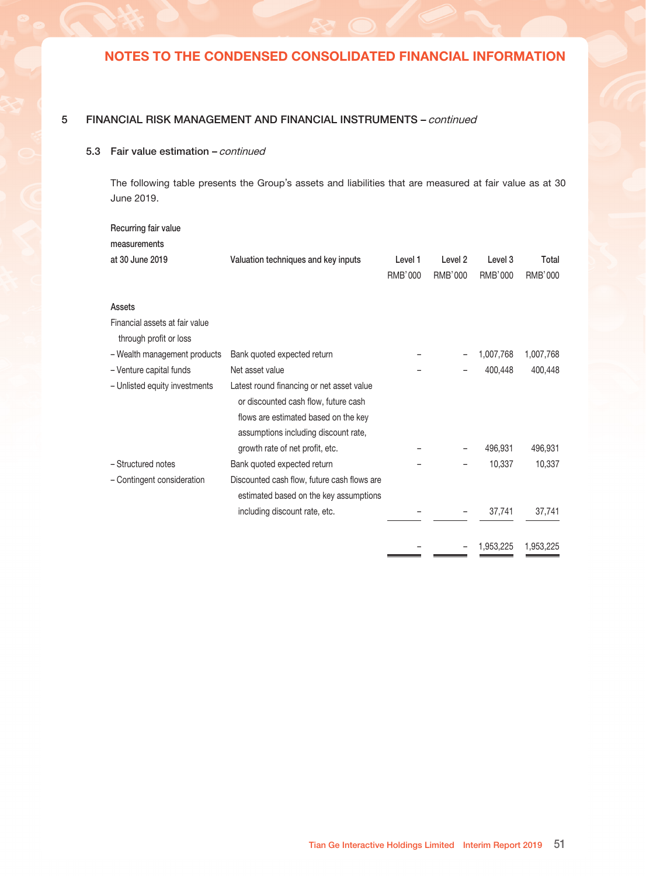### 5 FINANCIAL RISK MANAGEMENT AND FINANCIAL INSTRUMENTS – continued

#### 5.3 Fair value estimation

#### (i) Fair value hierarchy

This section explains the judgements and estimates made in determining the fair values of the financial instruments that are recognised and measured at fair value in the financial statements. To provide an indication about the reliability of the inputs used in determining fair value, the Group has classified its financial instruments into the three levels prescribed under the accounting standards.

The Group's policy is to recognise transfers into and transfers out of fair value hierarchy levels as at the end of the reporting period.

Level 1: The fair value of financial instruments traded in active markets (such as publicly traded derivatives, and trading and available-for-sale securities) is based on quoted market prices at the end of the reporting period. The quoted market price used for financial assets held by the Group is the current bid price. These instruments are included in level 1.

Level 2: The fair value of financial instruments that are not traded in an active market (for example, over-the-counter derivatives) is determined using valuation techniques which maximise the use of observable market data and rely as little as possible on entity-specific estimates. If all significant inputs required to fair value an instrument are observable, the instrument is included in level 2.

Level 3: If one or more of the significant inputs is not based on observable market data, the instrument is included in level 3. This is the case for unlisted equity investments.

#### (ii) Valuation techniques used to determine fair values

Specific valuation techniques used to value financial instruments include:

- for structured notes and wealth management products the use of quoted market prices or dealer quotes for similar instruments;
- for venture capital funds -the net asset value of private equity fund investments;
- for unlisted equity investments (i) the latest round financing, i.e. the prior transaction price or the third-party pricing information, or (ii) the Group's share of the investees' net asset which are expected to be realized, or (iii) the discounted cash flow of the investees;
- for other financial instruments the discounted cash flow analysis.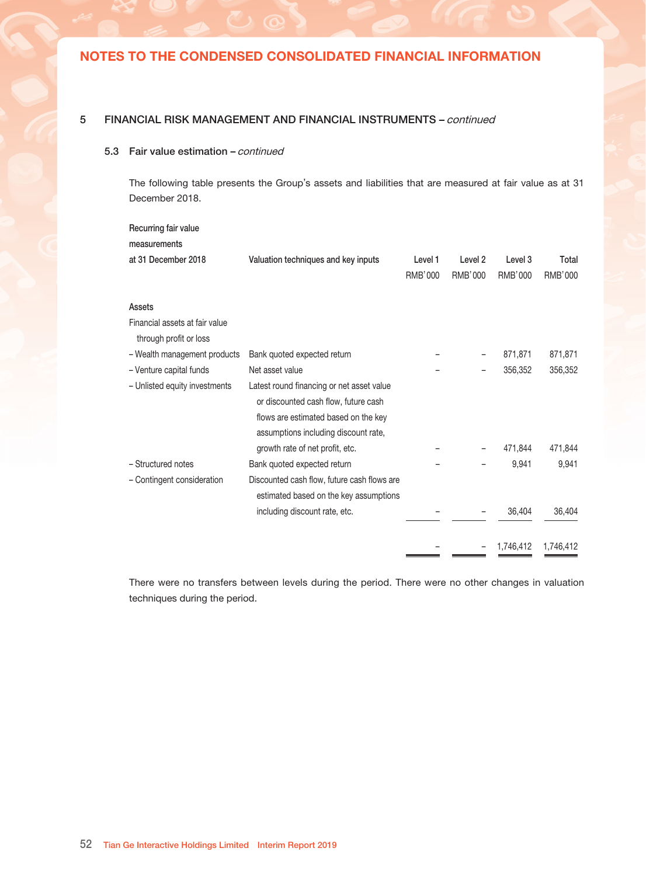### 5 FINANCIAL RISK MANAGEMENT AND FINANCIAL INSTRUMENTS – continued

### 5.3 Fair value estimation - continued

The following table presents the Group's assets and liabilities that are measured at fair value as at 30 June 2019.

| Recurring fair value                                     |                                                                                   |                |                    |                    |           |
|----------------------------------------------------------|-----------------------------------------------------------------------------------|----------------|--------------------|--------------------|-----------|
| measurements                                             |                                                                                   |                |                    |                    |           |
| at 30 June 2019                                          | Valuation techniques and key inputs                                               | Level 1        | Level <sub>2</sub> | Level <sub>3</sub> | Total     |
|                                                          |                                                                                   | <b>RMB'000</b> | RMB'000            | RMB'000            | RMB'000   |
| Assets                                                   |                                                                                   |                |                    |                    |           |
| Financial assets at fair value<br>through profit or loss |                                                                                   |                |                    |                    |           |
| - Wealth management products                             | Bank quoted expected return                                                       |                |                    | 1,007,768          | 1,007,768 |
| - Venture capital funds                                  | Net asset value                                                                   |                |                    | 400,448            | 400,448   |
| - Unlisted equity investments                            | Latest round financing or net asset value<br>or discounted cash flow, future cash |                |                    |                    |           |
|                                                          | flows are estimated based on the key<br>assumptions including discount rate,      |                |                    |                    |           |
|                                                          | growth rate of net profit, etc.                                                   |                |                    | 496.931            | 496,931   |
| - Structured notes                                       | Bank quoted expected return                                                       |                |                    | 10,337             | 10,337    |
| - Contingent consideration                               | Discounted cash flow, future cash flows are                                       |                |                    |                    |           |
|                                                          | estimated based on the key assumptions                                            |                |                    |                    |           |
|                                                          | including discount rate, etc.                                                     |                |                    | 37,741             | 37,741    |
|                                                          |                                                                                   |                |                    | 1,953,225          | 1,953,225 |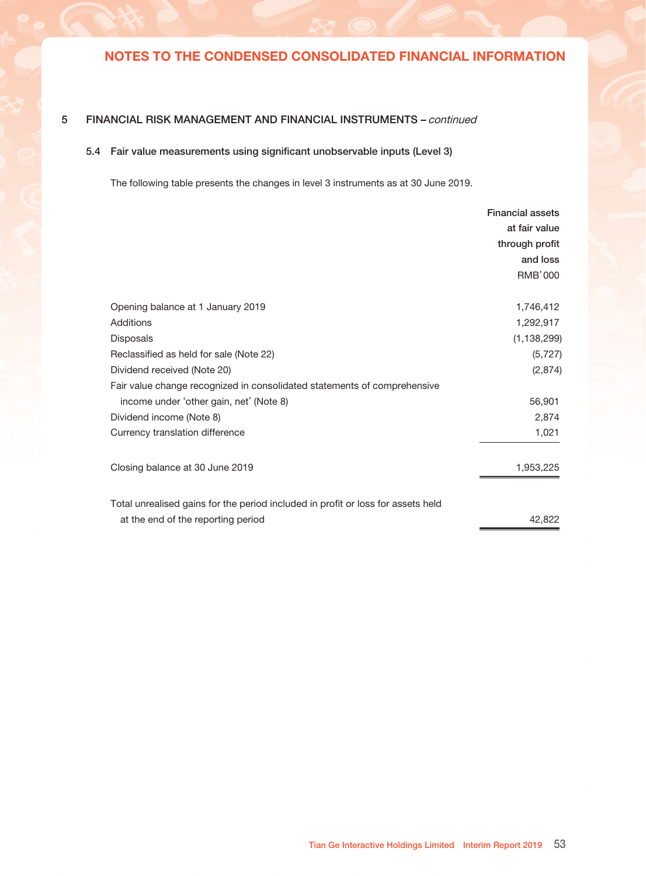#### 5 FINANCIAL RISK MANAGEMENT AND FINANCIAL INSTRUMENTS – continued

#### 5.3 Fair value estimation - continued

The following table presents the Group's assets and liabilities that are measured at fair value as at 31 December 2018.

| Valuation techniques and key inputs         | Level 1 | Level 2 | Level 3   | Total     |
|---------------------------------------------|---------|---------|-----------|-----------|
|                                             | RMB'000 | RMB'000 | RMB'000   | RMB'000   |
|                                             |         |         |           |           |
|                                             |         |         |           |           |
|                                             |         |         |           |           |
| Bank quoted expected return                 |         |         | 871,871   | 871,871   |
| Net asset value                             |         |         | 356,352   | 356,352   |
| Latest round financing or net asset value   |         |         |           |           |
| or discounted cash flow, future cash        |         |         |           |           |
| flows are estimated based on the key        |         |         |           |           |
| assumptions including discount rate,        |         |         |           |           |
| growth rate of net profit, etc.             |         |         | 471.844   | 471,844   |
| Bank quoted expected return                 |         |         | 9,941     | 9,941     |
| Discounted cash flow, future cash flows are |         |         |           |           |
| estimated based on the key assumptions      |         |         |           |           |
| including discount rate, etc.               |         |         | 36,404    | 36,404    |
|                                             |         |         | 1,746,412 | 1,746,412 |
|                                             |         |         |           |           |

There were no transfers between levels during the period. There were no other changes in valuation techniques during the period.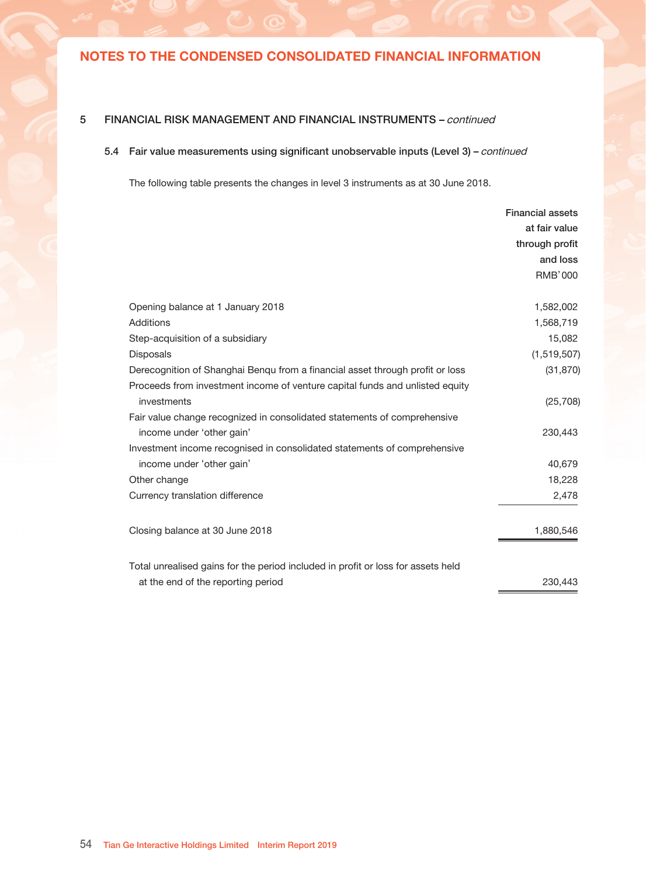### 5 FINANCIAL RISK MANAGEMENT AND FINANCIAL INSTRUMENTS – continued

### 5.4 Fair value measurements using significant unobservable inputs (Level 3)

The following table presents the changes in level 3 instruments as at 30 June 2019.

|                                                                                  | <b>Financial assets</b> |
|----------------------------------------------------------------------------------|-------------------------|
|                                                                                  | at fair value           |
|                                                                                  | through profit          |
|                                                                                  | and loss                |
|                                                                                  | RMB'000                 |
| Opening balance at 1 January 2019                                                | 1,746,412               |
| Additions                                                                        | 1,292,917               |
| <b>Disposals</b>                                                                 | (1, 138, 299)           |
| Reclassified as held for sale (Note 22)                                          | (5, 727)                |
| Dividend received (Note 20)                                                      | (2,874)                 |
| Fair value change recognized in consolidated statements of comprehensive         |                         |
| income under 'other gain, net' (Note 8)                                          | 56,901                  |
| Dividend income (Note 8)                                                         | 2,874                   |
| Currency translation difference                                                  | 1,021                   |
| Closing balance at 30 June 2019                                                  | 1,953,225               |
| Total unrealised gains for the period included in profit or loss for assets held |                         |
| at the end of the reporting period                                               | 42,822                  |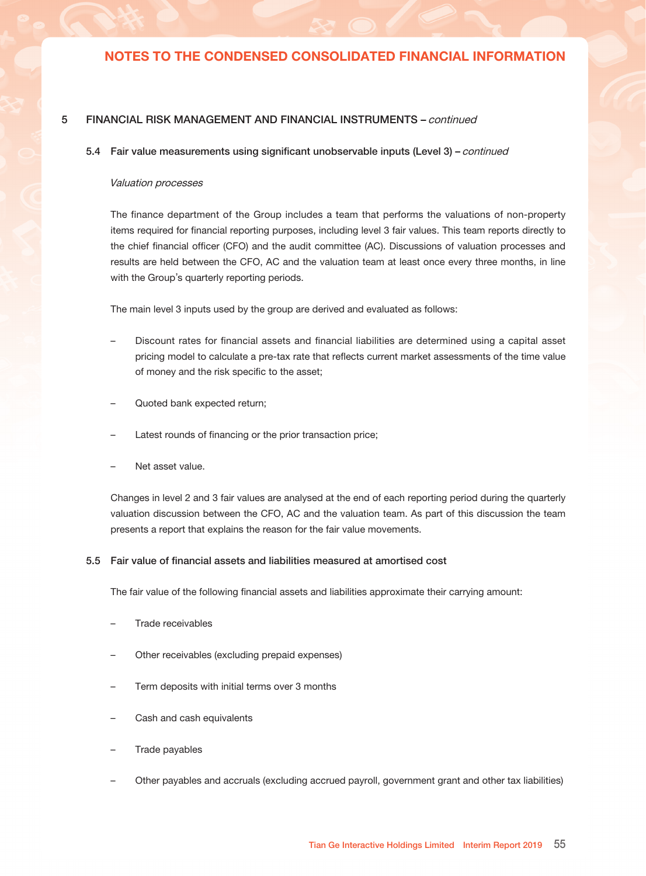### 5 FINANCIAL RISK MANAGEMENT AND FINANCIAL INSTRUMENTS – continued

### 5.4 Fair value measurements using significant unobservable inputs (Level 3) - continued

The following table presents the changes in level 3 instruments as at 30 June 2018.

|                                                                                  | <b>Financial assets</b> |
|----------------------------------------------------------------------------------|-------------------------|
|                                                                                  | at fair value           |
|                                                                                  | through profit          |
|                                                                                  | and loss                |
|                                                                                  | <b>RMB'000</b>          |
|                                                                                  |                         |
| Opening balance at 1 January 2018                                                | 1,582,002               |
| Additions                                                                        | 1,568,719               |
| Step-acquisition of a subsidiary                                                 | 15,082                  |
| <b>Disposals</b>                                                                 | (1,519,507)             |
| Derecognition of Shanghai Benqu from a financial asset through profit or loss    | (31, 870)               |
| Proceeds from investment income of venture capital funds and unlisted equity     |                         |
| investments                                                                      | (25, 708)               |
| Fair value change recognized in consolidated statements of comprehensive         |                         |
| income under 'other gain'                                                        | 230,443                 |
| Investment income recognised in consolidated statements of comprehensive         |                         |
| income under 'other gain'                                                        | 40,679                  |
| Other change                                                                     | 18,228                  |
| Currency translation difference                                                  | 2,478                   |
| Closing balance at 30 June 2018                                                  | 1,880,546               |
| Total unrealised gains for the period included in profit or loss for assets held |                         |
| at the end of the reporting period                                               | 230,443                 |
|                                                                                  |                         |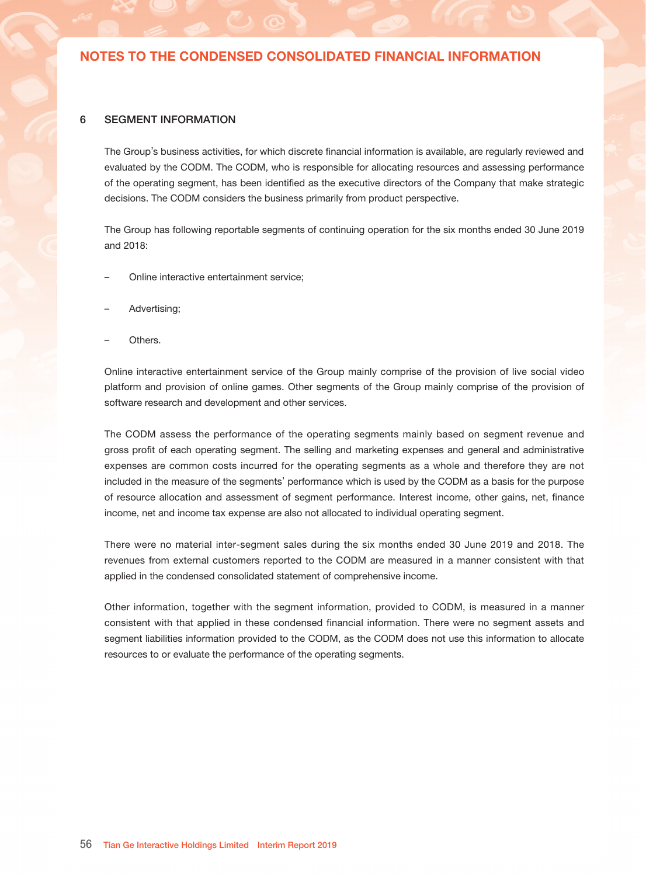### 5 FINANCIAL RISK MANAGEMENT AND FINANCIAL INSTRUMENTS – continued

#### 5.4 Fair value measurements using significant unobservable inputs (Level 3) – continued

#### Valuation processes

The finance department of the Group includes a team that performs the valuations of non-property items required for financial reporting purposes, including level 3 fair values. This team reports directly to the chief financial officer (CFO) and the audit committee (AC). Discussions of valuation processes and results are held between the CFO, AC and the valuation team at least once every three months, in line with the Group's quarterly reporting periods.

The main level 3 inputs used by the group are derived and evaluated as follows:

- Discount rates for financial assets and financial liabilities are determined using a capital asset pricing model to calculate a pre-tax rate that reflects current market assessments of the time value of money and the risk specific to the asset;
- Quoted bank expected return;
- Latest rounds of financing or the prior transaction price;
- Net asset value.

Changes in level 2 and 3 fair values are analysed at the end of each reporting period during the quarterly valuation discussion between the CFO, AC and the valuation team. As part of this discussion the team presents a report that explains the reason for the fair value movements.

#### 5.5 Fair value of financial assets and liabilities measured at amortised cost

The fair value of the following financial assets and liabilities approximate their carrying amount:

- Trade receivables
- Other receivables (excluding prepaid expenses)
- Term deposits with initial terms over 3 months
- Cash and cash equivalents
- Trade payables
- Other payables and accruals (excluding accrued payroll, government grant and other tax liabilities)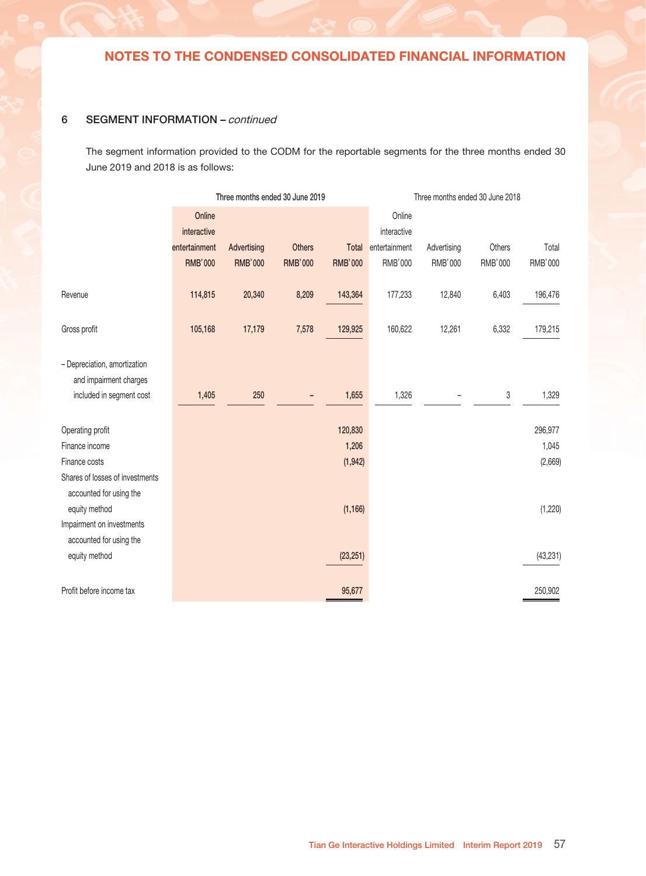### 6 SEGMENT INFORMATION

The Group's business activities, for which discrete financial information is available, are regularly reviewed and evaluated by the CODM. The CODM, who is responsible for allocating resources and assessing performance of the operating segment, has been identified as the executive directors of the Company that make strategic decisions. The CODM considers the business primarily from product perspective.

The Group has following reportable segments of continuing operation for the six months ended 30 June 2019 and 2018:

- Online interactive entertainment service;
- Advertising;
- Others.

Online interactive entertainment service of the Group mainly comprise of the provision of live social video platform and provision of online games. Other segments of the Group mainly comprise of the provision of software research and development and other services.

The CODM assess the performance of the operating segments mainly based on segment revenue and gross profit of each operating segment. The selling and marketing expenses and general and administrative expenses are common costs incurred for the operating segments as a whole and therefore they are not included in the measure of the segments' performance which is used by the CODM as a basis for the purpose of resource allocation and assessment of segment performance. Interest income, other gains, net, finance income, net and income tax expense are also not allocated to individual operating segment.

There were no material inter-segment sales during the six months ended 30 June 2019 and 2018. The revenues from external customers reported to the CODM are measured in a manner consistent with that applied in the condensed consolidated statement of comprehensive income.

Other information, together with the segment information, provided to CODM, is measured in a manner consistent with that applied in these condensed financial information. There were no segment assets and segment liabilities information provided to the CODM, as the CODM does not use this information to allocate resources to or evaluate the performance of the operating segments.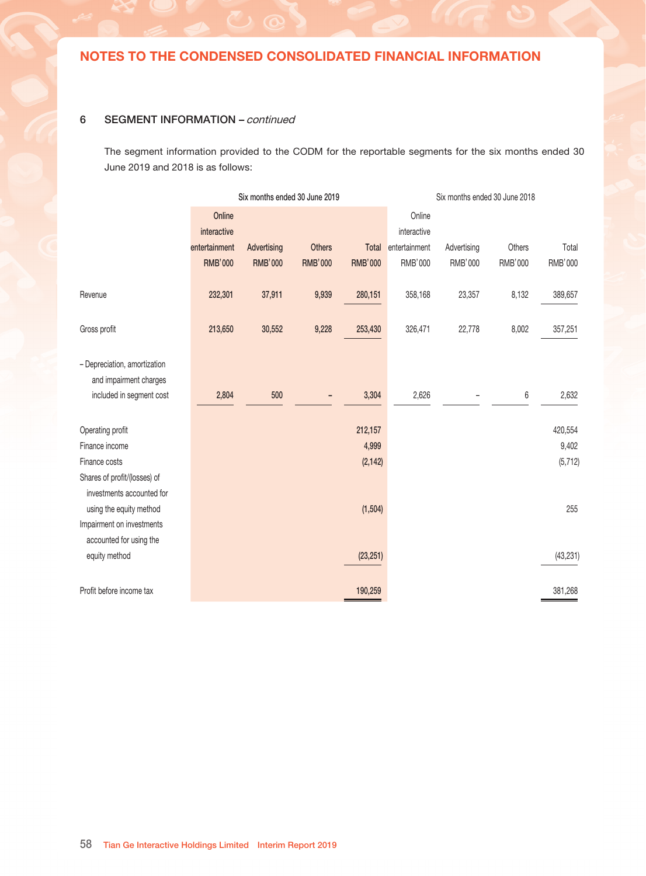### 6 SEGMENT INFORMATION – continued

The segment information provided to the CODM for the reportable segments for the three months ended 30 June 2019 and 2018 is as follows:

|                                 |                       | Three months ended 30 June 2019 |                |                |                       | Three months ended 30 June 2018 |         |                |
|---------------------------------|-----------------------|---------------------------------|----------------|----------------|-----------------------|---------------------------------|---------|----------------|
|                                 | Online<br>interactive |                                 |                |                | Online<br>interactive |                                 |         |                |
|                                 | entertainment         | Advertising                     | <b>Others</b>  | Total          | entertainment         | Advertising                     | Others  | Total          |
|                                 | <b>RMB'000</b>        | <b>RMB'000</b>                  | <b>RMB'000</b> | <b>RMB'000</b> | RMB'000               | RMB'000                         | RMB'000 | <b>RMB'000</b> |
|                                 |                       |                                 |                |                |                       |                                 |         |                |
| Revenue                         | 114,815               | 20,340                          | 8,209          | 143,364        | 177,233               | 12,840                          | 6,403   | 196,476        |
|                                 |                       |                                 |                |                |                       |                                 |         |                |
| Gross profit                    | 105,168               | 17,179                          | 7,578          | 129,925        | 160,622               | 12,261                          | 6,332   | 179,215        |
|                                 |                       |                                 |                |                |                       |                                 |         |                |
| - Depreciation, amortization    |                       |                                 |                |                |                       |                                 |         |                |
| and impairment charges          |                       |                                 |                |                |                       |                                 |         |                |
| included in segment cost        | 1,405                 | 250                             |                | 1,655          | 1,326                 |                                 | 3       | 1,329          |
|                                 |                       |                                 |                |                |                       |                                 |         |                |
| Operating profit                |                       |                                 |                | 120,830        |                       |                                 |         | 296,977        |
| Finance income                  |                       |                                 |                | 1,206          |                       |                                 |         | 1,045          |
| Finance costs                   |                       |                                 |                | (1, 942)       |                       |                                 |         | (2,669)        |
| Shares of losses of investments |                       |                                 |                |                |                       |                                 |         |                |
| accounted for using the         |                       |                                 |                |                |                       |                                 |         |                |
| equity method                   |                       |                                 |                | (1, 166)       |                       |                                 |         | (1,220)        |
| Impairment on investments       |                       |                                 |                |                |                       |                                 |         |                |
| accounted for using the         |                       |                                 |                |                |                       |                                 |         |                |
| equity method                   |                       |                                 |                | (23, 251)      |                       |                                 |         | (43, 231)      |
|                                 |                       |                                 |                |                |                       |                                 |         |                |
| Profit before income tax        |                       |                                 |                | 95,677         |                       |                                 |         | 250,902        |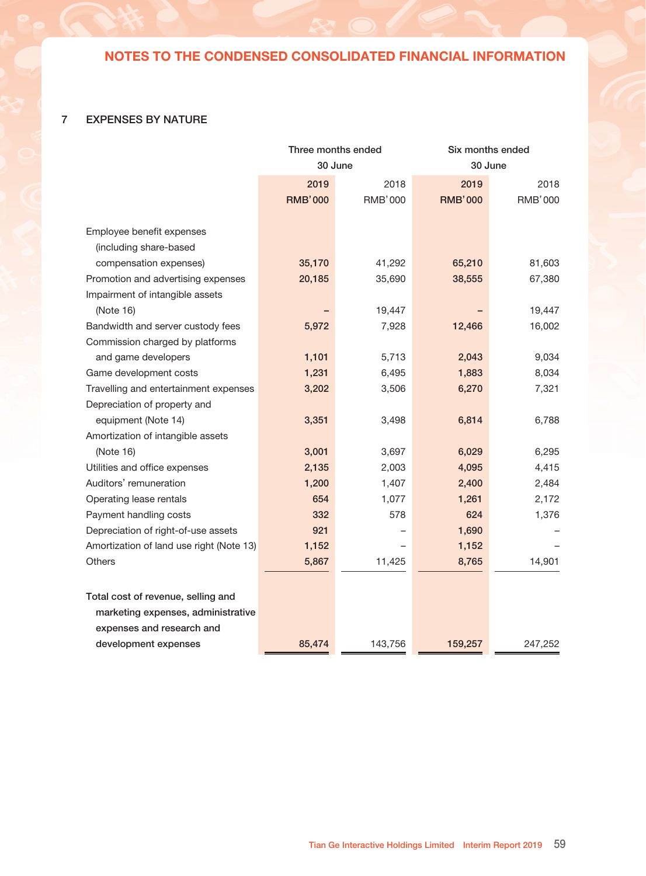### 6 SEGMENT INFORMATION – continued

The segment information provided to the CODM for the reportable segments for the six months ended 30 June 2019 and 2018 is as follows:

|                              |                       | Six months ended 30 June 2019 |                |                |                       | Six months ended 30 June 2018 |         |           |
|------------------------------|-----------------------|-------------------------------|----------------|----------------|-----------------------|-------------------------------|---------|-----------|
|                              | Online<br>interactive |                               |                |                | Online<br>interactive |                               |         |           |
|                              | entertainment         | Advertising                   | <b>Others</b>  | Total          | entertainment         | Advertising                   | Others  | Total     |
|                              | <b>RMB'000</b>        | <b>RMB'000</b>                | <b>RMB'000</b> | <b>RMB'000</b> | RMB'000               | RMB'000                       | RMB'000 | RMB'000   |
| Revenue                      | 232,301               | 37,911                        | 9,939          | 280,151        | 358,168               | 23,357                        | 8,132   | 389,657   |
| Gross profit                 | 213,650               | 30,552                        | 9,228          | 253,430        | 326,471               | 22,778                        | 8,002   | 357,251   |
| - Depreciation, amortization |                       |                               |                |                |                       |                               |         |           |
| and impairment charges       |                       |                               |                |                |                       |                               |         |           |
| included in segment cost     | 2,804                 | 500                           |                | 3,304          | 2,626                 |                               | 6       | 2,632     |
| Operating profit             |                       |                               |                | 212,157        |                       |                               |         | 420,554   |
| Finance income               |                       |                               |                | 4,999          |                       |                               |         | 9,402     |
| Finance costs                |                       |                               |                | (2, 142)       |                       |                               |         | (5, 712)  |
| Shares of profit/(losses) of |                       |                               |                |                |                       |                               |         |           |
| investments accounted for    |                       |                               |                |                |                       |                               |         |           |
| using the equity method      |                       |                               |                | (1, 504)       |                       |                               |         | 255       |
| Impairment on investments    |                       |                               |                |                |                       |                               |         |           |
| accounted for using the      |                       |                               |                |                |                       |                               |         |           |
| equity method                |                       |                               |                | (23, 251)      |                       |                               |         | (43, 231) |
| Profit before income tax     |                       |                               |                | 190,259        |                       |                               |         | 381,268   |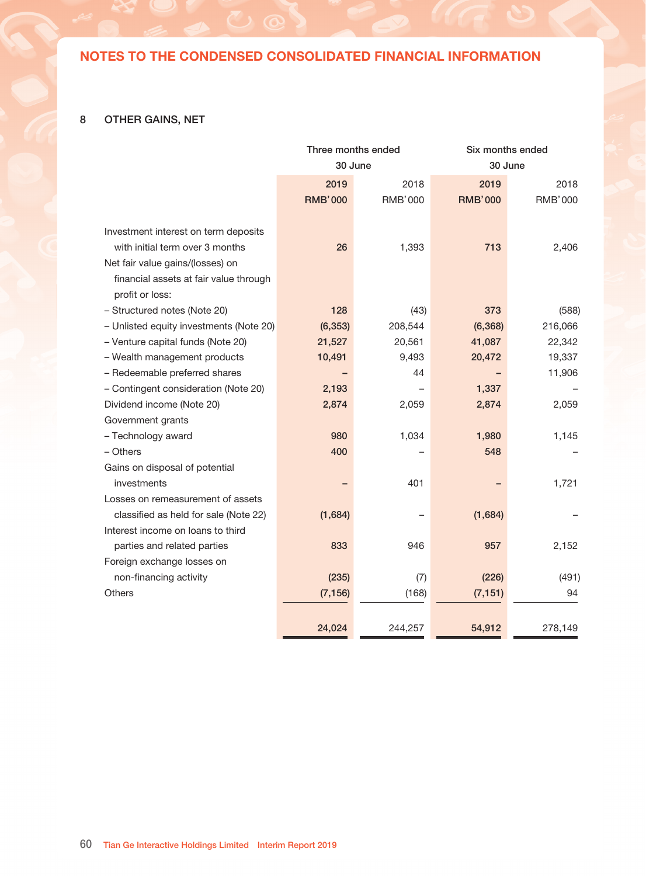## 7 EXPENSES BY NATURE

|                                          | Three months ended |                |                | Six months ended |
|------------------------------------------|--------------------|----------------|----------------|------------------|
|                                          |                    | 30 June        | 30 June        |                  |
|                                          | 2019               | 2018           | 2019           | 2018             |
|                                          | <b>RMB'000</b>     | <b>RMB'000</b> | <b>RMB'000</b> | <b>RMB'000</b>   |
|                                          |                    |                |                |                  |
| Employee benefit expenses                |                    |                |                |                  |
| (including share-based                   |                    |                |                |                  |
| compensation expenses)                   | 35,170             | 41,292         | 65,210         | 81,603           |
| Promotion and advertising expenses       | 20,185             | 35,690         | 38,555         | 67,380           |
| Impairment of intangible assets          |                    |                |                |                  |
| (Note 16)                                |                    | 19,447         |                | 19,447           |
| Bandwidth and server custody fees        | 5,972              | 7,928          | 12,466         | 16,002           |
| Commission charged by platforms          |                    |                |                |                  |
| and game developers                      | 1,101              | 5,713          | 2,043          | 9,034            |
| Game development costs                   | 1,231              | 6,495          | 1,883          | 8,034            |
| Travelling and entertainment expenses    | 3,202              | 3,506          | 6,270          | 7,321            |
| Depreciation of property and             |                    |                |                |                  |
| equipment (Note 14)                      | 3,351              | 3,498          | 6,814          | 6,788            |
| Amortization of intangible assets        |                    |                |                |                  |
| (Note 16)                                | 3,001              | 3,697          | 6,029          | 6,295            |
| Utilities and office expenses            | 2,135              | 2,003          | 4,095          | 4,415            |
| Auditors' remuneration                   | 1,200              | 1,407          | 2,400          | 2,484            |
| Operating lease rentals                  | 654                | 1,077          | 1,261          | 2,172            |
| Payment handling costs                   | 332                | 578            | 624            | 1,376            |
| Depreciation of right-of-use assets      | 921                |                | 1,690          |                  |
| Amortization of land use right (Note 13) | 1,152              |                | 1,152          |                  |
| Others                                   | 5,867              | 11,425         | 8,765          | 14,901           |
|                                          |                    |                |                |                  |
| Total cost of revenue, selling and       |                    |                |                |                  |
| marketing expenses, administrative       |                    |                |                |                  |
| expenses and research and                |                    |                |                |                  |
| development expenses                     | 85,474             | 143,756        | 159,257        | 247,252          |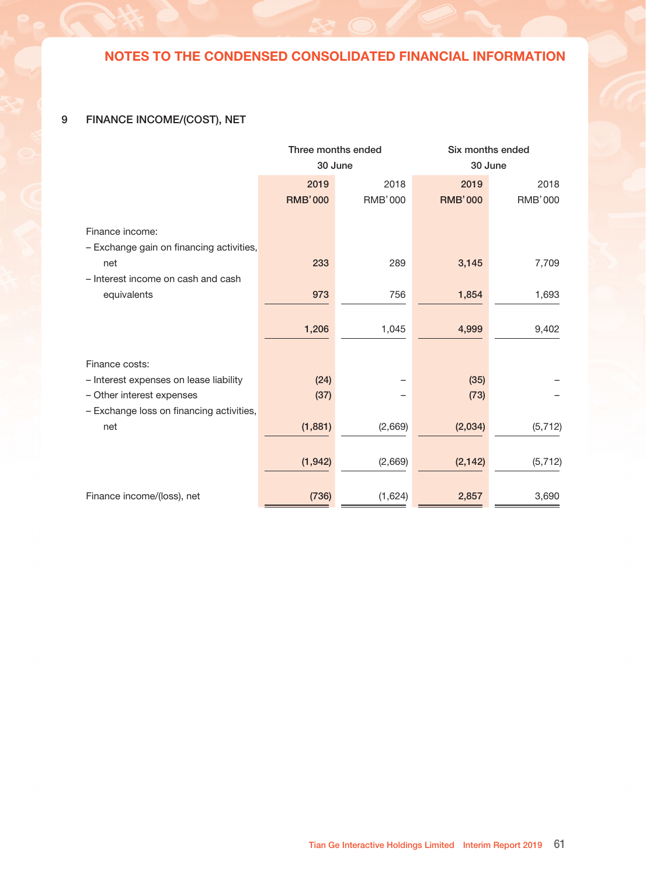### 8 OTHER GAINS, NET

|                                                           | Three months ended |                | Six months ended |                |
|-----------------------------------------------------------|--------------------|----------------|------------------|----------------|
|                                                           | 30 June            |                | 30 June          |                |
|                                                           | 2019               | 2018           | 2019             | 2018           |
|                                                           | <b>RMB'000</b>     | <b>RMB'000</b> | <b>RMB'000</b>   | <b>RMB'000</b> |
|                                                           |                    |                |                  |                |
| Investment interest on term deposits                      |                    |                |                  |                |
| with initial term over 3 months                           | 26                 | 1,393          | 713              | 2,406          |
| Net fair value gains/(losses) on                          |                    |                |                  |                |
| financial assets at fair value through<br>profit or loss: |                    |                |                  |                |
| - Structured notes (Note 20)                              | 128                | (43)           | 373              | (588)          |
| - Unlisted equity investments (Note 20)                   | (6, 353)           | 208,544        | (6, 368)         | 216,066        |
| - Venture capital funds (Note 20)                         | 21,527             | 20,561         | 41,087           | 22,342         |
| - Wealth management products                              | 10,491             | 9,493          | 20,472           | 19,337         |
| - Redeemable preferred shares                             |                    | 44             |                  | 11,906         |
| - Contingent consideration (Note 20)                      | 2,193              |                | 1,337            |                |
| Dividend income (Note 20)                                 | 2,874              | 2,059          | 2,874            | 2,059          |
| Government grants                                         |                    |                |                  |                |
| - Technology award                                        | 980                | 1,034          | 1,980            | 1,145          |
| - Others                                                  | 400                |                | 548              |                |
| Gains on disposal of potential                            |                    |                |                  |                |
| investments                                               |                    | 401            |                  | 1,721          |
| Losses on remeasurement of assets                         |                    |                |                  |                |
| classified as held for sale (Note 22)                     | (1,684)            |                | (1,684)          |                |
| Interest income on loans to third                         |                    |                |                  |                |
| parties and related parties                               | 833                | 946            | 957              | 2,152          |
| Foreign exchange losses on                                |                    |                |                  |                |
| non-financing activity                                    | (235)              | (7)            | (226)            | (491)          |
| Others                                                    | (7, 156)           | (168)          | (7, 151)         | 94             |
|                                                           |                    |                |                  |                |
|                                                           | 24,024             | 244,257        | 54,912           | 278,149        |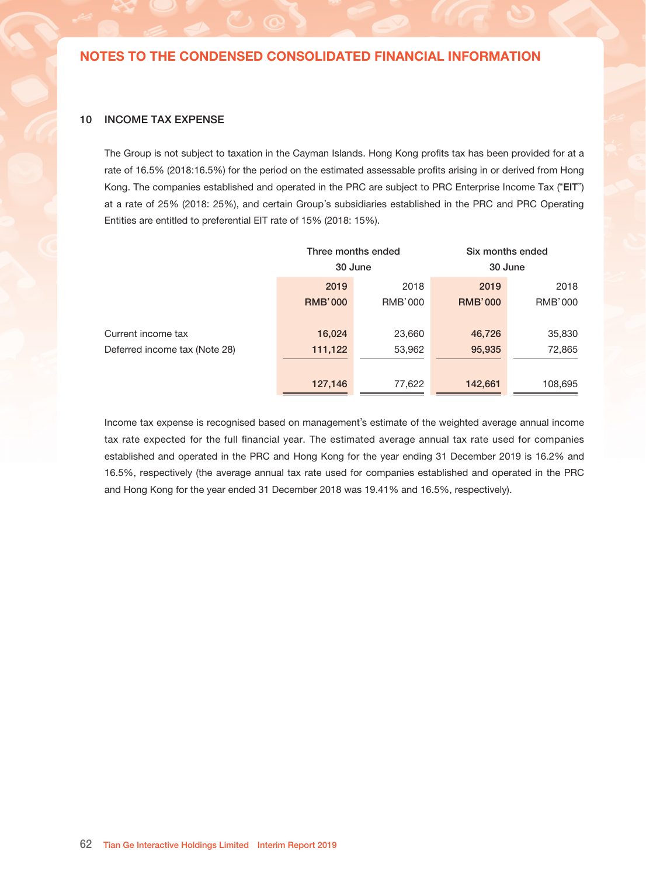# 9 FINANCE INCOME/(COST), NET

|                                          | Three months ended |                | Six months ended |                |
|------------------------------------------|--------------------|----------------|------------------|----------------|
|                                          |                    | 30 June        | 30 June          |                |
|                                          | 2019               | 2018           | 2019             | 2018           |
|                                          | <b>RMB'000</b>     | <b>RMB'000</b> | <b>RMB'000</b>   | <b>RMB'000</b> |
| Finance income:                          |                    |                |                  |                |
| - Exchange gain on financing activities, |                    |                |                  |                |
| net                                      | 233                | 289            | 3,145            | 7,709          |
| - Interest income on cash and cash       |                    |                |                  |                |
| equivalents                              | 973                | 756            | 1,854            | 1,693          |
|                                          |                    |                |                  |                |
|                                          | 1,206              | 1,045          | 4,999            | 9,402          |
|                                          |                    |                |                  |                |
| Finance costs:                           |                    |                |                  |                |
| - Interest expenses on lease liability   | (24)               |                | (35)             |                |
| - Other interest expenses                | (37)               |                | (73)             |                |
| - Exchange loss on financing activities, |                    |                |                  |                |
| net                                      | (1,881)            | (2,669)        | (2,034)          | (5, 712)       |
|                                          |                    |                |                  |                |
|                                          | (1, 942)           | (2,669)        | (2, 142)         | (5, 712)       |
|                                          |                    |                |                  |                |
| Finance income/(loss), net               | (736)              | (1,624)        | 2,857            | 3,690          |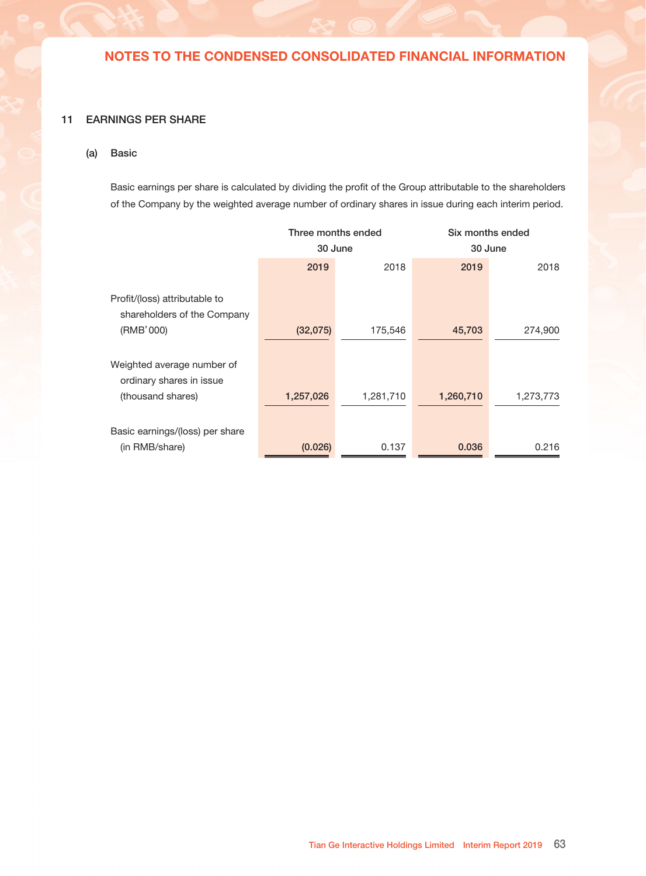### 10 INCOME TAX EXPENSE

The Group is not subject to taxation in the Cayman Islands. Hong Kong profits tax has been provided for at a rate of 16.5% (2018:16.5%) for the period on the estimated assessable profits arising in or derived from Hong Kong. The companies established and operated in the PRC are subject to PRC Enterprise Income Tax ("EIT") at a rate of 25% (2018: 25%), and certain Group's subsidiaries established in the PRC and PRC Operating Entities are entitled to preferential EIT rate of 15% (2018: 15%).

|                               |                | Three months ended | Six months ended |                |
|-------------------------------|----------------|--------------------|------------------|----------------|
|                               |                | 30 June            | 30 June          |                |
|                               | 2019           | 2018               | 2019             | 2018           |
|                               | <b>RMB'000</b> | <b>RMB'000</b>     | <b>RMB'000</b>   | <b>RMB'000</b> |
|                               |                |                    |                  |                |
| Current income tax            | 16,024         | 23,660             | 46,726           | 35,830         |
| Deferred income tax (Note 28) | 111,122        | 53,962             | 95,935           | 72,865         |
|                               |                |                    |                  |                |
|                               | 127,146        | 77,622             | 142,661          | 108,695        |

Income tax expense is recognised based on management's estimate of the weighted average annual income tax rate expected for the full financial year. The estimated average annual tax rate used for companies established and operated in the PRC and Hong Kong for the year ending 31 December 2019 is 16.2% and 16.5%, respectively (the average annual tax rate used for companies established and operated in the PRC and Hong Kong for the year ended 31 December 2018 was 19.41% and 16.5%, respectively).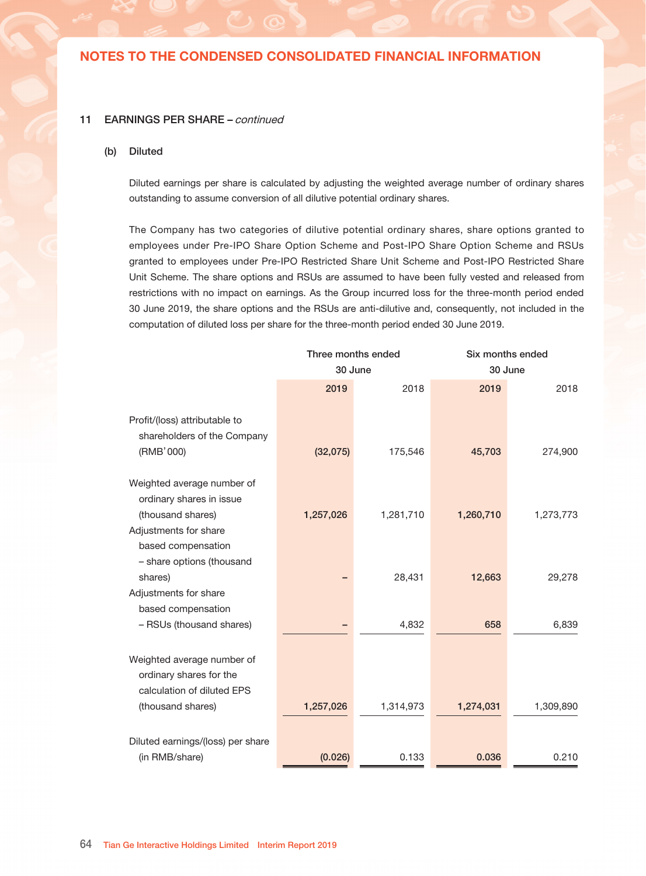### 11 EARNINGS PER SHARE

### (a) Basic

Basic earnings per share is calculated by dividing the profit of the Group attributable to the shareholders of the Company by the weighted average number of ordinary shares in issue during each interim period.

|                                                              | Three months ended |           | Six months ended |           |
|--------------------------------------------------------------|--------------------|-----------|------------------|-----------|
|                                                              | 30 June            |           | 30 June          |           |
|                                                              | 2019               | 2018      | 2019             | 2018      |
| Profit/(loss) attributable to<br>shareholders of the Company |                    |           |                  |           |
| (RMB'000)                                                    | (32,075)           | 175,546   | 45,703           | 274,900   |
| Weighted average number of<br>ordinary shares in issue       |                    |           |                  |           |
| (thousand shares)                                            | 1,257,026          | 1,281,710 | 1,260,710        | 1,273,773 |
| Basic earnings/(loss) per share                              |                    |           |                  |           |
| (in RMB/share)                                               | (0.026)            | 0.137     | 0.036            | 0.216     |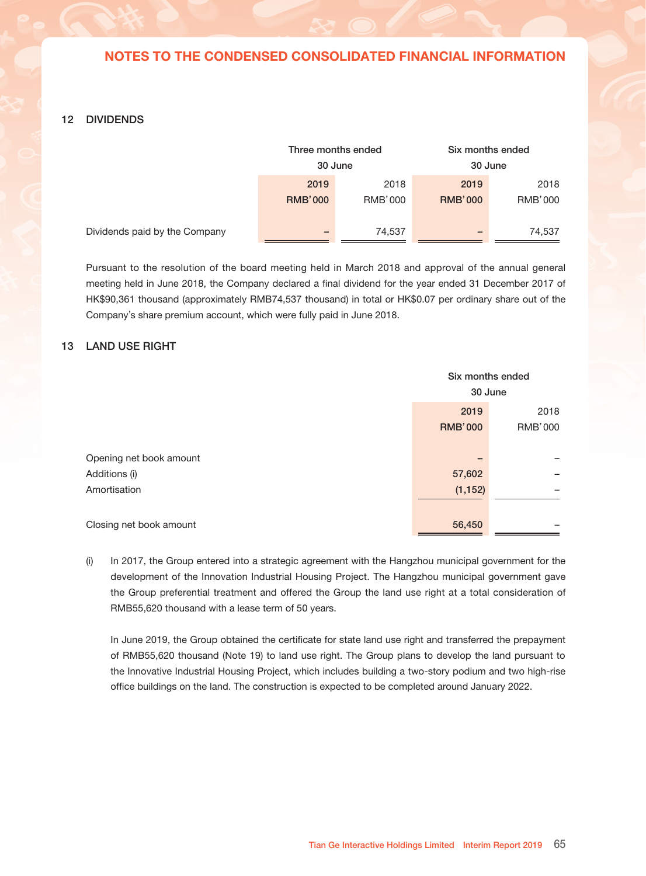#### 11 EARNINGS PER SHARE – continued

#### (b) Diluted

Diluted earnings per share is calculated by adjusting the weighted average number of ordinary shares outstanding to assume conversion of all dilutive potential ordinary shares.

The Company has two categories of dilutive potential ordinary shares, share options granted to employees under Pre-IPO Share Option Scheme and Post-IPO Share Option Scheme and RSUs granted to employees under Pre-IPO Restricted Share Unit Scheme and Post-IPO Restricted Share Unit Scheme. The share options and RSUs are assumed to have been fully vested and released from restrictions with no impact on earnings. As the Group incurred loss for the three-month period ended 30 June 2019, the share options and the RSUs are anti-dilutive and, consequently, not included in the computation of diluted loss per share for the three-month period ended 30 June 2019.

|                                   | Three months ended |           |           | Six months ended |
|-----------------------------------|--------------------|-----------|-----------|------------------|
|                                   | 30 June            |           |           | 30 June          |
|                                   | 2019               | 2018      | 2019      | 2018             |
|                                   |                    |           |           |                  |
| Profit/(loss) attributable to     |                    |           |           |                  |
| shareholders of the Company       |                    |           |           |                  |
| (RMB'000)                         | (32,075)           | 175,546   | 45,703    | 274,900          |
| Weighted average number of        |                    |           |           |                  |
| ordinary shares in issue          |                    |           |           |                  |
| (thousand shares)                 | 1,257,026          | 1,281,710 | 1,260,710 | 1,273,773        |
| Adjustments for share             |                    |           |           |                  |
| based compensation                |                    |           |           |                  |
| - share options (thousand         |                    |           |           |                  |
| shares)                           |                    | 28,431    | 12,663    | 29,278           |
| Adjustments for share             |                    |           |           |                  |
| based compensation                |                    |           |           |                  |
| - RSUs (thousand shares)          |                    | 4,832     | 658       | 6,839            |
|                                   |                    |           |           |                  |
| Weighted average number of        |                    |           |           |                  |
| ordinary shares for the           |                    |           |           |                  |
| calculation of diluted EPS        |                    |           |           |                  |
| (thousand shares)                 | 1,257,026          | 1,314,973 | 1,274,031 | 1,309,890        |
|                                   |                    |           |           |                  |
| Diluted earnings/(loss) per share |                    |           |           |                  |
| (in RMB/share)                    | (0.026)            | 0.133     | 0.036     | 0.210            |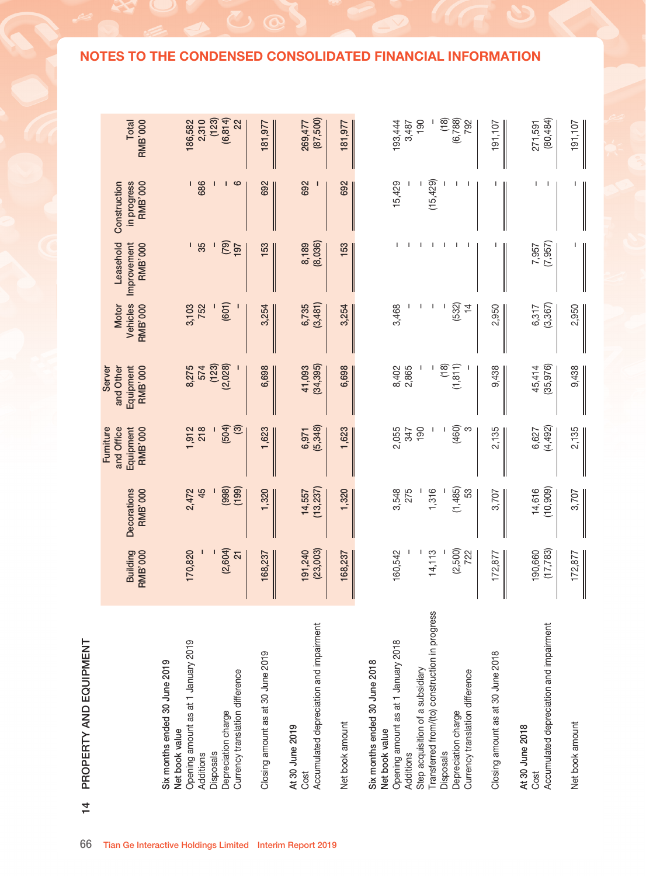#### 12 DIVIDENDS

|             | Three months ended<br>30 June |                        | Six months ended<br>30 June |                 |
|-------------|-------------------------------|------------------------|-----------------------------|-----------------|
|             | 2019<br><b>RMB'000</b>        | 2018<br><b>RMB'000</b> | 2019<br><b>RMB'000</b>      | 2018<br>RMB'000 |
| the Company | $\overline{\phantom{a}}$      | 74,537                 |                             | 74,537          |

Dividends paid by

Pursuant to the resolution of the board meeting held in March 2018 and approval of the annual general meeting held in June 2018, the Company declared a final dividend for the year ended 31 December 2017 of HK\$90,361 thousand (approximately RMB74,537 thousand) in total or HK\$0.07 per ordinary share out of the Company's share premium account, which were fully paid in June 2018.

### 13 LAND USE RIGHT

|                         | Six months ended<br>30 June |         |
|-------------------------|-----------------------------|---------|
|                         | 2019                        | 2018    |
|                         | <b>RMB'000</b>              | RMB'000 |
|                         |                             |         |
| Opening net book amount |                             |         |
| Additions (i)           | 57,602                      |         |
| Amortisation            | (1, 152)                    |         |
|                         |                             |         |
| Closing net book amount | 56,450                      |         |

(i) In 2017, the Group entered into a strategic agreement with the Hangzhou municipal government for the development of the Innovation Industrial Housing Project. The Hangzhou municipal government gave the Group preferential treatment and offered the Group the land use right at a total consideration of RMB55,620 thousand with a lease term of 50 years.

In June 2019, the Group obtained the certificate for state land use right and transferred the prepayment of RMB55,620 thousand (Note 19) to land use right. The Group plans to develop the land pursuant to the Innovative Industrial Housing Project, which includes building a two-story podium and two high-rise office buildings on the land. The construction is expected to be completed around January 2022.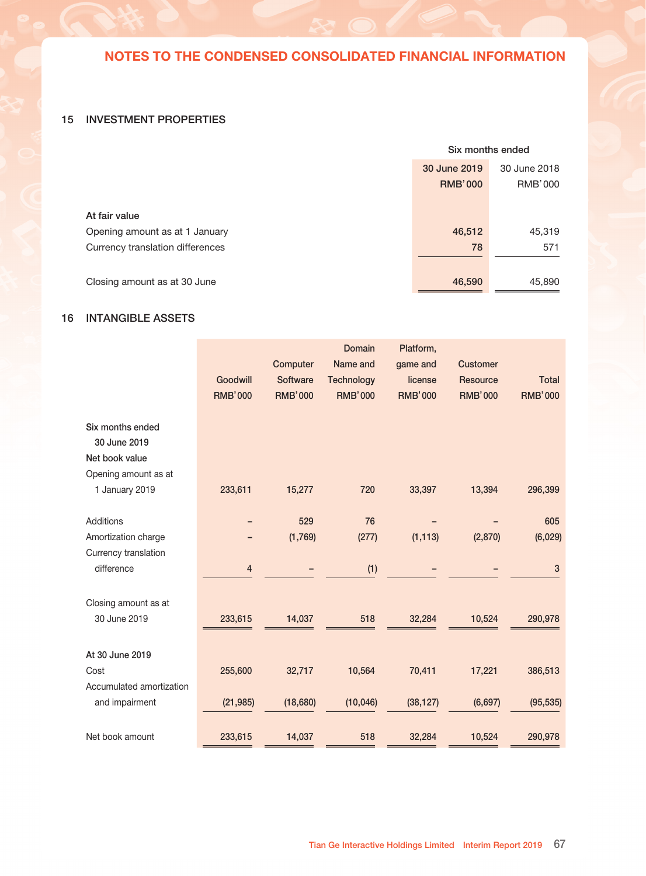| $\overline{4}$ | PROPERTY AND EQUIPMENT                                                                                                                                                                                                                                                  |                                      |                                        |                                                       |                                                    |                                            |                                            |                                               |                                                   |
|----------------|-------------------------------------------------------------------------------------------------------------------------------------------------------------------------------------------------------------------------------------------------------------------------|--------------------------------------|----------------------------------------|-------------------------------------------------------|----------------------------------------------------|--------------------------------------------|--------------------------------------------|-----------------------------------------------|---------------------------------------------------|
|                |                                                                                                                                                                                                                                                                         | <b>Building</b><br><b>RMB'000</b>    | <b>Decorations</b><br><b>RMB'000</b>   | and Office<br>Equipment<br>Fumiture<br><b>RMB'000</b> | and Other<br>Equipment<br><b>RMB'000</b><br>Server | Vehicles<br><b>Motor</b><br><b>RMB'000</b> | Improvement<br><b>RMB'000</b><br>Leasehold | in progress<br><b>RMB'000</b><br>Construction | <b>Total</b><br><b>RMB'000</b>                    |
|                | Opening amount as at 1 January 2019<br>Six months ended 30 June 2019<br>Currency translation difference<br>Depreciation charge<br>Net book value<br><b>Disposals</b><br>Additions                                                                                       | (2,604)<br>170,820<br>21             | (998)<br>(199)<br>2,472<br>45          | (504)<br><u>ල</u><br>1,912<br>218                     | $(123)$<br>$(2,028)$<br>8,275<br>574               | (601)<br>3,103<br>752                      | (79)<br>35<br>I.<br>197                    | 686<br>ဖ<br>т                                 | (123)<br>(6, 814)<br>2,310<br>22<br>186,582       |
|                | Closing amount as at 30 June 2019                                                                                                                                                                                                                                       | 168,237                              | 1,320                                  | 1,623                                                 | 6,698                                              | 3,254                                      | 153                                        | 692                                           | 181,977                                           |
|                | Accumulated depreciation and impairment<br>At 30 June 2019<br>Cost                                                                                                                                                                                                      | (23,003)<br>191,240                  | (13, 237)<br>14,557                    | (5,348)<br>6,971                                      | (34, 395)<br>41,093                                | (3,481)<br>6,735                           | (8,036)<br>8,189                           | 692                                           | (87, 500)<br>269,477                              |
|                | Net book amount                                                                                                                                                                                                                                                         | 168,237                              | 1,320                                  | 1,623                                                 | 6,698                                              | 3,254                                      | 153                                        | 692                                           | 181,977                                           |
|                | Transferred from/(to) construction in progress<br>Opening amount as at 1 January 2018<br>Six months ended 30 June 2018<br>Step acquisition of a subsidiary<br>Currency translation difference<br>Depreciation charge<br>Net book value<br>Additions<br><b>Disposals</b> | (2,500)<br>160,542<br>14, 113<br>722 | (1,485)<br>275<br>3,548<br>1,316<br>S3 | (460)<br>2,055<br>190<br>347                          | (18)<br>(1, 811)<br>2,865<br>8,402                 | (532)<br>3,468<br>$\overline{4}$           | т<br>J.<br>T<br>I<br>т                     | (15, 429)<br>15,429                           | (18)<br>(6,788)<br>190<br>792<br>193,444<br>3,487 |
|                | Closing amount as at 30 June 2018                                                                                                                                                                                                                                       | 172,877                              | 3,707                                  | 2,135                                                 | 9,438                                              | 2,950                                      |                                            |                                               | 191,107                                           |
|                | Accumulated depreciation and impairment<br>Net book amount<br>At 30 June 2018<br>Cost                                                                                                                                                                                   | (17, 783)<br>190,660<br>172,877      | (10, 909)<br>14,616<br>3,707           | (4,492)<br>6,627<br>2,135                             | (35, 976)<br>45,414<br>9,438                       | (3, 367)<br>6,317<br>2,950                 | 7,957<br>7,957                             | п                                             | (80, 484)<br>271,591<br>191,107                   |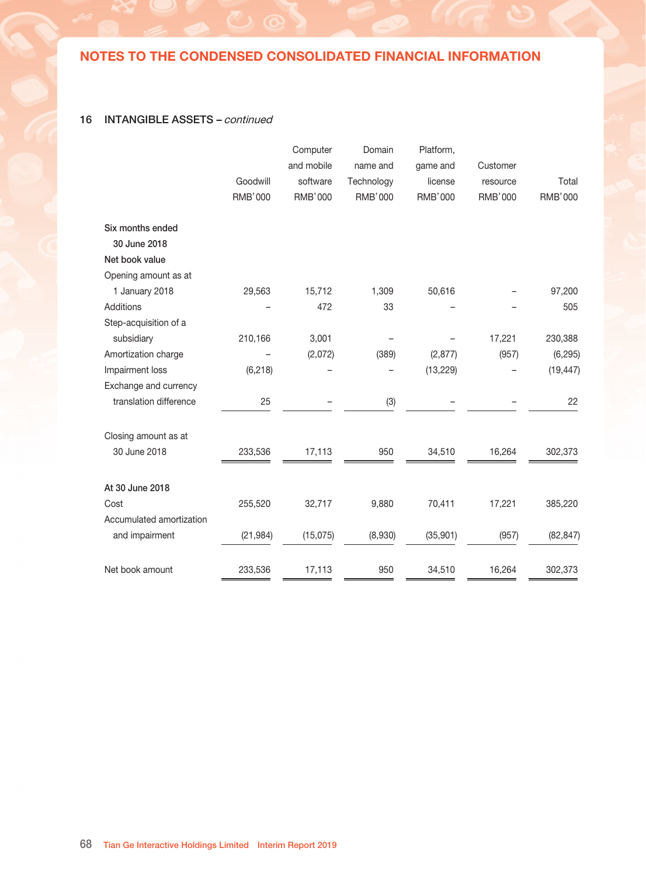### 15 INVESTMENT PROPERTIES

|                                  | Six months ended |              |  |
|----------------------------------|------------------|--------------|--|
|                                  | 30 June 2019     | 30 June 2018 |  |
|                                  | <b>RMB'000</b>   | RMB'000      |  |
|                                  |                  |              |  |
| At fair value                    |                  |              |  |
| Opening amount as at 1 January   | 46,512           | 45,319       |  |
| Currency translation differences | 78               | 571          |  |
|                                  |                  |              |  |
| Closing amount as at 30 June     | 46,590           | 45,890       |  |

# 16 INTANGIBLE ASSETS

|                                                     | Goodwill<br><b>RMB'000</b> | Computer<br><b>Software</b><br><b>RMB'000</b> | <b>Domain</b><br>Name and<br><b>Technology</b><br><b>RMB'000</b> | Platform,<br>game and<br>license<br><b>RMB'000</b> | <b>Customer</b><br><b>Resource</b><br><b>RMB'000</b> | <b>Total</b><br><b>RMB'000</b> |
|-----------------------------------------------------|----------------------------|-----------------------------------------------|------------------------------------------------------------------|----------------------------------------------------|------------------------------------------------------|--------------------------------|
| Six months ended<br>30 June 2019<br>Net book value  |                            |                                               |                                                                  |                                                    |                                                      |                                |
| Opening amount as at<br>1 January 2019              | 233,611                    | 15,277                                        | 720                                                              | 33,397                                             | 13,394                                               | 296,399                        |
| Additions<br>Amortization charge                    |                            | 529<br>(1,769)                                | 76<br>(277)                                                      | (1, 113)                                           | (2,870)                                              | 605<br>(6,029)                 |
| Currency translation<br>difference                  | 4                          |                                               | (1)                                                              |                                                    |                                                      | $\mathbf{3}$                   |
| Closing amount as at<br>30 June 2019                | 233,615                    | 14,037                                        | 518                                                              | 32,284                                             | 10,524                                               | 290,978                        |
| At 30 June 2019<br>Cost<br>Accumulated amortization | 255,600                    | 32,717                                        | 10,564                                                           | 70,411                                             | 17,221                                               | 386,513                        |
| and impairment                                      | (21, 985)                  | (18,680)                                      | (10, 046)                                                        | (38, 127)                                          | (6,697)                                              | (95, 535)                      |
| Net book amount                                     | 233,615                    | 14,037                                        | 518                                                              | 32,284                                             | 10,524                                               | 290,978                        |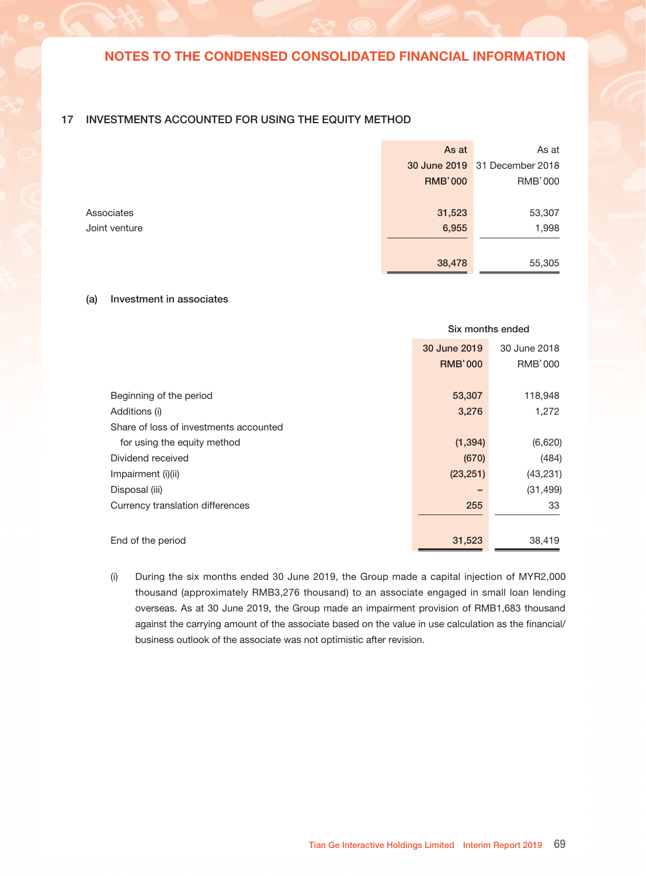### 16 INTANGIBLE ASSETS - continued

|                | Computer       | Domain         | Platform,      |                |                |
|----------------|----------------|----------------|----------------|----------------|----------------|
|                | and mobile     | name and       | game and       | Customer       |                |
| Goodwill       | software       | Technology     | license        | resource       | Total          |
| <b>RMB'000</b> | <b>RMB'000</b> | <b>RMB'000</b> | <b>RMB'000</b> | <b>RMB'000</b> | <b>RMB'000</b> |
|                |                |                |                |                |                |
|                |                |                |                |                |                |
|                |                |                |                |                |                |
|                |                |                |                |                |                |
| 29,563         | 15,712         | 1,309          | 50,616         |                | 97,200         |
|                | 472            | 33             |                |                | 505            |
|                |                |                |                |                |                |
| 210,166        | 3,001          |                |                | 17,221         | 230,388        |
|                | (2,072)        | (389)          | (2, 877)       | (957)          | (6, 295)       |
| (6, 218)       |                |                | (13, 229)      |                | (19, 447)      |
|                |                |                |                |                |                |
| 25             |                | (3)            |                |                | 22             |
|                |                |                |                |                |                |
| 233,536        | 17,113         | 950            | 34,510         | 16,264         | 302,373        |
|                |                |                |                |                |                |
|                |                |                |                |                | 385,220        |
|                |                |                |                |                |                |
| (21, 984)      | (15,075)       | (8,930)        | (35, 901)      | (957)          | (82, 847)      |
| 233,536        | 17,113         | 950            | 34,510         | 16,264         | 302,373        |
|                | 255,520        | 32,717         | 9,880          | 70,411         | 17,221         |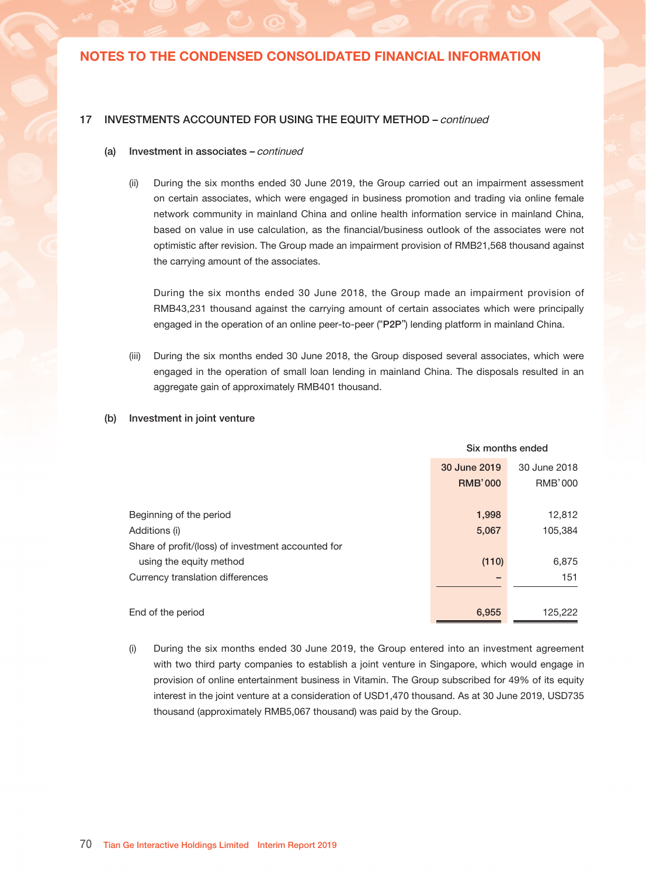### 17 INVESTMENTS ACCOUNTED FOR USING THE EQUITY METHOD

| As at          | As at                         |
|----------------|-------------------------------|
|                | 30 June 2019 31 December 2018 |
| <b>RMB'000</b> | RMB'000                       |
|                |                               |
| 31,523         | 53,307                        |
| 6,955          | 1,998                         |
|                |                               |
| 38,478         | 55,305                        |
|                |                               |

#### (a) Investment in associates

|                                        | Six months ended |                |  |
|----------------------------------------|------------------|----------------|--|
|                                        | 30 June 2019     | 30 June 2018   |  |
|                                        | <b>RMB'000</b>   | <b>RMB'000</b> |  |
|                                        |                  |                |  |
| Beginning of the period                | 53,307           | 118,948        |  |
| Additions (i)                          | 3,276            | 1,272          |  |
| Share of loss of investments accounted |                  |                |  |
| for using the equity method            | (1, 394)         | (6,620)        |  |
| Dividend received                      | (670)            | (484)          |  |
| Impairment (i)(ii)                     | (23, 251)        | (43, 231)      |  |
| Disposal (iii)                         |                  | (31, 499)      |  |
| Currency translation differences       | 255              | 33             |  |
|                                        |                  |                |  |
| End of the period                      | 31,523           | 38,419         |  |

(i) During the six months ended 30 June 2019, the Group made a capital injection of MYR2,000 thousand (approximately RMB3,276 thousand) to an associate engaged in small loan lending overseas. As at 30 June 2019, the Group made an impairment provision of RMB1,683 thousand against the carrying amount of the associate based on the value in use calculation as the financial/ business outlook of the associate was not optimistic after revision.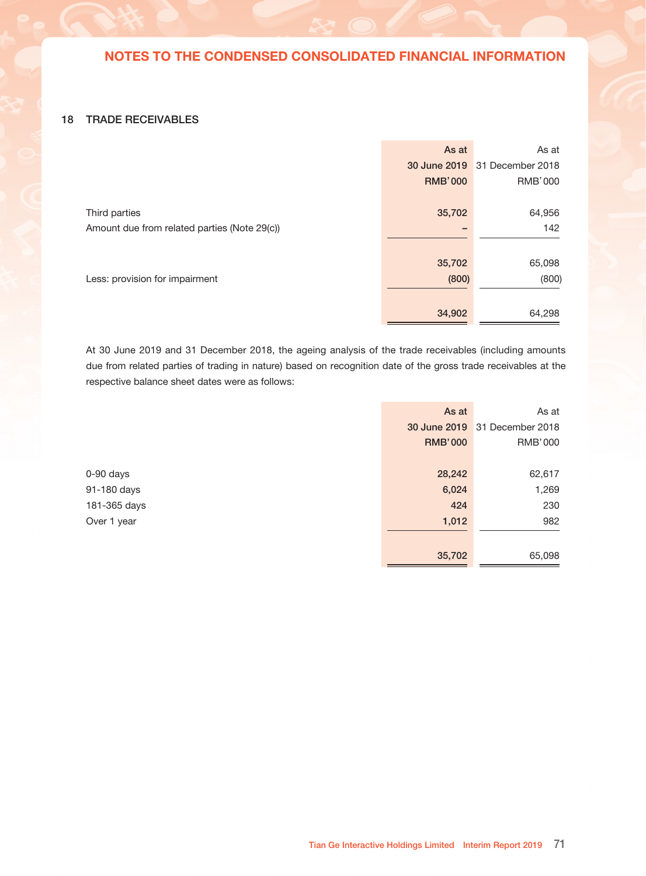#### 17 INVESTMENTS ACCOUNTED FOR USING THE EQUITY METHOD – continued

#### (a) Investment in associates – continued

(ii) During the six months ended 30 June 2019, the Group carried out an impairment assessment on certain associates, which were engaged in business promotion and trading via online female network community in mainland China and online health information service in mainland China, based on value in use calculation, as the financial/business outlook of the associates were not optimistic after revision. The Group made an impairment provision of RMB21,568 thousand against the carrying amount of the associates.

During the six months ended 30 June 2018, the Group made an impairment provision of RMB43,231 thousand against the carrying amount of certain associates which were principally engaged in the operation of an online peer-to-peer ("P2P") lending platform in mainland China.

- (iii) During the six months ended 30 June 2018, the Group disposed several associates, which were engaged in the operation of small loan lending in mainland China. The disposals resulted in an aggregate gain of approximately RMB401 thousand.
- (b) Investment in joint venture

|                                                    | Six months ended |                |  |
|----------------------------------------------------|------------------|----------------|--|
|                                                    | 30 June 2019     | 30 June 2018   |  |
|                                                    | <b>RMB'000</b>   | <b>RMB'000</b> |  |
|                                                    |                  |                |  |
| Beginning of the period                            | 1,998            | 12,812         |  |
| Additions (i)                                      | 5,067            | 105,384        |  |
| Share of profit/(loss) of investment accounted for |                  |                |  |
| using the equity method                            | (110)            | 6,875          |  |
| Currency translation differences                   |                  | 151            |  |
|                                                    |                  |                |  |
| End of the period                                  | 6,955            | 125,222        |  |

(i) During the six months ended 30 June 2019, the Group entered into an investment agreement with two third party companies to establish a joint venture in Singapore, which would engage in provision of online entertainment business in Vitamin. The Group subscribed for 49% of its equity interest in the joint venture at a consideration of USD1,470 thousand. As at 30 June 2019, USD735 thousand (approximately RMB5,067 thousand) was paid by the Group.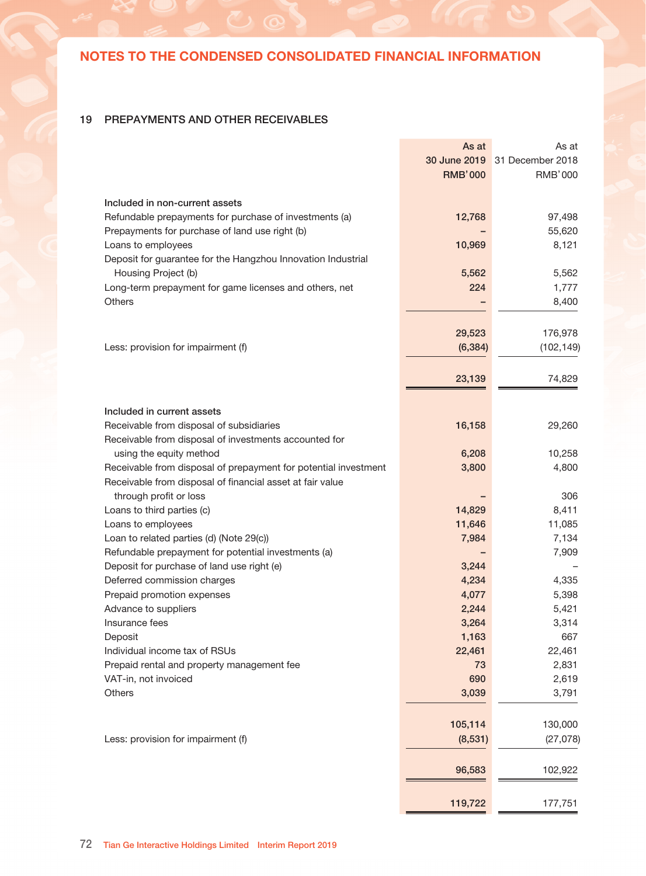### 18 TRADE RECEIVABLES

|                                              | As at          | As at                         |
|----------------------------------------------|----------------|-------------------------------|
|                                              |                | 30 June 2019 31 December 2018 |
|                                              | <b>RMB'000</b> | <b>RMB'000</b>                |
| Third parties                                | 35,702         | 64,956                        |
| Amount due from related parties (Note 29(c)) |                | 142                           |
|                                              | 35,702         | 65,098                        |
| Less: provision for impairment               | (800)          | (800)                         |
|                                              | 34,902         | 64,298                        |

At 30 June 2019 and 31 December 2018, the ageing analysis of the trade receivables (including amounts due from related parties of trading in nature) based on recognition date of the gross trade receivables at the respective balance sheet dates were as follows:

|              | As at          | As at                         |
|--------------|----------------|-------------------------------|
|              |                | 30 June 2019 31 December 2018 |
|              | <b>RMB'000</b> | <b>RMB'000</b>                |
|              |                |                               |
| 0-90 days    | 28,242         | 62,617                        |
| 91-180 days  | 6,024          | 1,269                         |
| 181-365 days | 424            | 230                           |
| Over 1 year  | 1,012          | 982                           |
|              |                |                               |
|              | 35,702         | 65,098                        |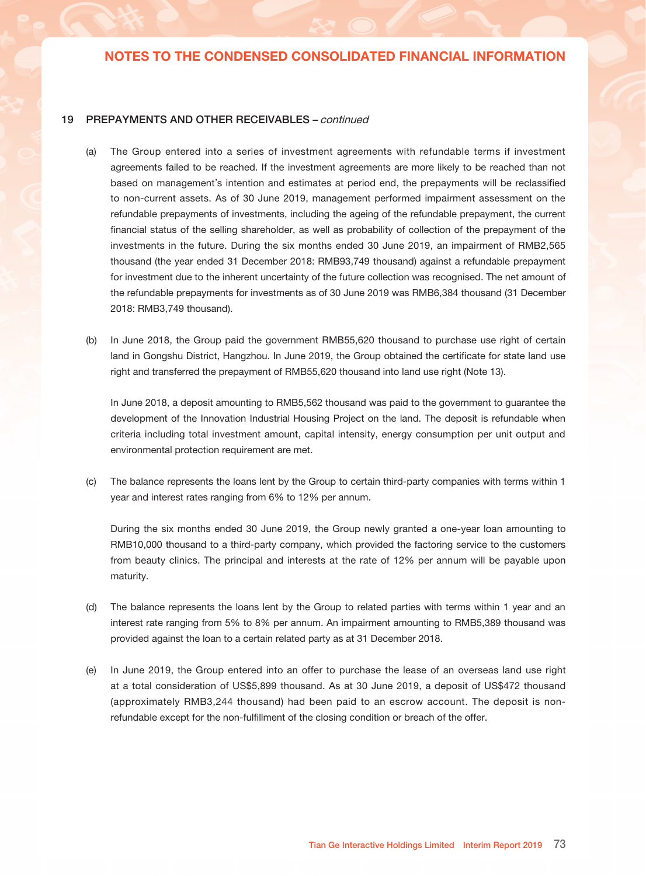## 19 PREPAYMENTS AND OTHER RECEIVABLES

|                                                                 | As at          | As at            |
|-----------------------------------------------------------------|----------------|------------------|
|                                                                 | 30 June 2019   | 31 December 2018 |
|                                                                 | <b>RMB'000</b> | <b>RMB'000</b>   |
|                                                                 |                |                  |
| Included in non-current assets                                  |                |                  |
| Refundable prepayments for purchase of investments (a)          | 12,768         | 97,498           |
| Prepayments for purchase of land use right (b)                  |                | 55,620           |
| Loans to employees                                              | 10,969         | 8,121            |
| Deposit for guarantee for the Hangzhou Innovation Industrial    |                |                  |
| Housing Project (b)                                             | 5,562          | 5,562            |
| Long-term prepayment for game licenses and others, net          | 224            | 1,777            |
| Others                                                          |                | 8,400            |
|                                                                 |                |                  |
|                                                                 |                |                  |
|                                                                 | 29,523         | 176,978          |
| Less: provision for impairment (f)                              | (6, 384)       | (102, 149)       |
|                                                                 |                |                  |
|                                                                 | 23,139         | 74,829           |
|                                                                 |                |                  |
| Included in current assets                                      |                |                  |
|                                                                 |                |                  |
| Receivable from disposal of subsidiaries                        | 16,158         | 29,260           |
| Receivable from disposal of investments accounted for           |                |                  |
| using the equity method                                         | 6,208          | 10,258           |
| Receivable from disposal of prepayment for potential investment | 3,800          | 4,800            |
| Receivable from disposal of financial asset at fair value       |                |                  |
| through profit or loss                                          |                | 306              |
| Loans to third parties (c)                                      | 14,829         | 8,411            |
| Loans to employees                                              | 11,646         | 11,085           |
| Loan to related parties (d) (Note 29(c))                        | 7,984          | 7,134            |
| Refundable prepayment for potential investments (a)             |                | 7,909            |
| Deposit for purchase of land use right (e)                      | 3,244          |                  |
| Deferred commission charges                                     | 4,234          | 4,335            |
| Prepaid promotion expenses                                      | 4,077          | 5,398            |
| Advance to suppliers                                            | 2,244          | 5,421            |
| Insurance fees                                                  | 3,264          | 3,314            |
| Deposit                                                         | 1,163          | 667              |
| Individual income tax of RSUs                                   | 22,461         | 22,461           |
| Prepaid rental and property management fee                      | 73             | 2,831            |
| VAT-in, not invoiced                                            | 690            | 2,619            |
| Others                                                          | 3,039          | 3,791            |
|                                                                 |                |                  |
|                                                                 |                |                  |
|                                                                 | 105,114        | 130,000          |
| Less: provision for impairment (f)                              | (8,531)        | (27, 078)        |
|                                                                 |                |                  |
|                                                                 | 96,583         | 102,922          |
|                                                                 |                |                  |
|                                                                 | 119,722        | 177,751          |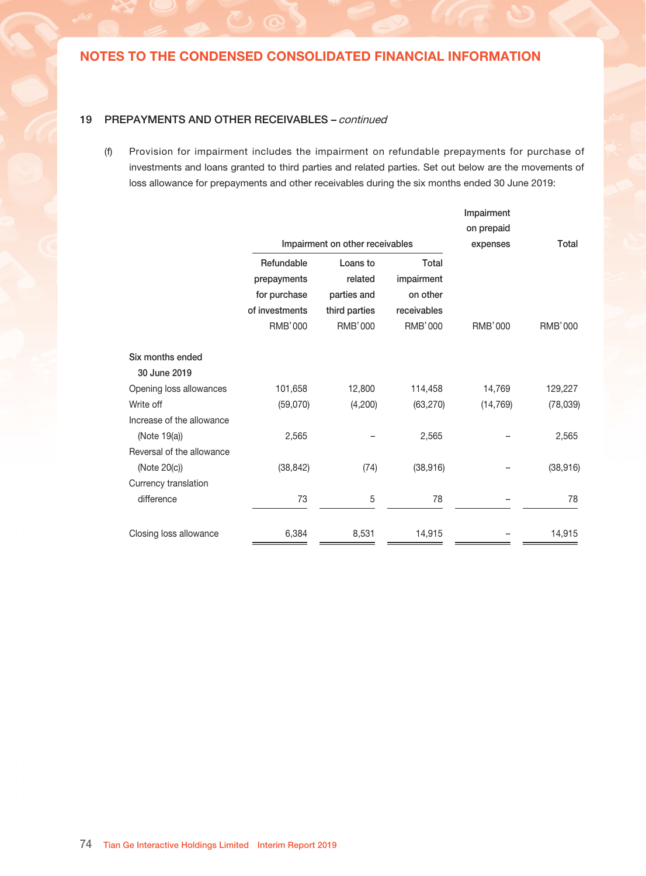### 19 PREPAYMENTS AND OTHER RECEIVABLES – continued

- (a) The Group entered into a series of investment agreements with refundable terms if investment agreements failed to be reached. If the investment agreements are more likely to be reached than not based on management's intention and estimates at period end, the prepayments will be reclassified to non-current assets. As of 30 June 2019, management performed impairment assessment on the refundable prepayments of investments, including the ageing of the refundable prepayment, the current financial status of the selling shareholder, as well as probability of collection of the prepayment of the investments in the future. During the six months ended 30 June 2019, an impairment of RMB2,565 thousand (the year ended 31 December 2018: RMB93,749 thousand) against a refundable prepayment for investment due to the inherent uncertainty of the future collection was recognised. The net amount of the refundable prepayments for investments as of 30 June 2019 was RMB6,384 thousand (31 December 2018: RMB3,749 thousand).
- (b) In June 2018, the Group paid the government RMB55,620 thousand to purchase use right of certain land in Gongshu District, Hangzhou. In June 2019, the Group obtained the certificate for state land use right and transferred the prepayment of RMB55,620 thousand into land use right (Note 13).

In June 2018, a deposit amounting to RMB5,562 thousand was paid to the government to guarantee the development of the Innovation Industrial Housing Project on the land. The deposit is refundable when criteria including total investment amount, capital intensity, energy consumption per unit output and environmental protection requirement are met.

(c) The balance represents the loans lent by the Group to certain third-party companies with terms within 1 year and interest rates ranging from 6% to 12% per annum.

During the six months ended 30 June 2019, the Group newly granted a one-year loan amounting to RMB10,000 thousand to a third-party company, which provided the factoring service to the customers from beauty clinics. The principal and interests at the rate of 12% per annum will be payable upon maturity.

- (d) The balance represents the loans lent by the Group to related parties with terms within 1 year and an interest rate ranging from 5% to 8% per annum. An impairment amounting to RMB5,389 thousand was provided against the loan to a certain related party as at 31 December 2018.
- (e) In June 2019, the Group entered into an offer to purchase the lease of an overseas land use right at a total consideration of US\$5,899 thousand. As at 30 June 2019, a deposit of US\$472 thousand (approximately RMB3,244 thousand) had been paid to an escrow account. The deposit is nonrefundable except for the non-fulfillment of the closing condition or breach of the offer.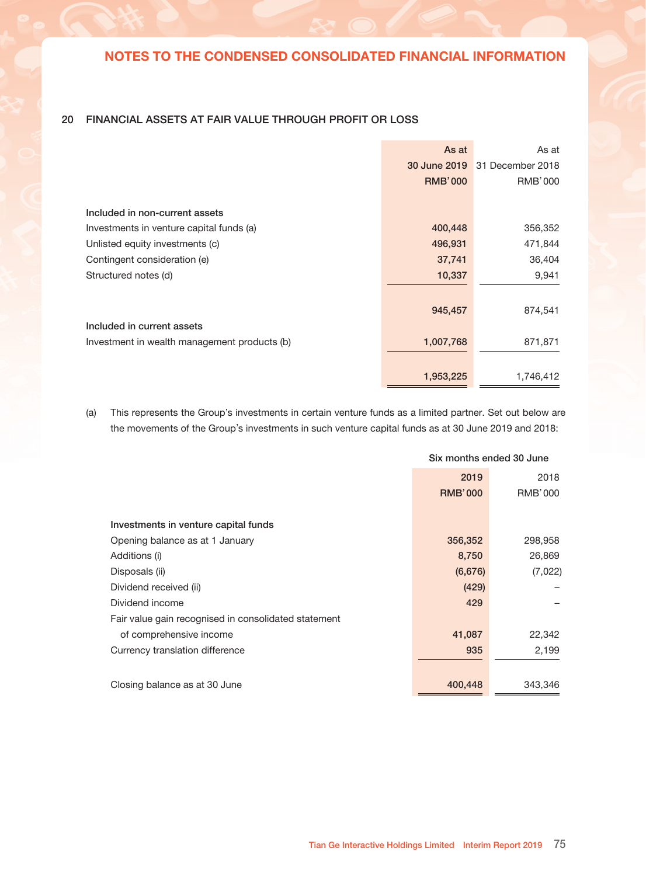### 19 PREPAYMENTS AND OTHER RECEIVABLES – continued

(f) Provision for impairment includes the impairment on refundable prepayments for purchase of investments and loans granted to third parties and related parties. Set out below are the movements of loss allowance for prepayments and other receivables during the six months ended 30 June 2019:

|                           |                |                                 |                | Impairment     |                |
|---------------------------|----------------|---------------------------------|----------------|----------------|----------------|
|                           |                |                                 |                | on prepaid     |                |
|                           |                | Impairment on other receivables |                | expenses       | Total          |
|                           | Refundable     | Loans to                        | Total          |                |                |
|                           | prepayments    | related                         | impairment     |                |                |
|                           | for purchase   | parties and                     | on other       |                |                |
|                           | of investments | third parties                   | receivables    |                |                |
|                           | <b>RMB'000</b> | <b>RMB'000</b>                  | <b>RMB'000</b> | <b>RMB'000</b> | <b>RMB'000</b> |
| Six months ended          |                |                                 |                |                |                |
| 30 June 2019              |                |                                 |                |                |                |
| Opening loss allowances   | 101,658        | 12,800                          | 114,458        | 14,769         | 129,227        |
| Write off                 | (59,070)       | (4,200)                         | (63, 270)      | (14, 769)      | (78, 039)      |
| Increase of the allowance |                |                                 |                |                |                |
| (Note 19(a))              | 2,565          |                                 | 2,565          |                | 2,565          |
| Reversal of the allowance |                |                                 |                |                |                |
| (Note 20(c))              | (38, 842)      | (74)                            | (38, 916)      |                | (38, 916)      |
| Currency translation      |                |                                 |                |                |                |
| difference                | 73             | 5                               | 78             |                | 78             |
| Closing loss allowance    | 6,384          | 8,531                           | 14,915         |                | 14,915         |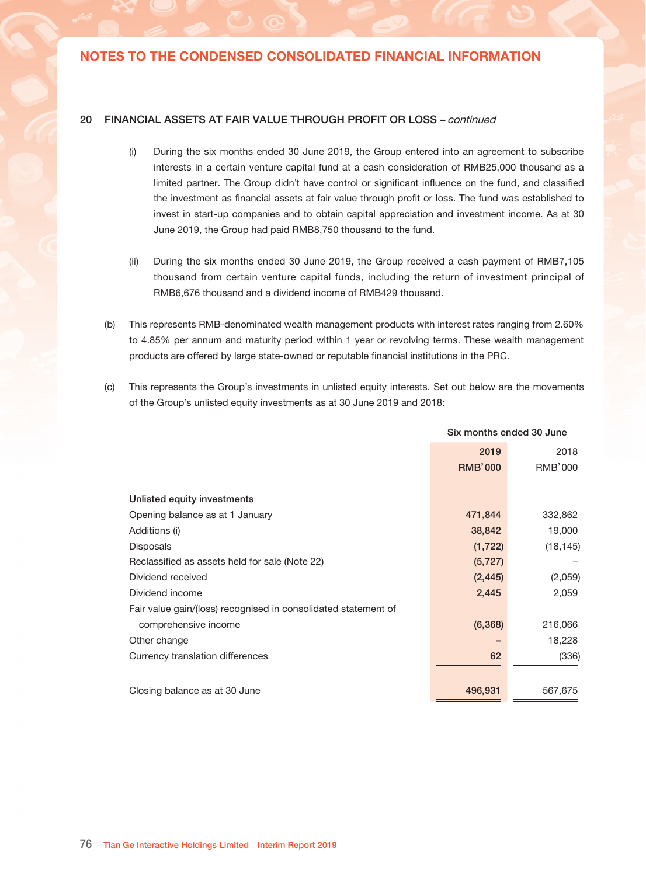## 20 FINANCIAL ASSETS AT FAIR VALUE THROUGH PROFIT OR LOSS

|                                              | As at          | As at            |
|----------------------------------------------|----------------|------------------|
|                                              | 30 June 2019   | 31 December 2018 |
|                                              | <b>RMB'000</b> | RMB'000          |
|                                              |                |                  |
| Included in non-current assets               |                |                  |
| Investments in venture capital funds (a)     | 400,448        | 356,352          |
| Unlisted equity investments (c)              | 496,931        | 471,844          |
| Contingent consideration (e)                 | 37,741         | 36,404           |
| Structured notes (d)                         | 10,337         | 9,941            |
|                                              |                |                  |
|                                              | 945,457        | 874,541          |
| Included in current assets                   |                |                  |
| Investment in wealth management products (b) | 1,007,768      | 871,871          |
|                                              |                |                  |
|                                              | 1,953,225      | 1,746,412        |

(a) This represents the Group's investments in certain venture funds as a limited partner. Set out below are the movements of the Group's investments in such venture capital funds as at 30 June 2019 and 2018:

|                                                      | Six months ended 30 June |                |  |
|------------------------------------------------------|--------------------------|----------------|--|
|                                                      | 2019                     | 2018           |  |
|                                                      | <b>RMB'000</b>           | <b>RMB'000</b> |  |
|                                                      |                          |                |  |
| Investments in venture capital funds                 |                          |                |  |
| Opening balance as at 1 January                      | 356,352                  | 298,958        |  |
| Additions (i)                                        | 8,750                    | 26,869         |  |
| Disposals (ii)                                       | (6,676)                  | (7,022)        |  |
| Dividend received (ii)                               | (429)                    |                |  |
| Dividend income                                      | 429                      |                |  |
| Fair value gain recognised in consolidated statement |                          |                |  |
| of comprehensive income                              | 41,087                   | 22,342         |  |
| Currency translation difference                      | 935                      | 2,199          |  |
|                                                      |                          |                |  |
| Closing balance as at 30 June                        | 400,448                  | 343,346        |  |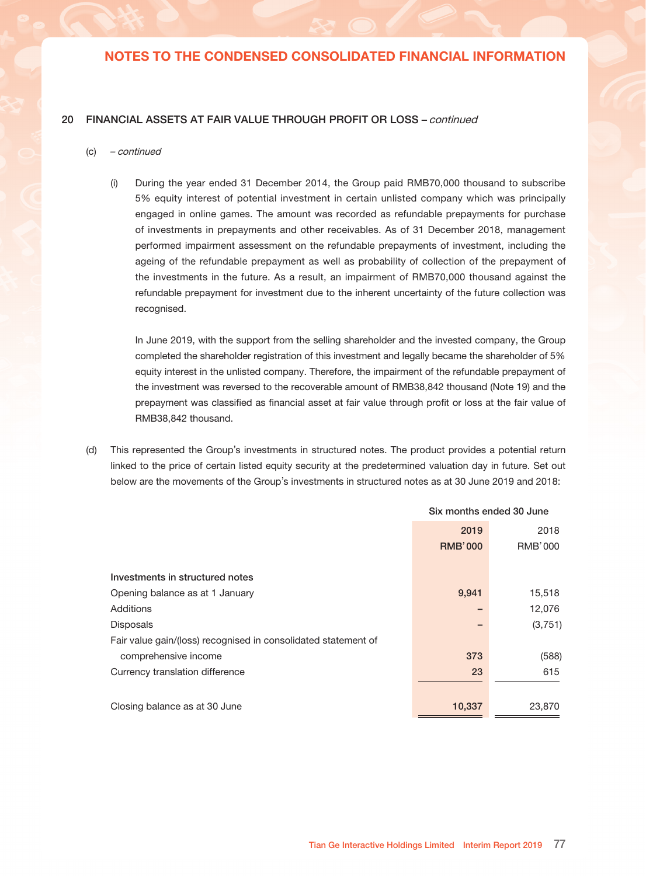### 20 FINANCIAL ASSETS AT FAIR VALUE THROUGH PROFIT OR LOSS – continued

- (i) During the six months ended 30 June 2019, the Group entered into an agreement to subscribe interests in a certain venture capital fund at a cash consideration of RMB25,000 thousand as a limited partner. The Group didn't have control or significant influence on the fund, and classified the investment as financial assets at fair value through profit or loss. The fund was established to invest in start-up companies and to obtain capital appreciation and investment income. As at 30 June 2019, the Group had paid RMB8,750 thousand to the fund.
- (ii) During the six months ended 30 June 2019, the Group received a cash payment of RMB7,105 thousand from certain venture capital funds, including the return of investment principal of RMB6,676 thousand and a dividend income of RMB429 thousand.
- (b) This represents RMB-denominated wealth management products with interest rates ranging from 2.60% to 4.85% per annum and maturity period within 1 year or revolving terms. These wealth management products are offered by large state-owned or reputable financial institutions in the PRC.
- (c) This represents the Group's investments in unlisted equity interests. Set out below are the movements of the Group's unlisted equity investments as at 30 June 2019 and 2018:

|                                                                | Six months ended 30 June |                |
|----------------------------------------------------------------|--------------------------|----------------|
|                                                                | 2019                     | 2018           |
|                                                                | <b>RMB'000</b>           | <b>RMB'000</b> |
|                                                                |                          |                |
| Unlisted equity investments                                    |                          |                |
| Opening balance as at 1 January                                | 471,844                  | 332,862        |
| Additions (i)                                                  | 38,842                   | 19,000         |
| <b>Disposals</b>                                               | (1,722)                  | (18, 145)      |
| Reclassified as assets held for sale (Note 22)                 | (5, 727)                 |                |
| Dividend received                                              | (2, 445)                 | (2,059)        |
| Dividend income                                                | 2,445                    | 2,059          |
| Fair value gain/(loss) recognised in consolidated statement of |                          |                |
| comprehensive income                                           | (6, 368)                 | 216,066        |
| Other change                                                   |                          | 18,228         |
| Currency translation differences                               | 62                       | (336)          |
|                                                                |                          |                |
| Closing balance as at 30 June                                  | 496,931                  | 567,675        |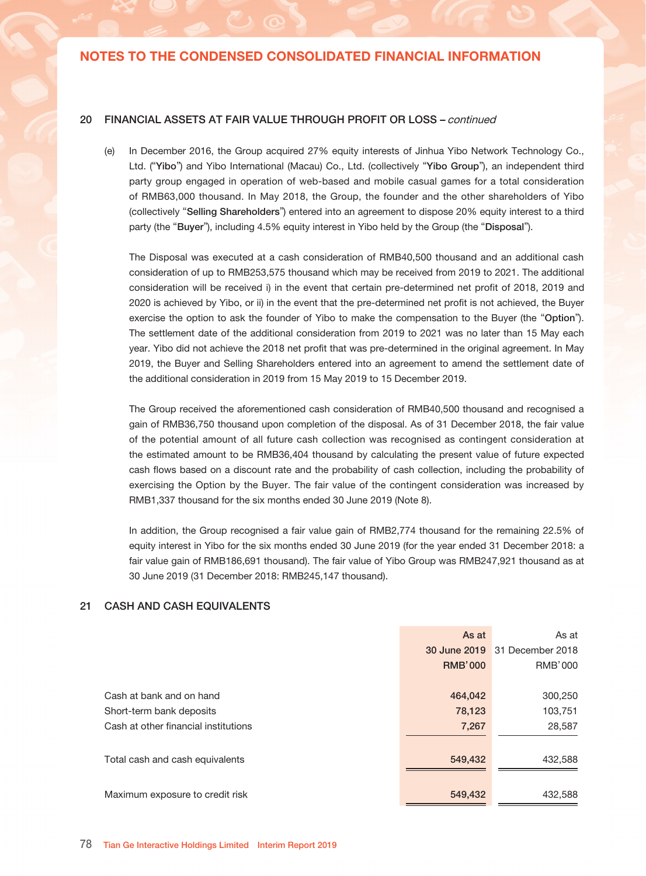### 20 FINANCIAL ASSETS AT FAIR VALUE THROUGH PROFIT OR LOSS – continued

#### (c) – continued

(i) During the year ended 31 December 2014, the Group paid RMB70,000 thousand to subscribe 5% equity interest of potential investment in certain unlisted company which was principally engaged in online games. The amount was recorded as refundable prepayments for purchase of investments in prepayments and other receivables. As of 31 December 2018, management performed impairment assessment on the refundable prepayments of investment, including the ageing of the refundable prepayment as well as probability of collection of the prepayment of the investments in the future. As a result, an impairment of RMB70,000 thousand against the refundable prepayment for investment due to the inherent uncertainty of the future collection was recognised.

In June 2019, with the support from the selling shareholder and the invested company, the Group completed the shareholder registration of this investment and legally became the shareholder of 5% equity interest in the unlisted company. Therefore, the impairment of the refundable prepayment of the investment was reversed to the recoverable amount of RMB38,842 thousand (Note 19) and the prepayment was classified as financial asset at fair value through profit or loss at the fair value of RMB38,842 thousand.

(d) This represented the Group's investments in structured notes. The product provides a potential return linked to the price of certain listed equity security at the predetermined valuation day in future. Set out below are the movements of the Group's investments in structured notes as at 30 June 2019 and 2018:

|                                                                | Six months ended 30 June |                |
|----------------------------------------------------------------|--------------------------|----------------|
|                                                                | 2019                     | 2018           |
|                                                                | <b>RMB'000</b>           | <b>RMB'000</b> |
|                                                                |                          |                |
| Investments in structured notes                                |                          |                |
| Opening balance as at 1 January                                | 9,941                    | 15,518         |
| Additions                                                      |                          | 12,076         |
| <b>Disposals</b>                                               |                          | (3,751)        |
| Fair value gain/(loss) recognised in consolidated statement of |                          |                |
| comprehensive income                                           | 373                      | (588)          |
| Currency translation difference                                | 23                       | 615            |
|                                                                |                          |                |
| Closing balance as at 30 June                                  | 10,337                   | 23,870         |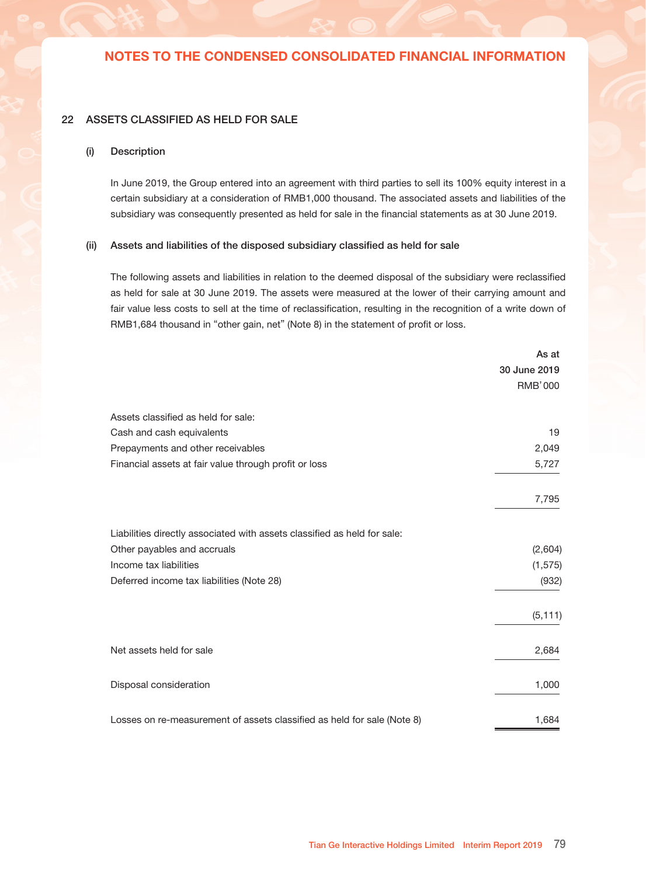### 20 FINANCIAL ASSETS AT FAIR VALUE THROUGH PROFIT OR LOSS – continued

(e) In December 2016, the Group acquired 27% equity interests of Jinhua Yibo Network Technology Co., Ltd. ("Yibo") and Yibo International (Macau) Co., Ltd. (collectively "Yibo Group"), an independent third party group engaged in operation of web-based and mobile casual games for a total consideration of RMB63,000 thousand. In May 2018, the Group, the founder and the other shareholders of Yibo (collectively "Selling Shareholders") entered into an agreement to dispose 20% equity interest to a third party (the "Buyer"), including 4.5% equity interest in Yibo held by the Group (the "Disposal").

The Disposal was executed at a cash consideration of RMB40,500 thousand and an additional cash consideration of up to RMB253,575 thousand which may be received from 2019 to 2021. The additional consideration will be received i) in the event that certain pre-determined net profit of 2018, 2019 and 2020 is achieved by Yibo, or ii) in the event that the pre-determined net profit is not achieved, the Buyer exercise the option to ask the founder of Yibo to make the compensation to the Buyer (the "Option"). The settlement date of the additional consideration from 2019 to 2021 was no later than 15 May each year. Yibo did not achieve the 2018 net profit that was pre-determined in the original agreement. In May 2019, the Buyer and Selling Shareholders entered into an agreement to amend the settlement date of the additional consideration in 2019 from 15 May 2019 to 15 December 2019.

The Group received the aforementioned cash consideration of RMB40,500 thousand and recognised a gain of RMB36,750 thousand upon completion of the disposal. As of 31 December 2018, the fair value of the potential amount of all future cash collection was recognised as contingent consideration at the estimated amount to be RMB36,404 thousand by calculating the present value of future expected cash flows based on a discount rate and the probability of cash collection, including the probability of exercising the Option by the Buyer. The fair value of the contingent consideration was increased by RMB1,337 thousand for the six months ended 30 June 2019 (Note 8).

In addition, the Group recognised a fair value gain of RMB2,774 thousand for the remaining 22.5% of equity interest in Yibo for the six months ended 30 June 2019 (for the year ended 31 December 2018: a fair value gain of RMB186,691 thousand). The fair value of Yibo Group was RMB247,921 thousand as at 30 June 2019 (31 December 2018: RMB245,147 thousand).

### 21 CASH AND CASH EQUIVALENTS

|                                      | As at          | As at            |
|--------------------------------------|----------------|------------------|
|                                      | 30 June 2019   | 31 December 2018 |
|                                      | <b>RMB'000</b> | RMB'000          |
|                                      |                |                  |
| Cash at bank and on hand             | 464,042        | 300,250          |
| Short-term bank deposits             | 78,123         | 103,751          |
| Cash at other financial institutions | 7,267          | 28,587           |
|                                      |                |                  |
| Total cash and cash equivalents      | 549,432        | 432,588          |
|                                      |                |                  |
| Maximum exposure to credit risk      | 549,432        | 432,588          |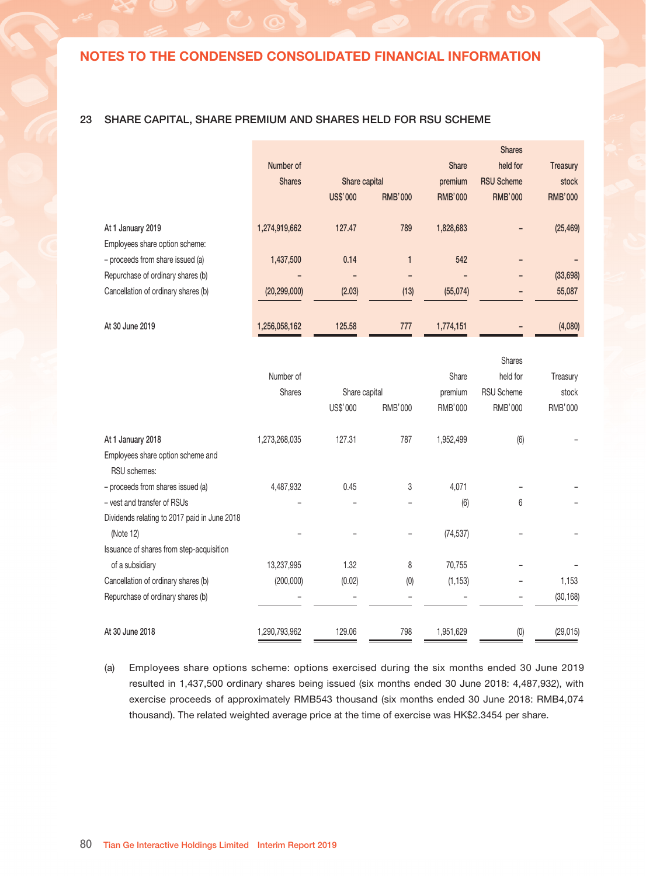### 22 ASSETS CLASSIFIED AS HELD FOR SALE

#### (i) Description

In June 2019, the Group entered into an agreement with third parties to sell its 100% equity interest in a certain subsidiary at a consideration of RMB1,000 thousand. The associated assets and liabilities of the subsidiary was consequently presented as held for sale in the financial statements as at 30 June 2019.

#### (ii) Assets and liabilities of the disposed subsidiary classified as held for sale

The following assets and liabilities in relation to the deemed disposal of the subsidiary were reclassified as held for sale at 30 June 2019. The assets were measured at the lower of their carrying amount and fair value less costs to sell at the time of reclassification, resulting in the recognition of a write down of RMB1,684 thousand in "other gain, net" (Note 8) in the statement of profit or loss.

|                                                                          | As at        |
|--------------------------------------------------------------------------|--------------|
|                                                                          | 30 June 2019 |
|                                                                          | RMB'000      |
| Assets classified as held for sale:                                      |              |
| Cash and cash equivalents                                                | 19           |
| Prepayments and other receivables                                        | 2,049        |
| Financial assets at fair value through profit or loss                    | 5,727        |
|                                                                          | 7,795        |
| Liabilities directly associated with assets classified as held for sale: |              |
| Other payables and accruals                                              | (2,604)      |
| Income tax liabilities                                                   | (1, 575)     |
| Deferred income tax liabilities (Note 28)                                | (932)        |
|                                                                          | (5, 111)     |
| Net assets held for sale                                                 | 2,684        |
| Disposal consideration                                                   | 1,000        |
| Losses on re-measurement of assets classified as held for sale (Note 8)  | 1,684        |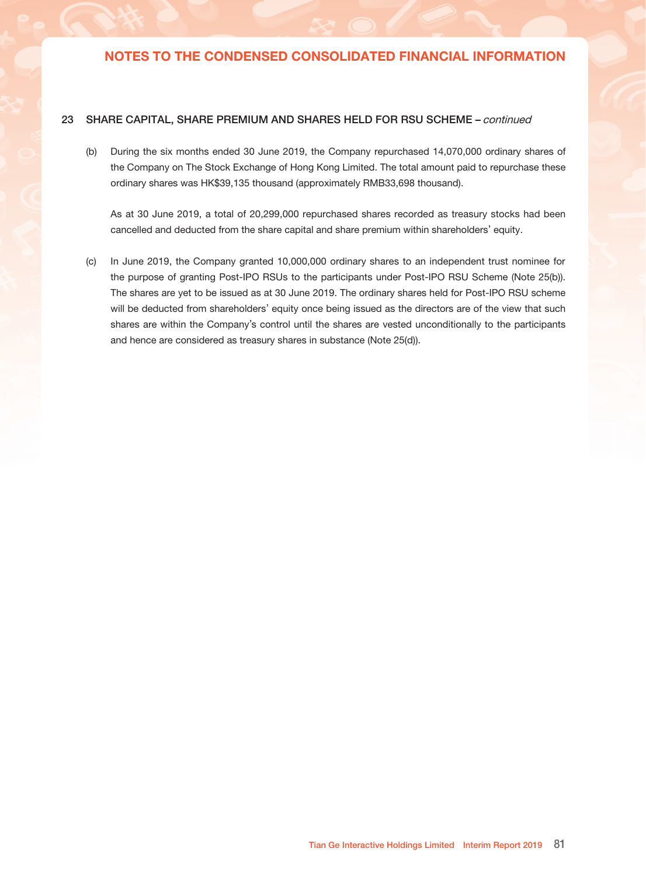### 23 SHARE CAPITAL, SHARE PREMIUM AND SHARES HELD FOR RSU SCHEME

|                                              |                |                 |                |                | <b>Shares</b>     |                |
|----------------------------------------------|----------------|-----------------|----------------|----------------|-------------------|----------------|
|                                              | Number of      |                 |                | Share          | held for          | Treasury       |
|                                              | <b>Shares</b>  | Share capital   |                | premium        | <b>RSU Scheme</b> | stock          |
|                                              |                | <b>US\$'000</b> | <b>RMB'000</b> | <b>RMB'000</b> | <b>RMB'000</b>    | <b>RMB'000</b> |
|                                              |                |                 |                |                |                   |                |
| At 1 January 2019                            | 1,274,919,662  | 127.47          | 789            | 1,828,683      |                   | (25, 469)      |
| Employees share option scheme:               |                |                 |                |                |                   |                |
| - proceeds from share issued (a)             | 1,437,500      | 0.14            | 1              | 542            |                   |                |
| Repurchase of ordinary shares (b)            |                |                 |                |                |                   | (33, 698)      |
| Cancellation of ordinary shares (b)          | (20, 299, 000) | (2.03)          | (13)           | (55,074)       |                   | 55,087         |
| At 30 June 2019                              | 1,256,058,162  | 125.58          | 777            | 1,774,151      |                   | (4,080)        |
|                                              |                |                 |                |                |                   |                |
|                                              |                |                 |                |                | Shares            |                |
|                                              | Number of      |                 |                | Share          | held for          | Treasury       |
|                                              | <b>Shares</b>  | Share capital   |                | premium        | <b>RSU Scheme</b> | stock          |
|                                              |                | US\$'000        | <b>RMB'000</b> | RMB'000        | RMB'000           | RMB'000        |
| At 1 January 2018                            | 1,273,268,035  | 127.31          | 787            | 1,952,499      | (6)               |                |
| Employees share option scheme and            |                |                 |                |                |                   |                |
| RSU schemes:                                 |                |                 |                |                |                   |                |
| - proceeds from shares issued (a)            | 4,487,932      | 0.45            | 3              | 4,071          |                   |                |
| - vest and transfer of RSUs                  |                |                 |                | (6)            | 6                 |                |
| Dividends relating to 2017 paid in June 2018 |                |                 |                |                |                   |                |
| (Note 12)                                    |                |                 |                | (74, 537)      |                   |                |
| Issuance of shares from step-acquisition     |                |                 |                |                |                   |                |
| of a subsidiary                              | 13,237,995     | 1.32            | 8              | 70,755         |                   |                |
| Cancellation of ordinary shares (b)          | (200,000)      | (0.02)          | (0)            | (1, 153)       |                   | 1,153          |
| Repurchase of ordinary shares (b)            |                |                 |                |                |                   | (30, 168)      |
|                                              |                |                 |                |                |                   |                |

(a) Employees share options scheme: options exercised during the six months ended 30 June 2019 resulted in 1,437,500 ordinary shares being issued (six months ended 30 June 2018: 4,487,932), with exercise proceeds of approximately RMB543 thousand (six months ended 30 June 2018: RMB4,074 thousand). The related weighted average price at the time of exercise was HK\$2.3454 per share.

At 30 June 2018 1,290,793,962 129.06 798 1,951,629 (0) (29,015)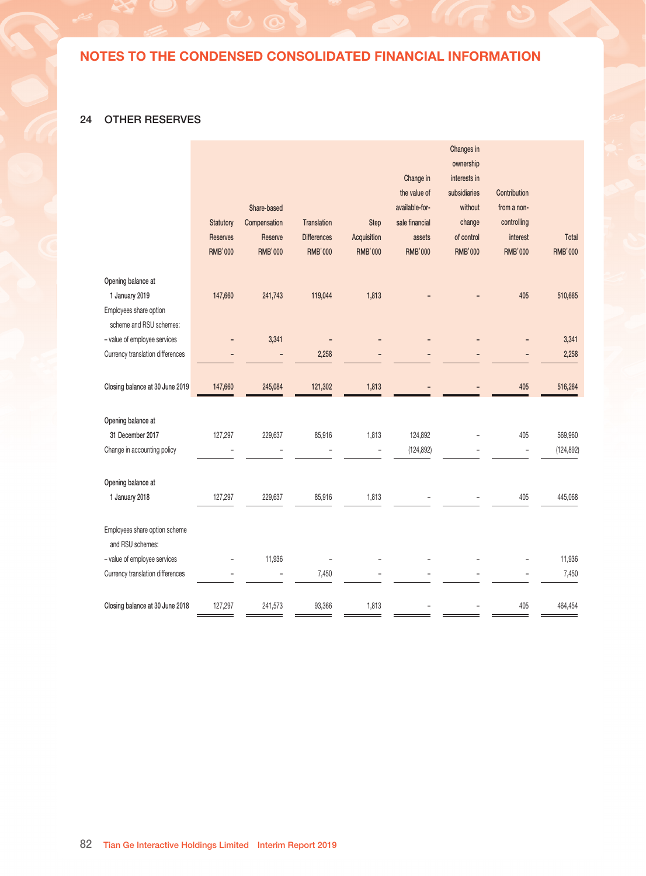### 23 SHARE CAPITAL, SHARE PREMIUM AND SHARES HELD FOR RSU SCHEME – continued

(b) During the six months ended 30 June 2019, the Company repurchased 14,070,000 ordinary shares of the Company on The Stock Exchange of Hong Kong Limited. The total amount paid to repurchase these ordinary shares was HK\$39,135 thousand (approximately RMB33,698 thousand).

As at 30 June 2019, a total of 20,299,000 repurchased shares recorded as treasury stocks had been cancelled and deducted from the share capital and share premium within shareholders' equity.

(c) In June 2019, the Company granted 10,000,000 ordinary shares to an independent trust nominee for the purpose of granting Post-IPO RSUs to the participants under Post-IPO RSU Scheme (Note 25(b)). The shares are yet to be issued as at 30 June 2019. The ordinary shares held for Post-IPO RSU scheme will be deducted from shareholders' equity once being issued as the directors are of the view that such shares are within the Company's control until the shares are vested unconditionally to the participants and hence are considered as treasury shares in substance (Note 25(d)).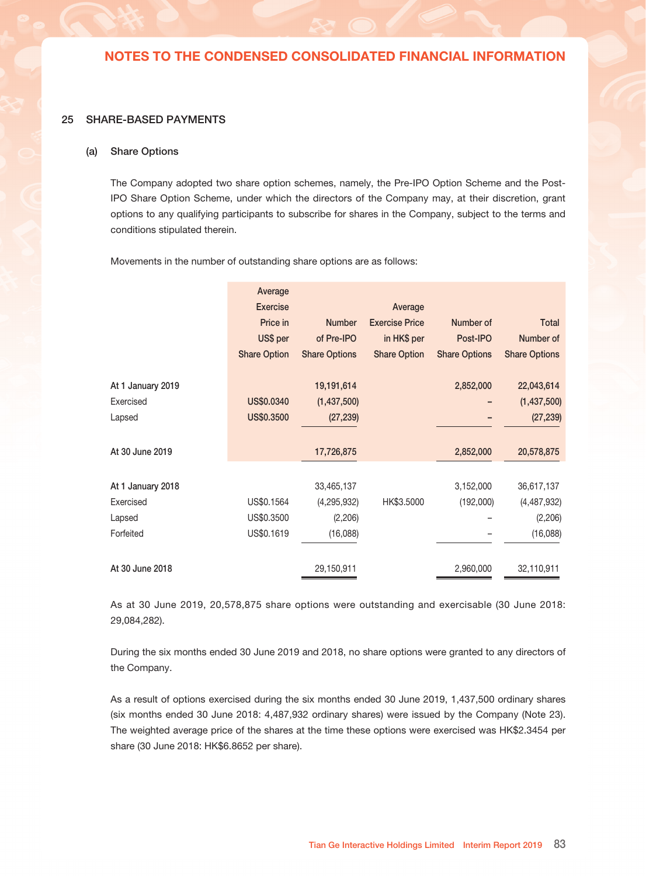## 24 OTHER RESERVES

|                                                   |                 |                |                    |                |                | Changes in     |                |                |
|---------------------------------------------------|-----------------|----------------|--------------------|----------------|----------------|----------------|----------------|----------------|
|                                                   |                 |                |                    |                |                | ownership      |                |                |
|                                                   |                 |                |                    |                | Change in      | interests in   |                |                |
|                                                   |                 |                |                    |                | the value of   | subsidiaries   | Contribution   |                |
|                                                   |                 | Share-based    |                    |                | available-for- | without        | from a non-    |                |
|                                                   | Statutory       | Compensation   | <b>Translation</b> | Step           | sale financial | change         | controlling    |                |
|                                                   | <b>Reserves</b> | Reserve        | <b>Differences</b> | Acquisition    | assets         | of control     | interest       | Total          |
|                                                   | <b>RMB'000</b>  | <b>RMB'000</b> | <b>RMB'000</b>     | <b>RMB'000</b> | <b>RMB'000</b> | <b>RMB'000</b> | <b>RMB'000</b> | <b>RMB'000</b> |
| Opening balance at                                |                 |                |                    |                |                |                |                |                |
| 1 January 2019                                    | 147,660         | 241,743        | 119,044            | 1,813          |                |                | 405            | 510,665        |
| Employees share option<br>scheme and RSU schemes: |                 |                |                    |                |                |                |                |                |
| - value of employee services                      |                 | 3,341          |                    |                |                |                |                | 3,341          |
| Currency translation differences                  |                 |                | 2,258              |                |                |                |                | 2,258          |
| Closing balance at 30 June 2019                   | 147,660         | 245,084        | 121,302            | 1,813          |                |                | 405            | 516,264        |
| Opening balance at                                |                 |                |                    |                |                |                |                |                |
| 31 December 2017                                  | 127,297         | 229,637        | 85,916             | 1,813          | 124,892        |                | 405            | 569,960        |
| Change in accounting policy                       |                 |                |                    |                | (124, 892)     |                |                | (124, 892)     |
|                                                   |                 |                |                    |                |                |                |                |                |
| Opening balance at                                |                 |                |                    |                |                |                |                |                |
| 1 January 2018                                    | 127,297         | 229,637        | 85,916             | 1,813          |                |                | 405            | 445,068        |
| Employees share option scheme<br>and RSU schemes: |                 |                |                    |                |                |                |                |                |
| - value of employee services                      |                 | 11,936         |                    |                |                |                |                | 11,936         |
| Currency translation differences                  |                 |                | 7,450              |                |                |                |                | 7,450          |
| Closing balance at 30 June 2018                   | 127,297         | 241,573        | 93,366             | 1,813          |                |                | 405            | 464,454        |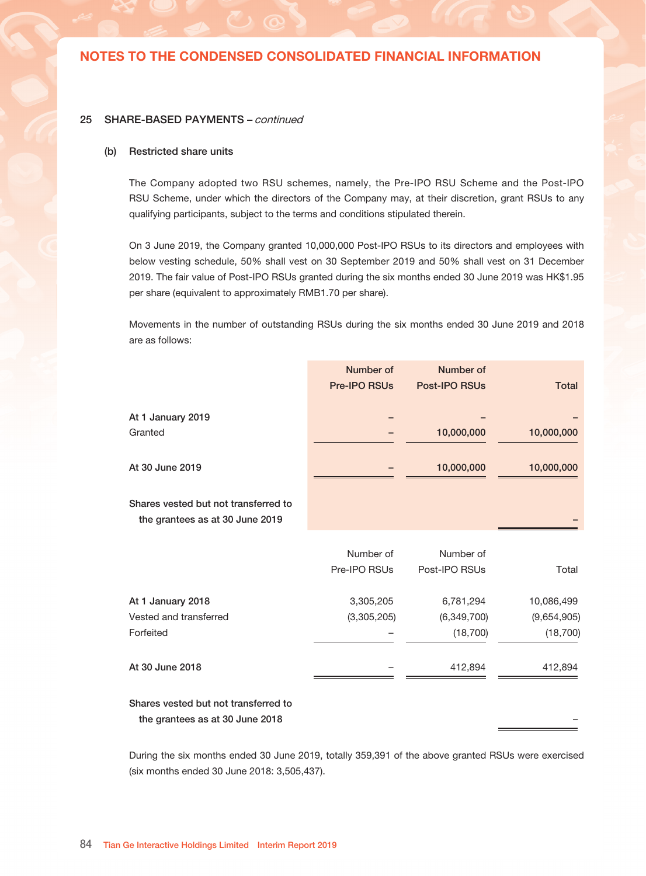#### 25 SHARE-BASED PAYMENTS

#### (a) Share Options

The Company adopted two share option schemes, namely, the Pre-IPO Option Scheme and the Post-IPO Share Option Scheme, under which the directors of the Company may, at their discretion, grant options to any qualifying participants to subscribe for shares in the Company, subject to the terms and conditions stipulated therein.

Movements in the number of outstanding share options are as follows:

|                   | Average             |                      |                       |                      |                      |
|-------------------|---------------------|----------------------|-----------------------|----------------------|----------------------|
|                   | <b>Exercise</b>     |                      | Average               |                      |                      |
|                   | Price in            | <b>Number</b>        | <b>Exercise Price</b> | Number of            | Total                |
|                   | US\$ per            | of Pre-IPO           | in HK\$ per           | Post-IPO             | Number of            |
|                   | <b>Share Option</b> | <b>Share Options</b> | <b>Share Option</b>   | <b>Share Options</b> | <b>Share Options</b> |
| At 1 January 2019 |                     | 19,191,614           |                       | 2,852,000            | 22,043,614           |
| Exercised         | US\$0.0340          | (1,437,500)          |                       |                      | (1,437,500)          |
| Lapsed            | US\$0.3500          | (27, 239)            |                       |                      | (27, 239)            |
| At 30 June 2019   |                     | 17,726,875           |                       | 2,852,000            | 20,578,875           |
|                   |                     |                      |                       |                      |                      |
| At 1 January 2018 |                     | 33,465,137           |                       | 3,152,000            | 36,617,137           |
| Exercised         | US\$0.1564          | (4, 295, 932)        | HK\$3.5000            | (192,000)            | (4,487,932)          |
| Lapsed            | US\$0.3500          | (2, 206)             |                       |                      | (2,206)              |
| Forfeited         | US\$0.1619          | (16,088)             |                       |                      | (16,088)             |
| At 30 June 2018   |                     | 29,150,911           |                       | 2,960,000            | 32,110,911           |

As at 30 June 2019, 20,578,875 share options were outstanding and exercisable (30 June 2018: 29,084,282).

During the six months ended 30 June 2019 and 2018, no share options were granted to any directors of the Company.

As a result of options exercised during the six months ended 30 June 2019, 1,437,500 ordinary shares (six months ended 30 June 2018: 4,487,932 ordinary shares) were issued by the Company (Note 23). The weighted average price of the shares at the time these options were exercised was HK\$2.3454 per share (30 June 2018: HK\$6.8652 per share).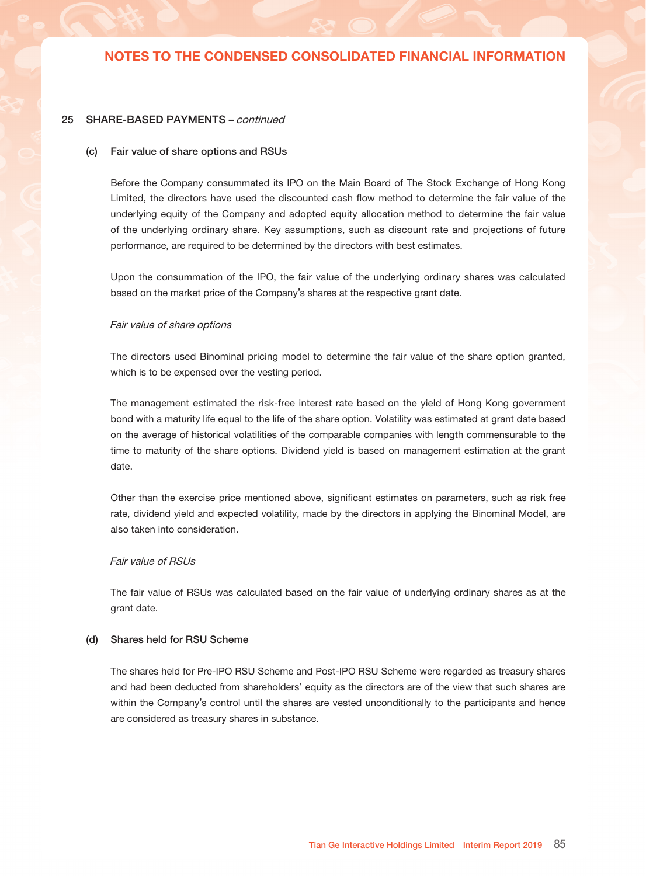#### 25 SHARE-BASED PAYMENTS – continued

#### (b) Restricted share units

The Company adopted two RSU schemes, namely, the Pre-IPO RSU Scheme and the Post-IPO RSU Scheme, under which the directors of the Company may, at their discretion, grant RSUs to any qualifying participants, subject to the terms and conditions stipulated therein.

On 3 June 2019, the Company granted 10,000,000 Post-IPO RSUs to its directors and employees with below vesting schedule, 50% shall vest on 30 September 2019 and 50% shall vest on 31 December 2019. The fair value of Post-IPO RSUs granted during the six months ended 30 June 2019 was HK\$1.95 per share (equivalent to approximately RMB1.70 per share).

Movements in the number of outstanding RSUs during the six months ended 30 June 2019 and 2018 are as follows:

|                                                                         | Number of           | Number of            |              |
|-------------------------------------------------------------------------|---------------------|----------------------|--------------|
|                                                                         | <b>Pre-IPO RSUs</b> | <b>Post-IPO RSUs</b> | <b>Total</b> |
| At 1 January 2019                                                       |                     |                      |              |
| Granted                                                                 |                     | 10,000,000           | 10,000,000   |
| At 30 June 2019                                                         |                     | 10,000,000           | 10,000,000   |
| Shares vested but not transferred to                                    |                     |                      |              |
| the grantees as at 30 June 2019                                         |                     |                      |              |
|                                                                         | Number of           | Number of            |              |
|                                                                         | Pre-IPO RSUs        | Post-IPO RSUs        | Total        |
| At 1 January 2018                                                       | 3,305,205           | 6,781,294            | 10,086,499   |
| Vested and transferred                                                  | (3,305,205)         | (6,349,700)          | (9,654,905)  |
| Forfeited                                                               |                     | (18, 700)            | (18, 700)    |
| At 30 June 2018                                                         |                     | 412,894              | 412,894      |
| Shares vested but not transferred to<br>the grantees as at 30 June 2018 |                     |                      |              |

During the six months ended 30 June 2019, totally 359,391 of the above granted RSUs were exercised (six months ended 30 June 2018: 3,505,437).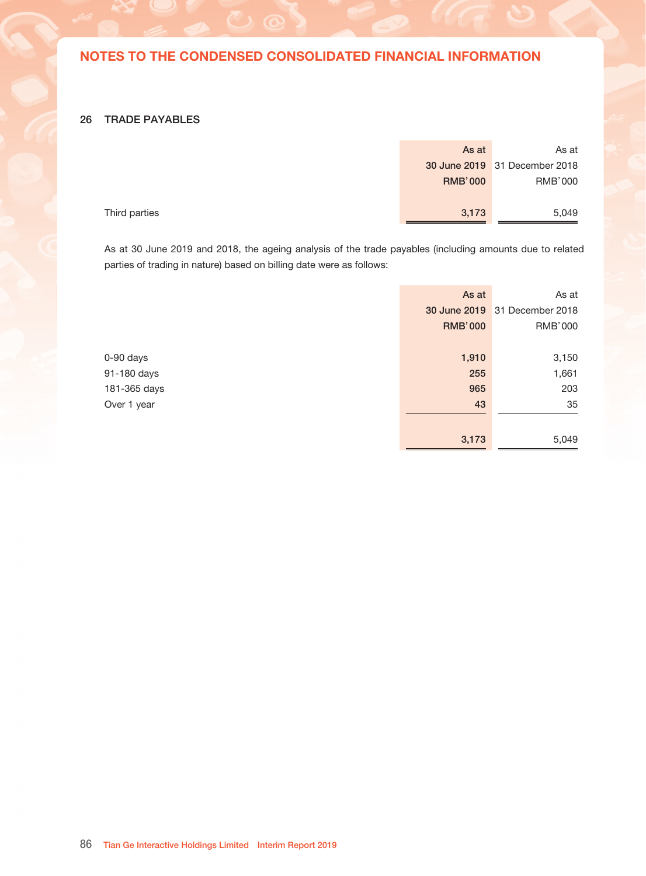### 25 SHARE-BASED PAYMENTS – continued

#### (c) Fair value of share options and RSUs

Before the Company consummated its IPO on the Main Board of The Stock Exchange of Hong Kong Limited, the directors have used the discounted cash flow method to determine the fair value of the underlying equity of the Company and adopted equity allocation method to determine the fair value of the underlying ordinary share. Key assumptions, such as discount rate and projections of future performance, are required to be determined by the directors with best estimates.

Upon the consummation of the IPO, the fair value of the underlying ordinary shares was calculated based on the market price of the Company's shares at the respective grant date.

#### Fair value of share options

The directors used Binominal pricing model to determine the fair value of the share option granted, which is to be expensed over the vesting period.

The management estimated the risk-free interest rate based on the yield of Hong Kong government bond with a maturity life equal to the life of the share option. Volatility was estimated at grant date based on the average of historical volatilities of the comparable companies with length commensurable to the time to maturity of the share options. Dividend yield is based on management estimation at the grant date.

Other than the exercise price mentioned above, significant estimates on parameters, such as risk free rate, dividend yield and expected volatility, made by the directors in applying the Binominal Model, are also taken into consideration.

### Fair value of RSUs

The fair value of RSUs was calculated based on the fair value of underlying ordinary shares as at the grant date.

### (d) Shares held for RSU Scheme

The shares held for Pre-IPO RSU Scheme and Post-IPO RSU Scheme were regarded as treasury shares and had been deducted from shareholders' equity as the directors are of the view that such shares are within the Company's control until the shares are vested unconditionally to the participants and hence are considered as treasury shares in substance.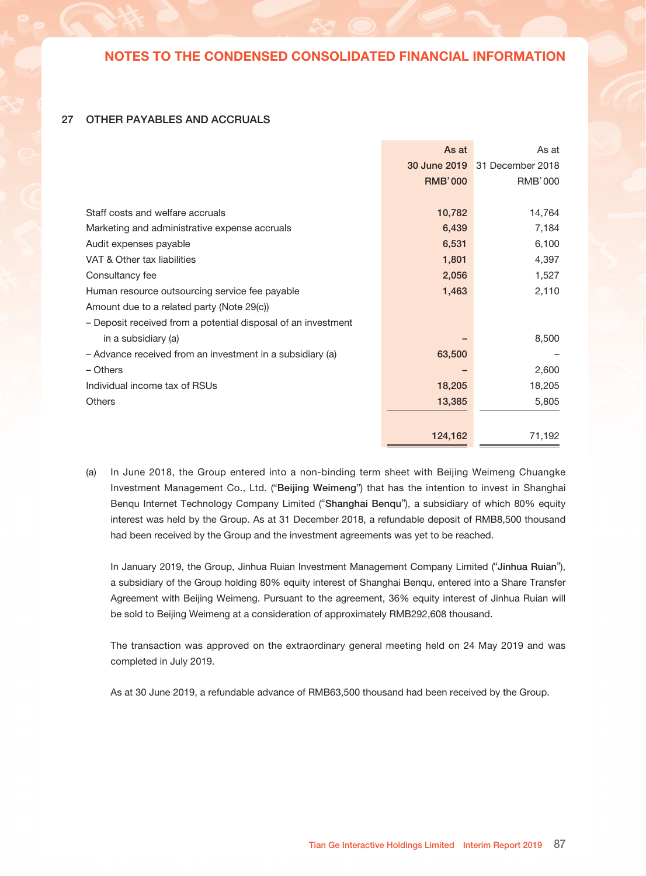### 26 TRADE PAYABLES

|               | As at          | As at                         |
|---------------|----------------|-------------------------------|
|               |                | 30 June 2019 31 December 2018 |
|               | <b>RMB'000</b> | RMB'000                       |
|               |                |                               |
| Third parties | 3,173          | 5,049                         |
|               |                |                               |

As at 30 June 2019 and 2018, the ageing analysis of the trade payables (including amounts due to related parties of trading in nature) based on billing date were as follows:

|              | As at          | As at                         |
|--------------|----------------|-------------------------------|
|              |                | 30 June 2019 31 December 2018 |
|              | <b>RMB'000</b> | RMB'000                       |
|              |                |                               |
| 0-90 days    | 1,910          | 3,150                         |
| 91-180 days  | 255            | 1,661                         |
| 181-365 days | 965            | 203                           |
| Over 1 year  | 43             | 35                            |
|              |                |                               |
|              | 3,173          | 5,049                         |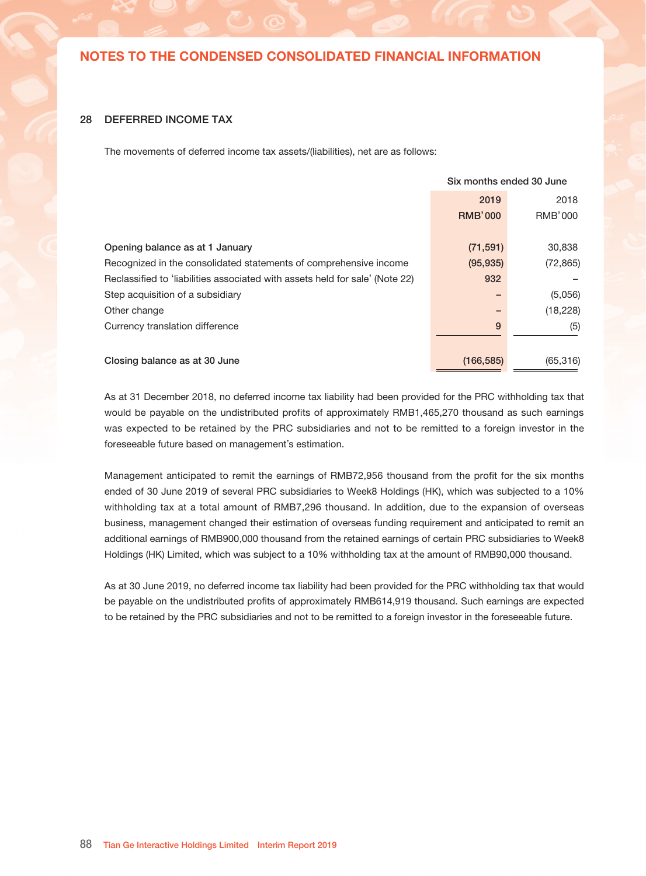### 27 OTHER PAYABLES AND ACCRUALS

|                                                               | As at<br>30 June 2019<br><b>RMB'000</b> | As at<br>31 December 2018<br>RMB'000 |
|---------------------------------------------------------------|-----------------------------------------|--------------------------------------|
| Staff costs and welfare accruals                              | 10,782                                  | 14,764                               |
| Marketing and administrative expense accruals                 | 6,439                                   | 7,184                                |
| Audit expenses payable                                        | 6,531                                   | 6,100                                |
| VAT & Other tax liabilities                                   | 1,801                                   | 4,397                                |
| Consultancy fee                                               | 2,056                                   | 1,527                                |
| Human resource outsourcing service fee payable                | 1,463                                   | 2,110                                |
|                                                               |                                         |                                      |
| Amount due to a related party (Note 29(c))                    |                                         |                                      |
| - Deposit received from a potential disposal of an investment |                                         |                                      |
| in a subsidiary (a)                                           |                                         | 8,500                                |
| - Advance received from an investment in a subsidiary (a)     | 63,500                                  |                                      |
| – Others                                                      |                                         | 2,600                                |
| Individual income tax of RSUs                                 | 18,205                                  | 18,205                               |
| <b>Others</b>                                                 | 13,385                                  | 5,805                                |
|                                                               |                                         |                                      |
|                                                               | 124,162                                 | 71,192                               |

(a) In June 2018, the Group entered into a non-binding term sheet with Beijing Weimeng Chuangke Investment Management Co., Ltd. ("Beijing Weimeng") that has the intention to invest in Shanghai Benqu Internet Technology Company Limited ("Shanghai Benqu"), a subsidiary of which 80% equity interest was held by the Group. As at 31 December 2018, a refundable deposit of RMB8,500 thousand had been received by the Group and the investment agreements was yet to be reached.

In January 2019, the Group, Jinhua Ruian Investment Management Company Limited ("Jinhua Ruian"), a subsidiary of the Group holding 80% equity interest of Shanghai Benqu, entered into a Share Transfer Agreement with Beijing Weimeng. Pursuant to the agreement, 36% equity interest of Jinhua Ruian will be sold to Beijing Weimeng at a consideration of approximately RMB292,608 thousand.

The transaction was approved on the extraordinary general meeting held on 24 May 2019 and was completed in July 2019.

As at 30 June 2019, a refundable advance of RMB63,500 thousand had been received by the Group.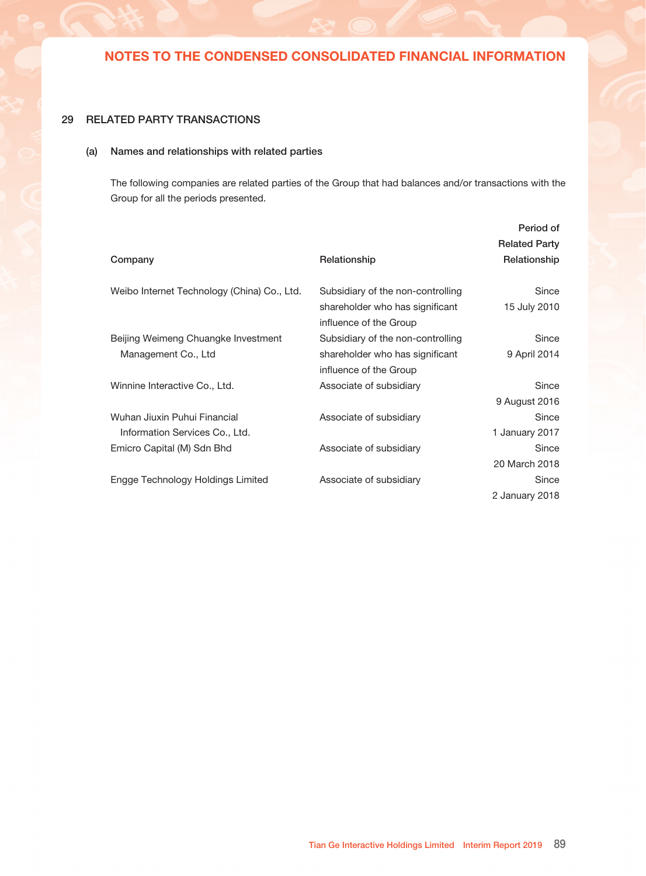### 28 DEFERRED INCOME TAX

The movements of deferred income tax assets/(liabilities), net are as follows:

|                                                                              | Six months ended 30 June |           |
|------------------------------------------------------------------------------|--------------------------|-----------|
|                                                                              | 2019                     | 2018      |
|                                                                              | <b>RMB'000</b>           | RMB'000   |
|                                                                              |                          |           |
| Opening balance as at 1 January                                              | (71, 591)                | 30,838    |
| Recognized in the consolidated statements of comprehensive income            | (95, 935)                | (72, 865) |
| Reclassified to 'liabilities associated with assets held for sale' (Note 22) | 932                      |           |
| Step acquisition of a subsidiary                                             |                          | (5,056)   |
| Other change                                                                 |                          | (18, 228) |
| Currency translation difference                                              | 9                        | (5)       |
|                                                                              |                          |           |
| Closing balance as at 30 June                                                | (166, 585)               | (65, 316) |

As at 31 December 2018, no deferred income tax liability had been provided for the PRC withholding tax that would be payable on the undistributed profits of approximately RMB1,465,270 thousand as such earnings was expected to be retained by the PRC subsidiaries and not to be remitted to a foreign investor in the foreseeable future based on management's estimation.

Management anticipated to remit the earnings of RMB72,956 thousand from the profit for the six months ended of 30 June 2019 of several PRC subsidiaries to Week8 Holdings (HK), which was subjected to a 10% withholding tax at a total amount of RMB7,296 thousand. In addition, due to the expansion of overseas business, management changed their estimation of overseas funding requirement and anticipated to remit an additional earnings of RMB900,000 thousand from the retained earnings of certain PRC subsidiaries to Week8 Holdings (HK) Limited, which was subject to a 10% withholding tax at the amount of RMB90,000 thousand.

As at 30 June 2019, no deferred income tax liability had been provided for the PRC withholding tax that would be payable on the undistributed profits of approximately RMB614,919 thousand. Such earnings are expected to be retained by the PRC subsidiaries and not to be remitted to a foreign investor in the foreseeable future.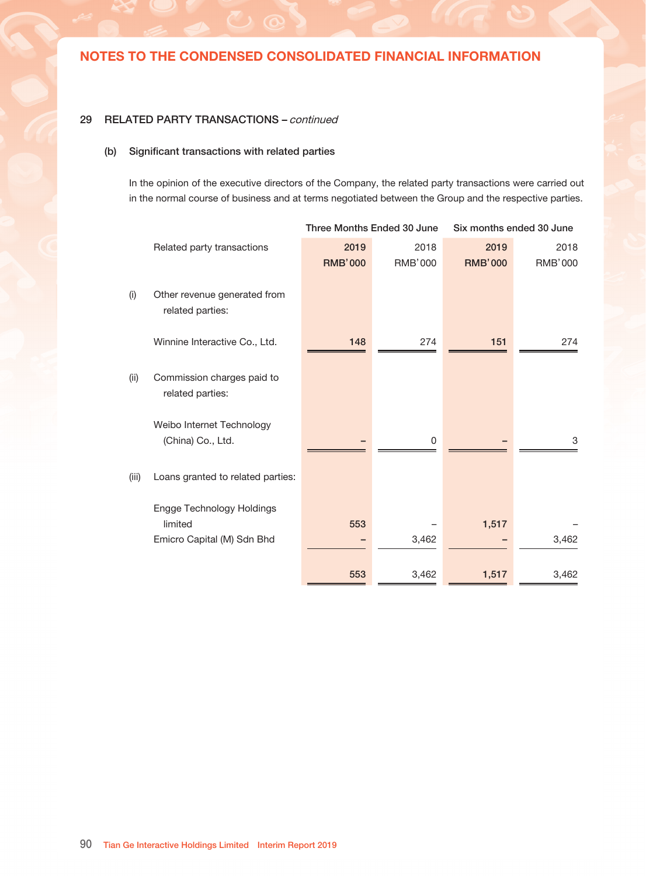## 29 RELATED PARTY TRANSACTIONS

### (a) Names and relationships with related parties

The following companies are related parties of the Group that had balances and/or transactions with the Group for all the periods presented.

|                                             |                                   | Period of            |
|---------------------------------------------|-----------------------------------|----------------------|
|                                             |                                   | <b>Related Party</b> |
| Company                                     | Relationship                      | Relationship         |
|                                             |                                   |                      |
| Weibo Internet Technology (China) Co., Ltd. | Subsidiary of the non-controlling | Since                |
|                                             | shareholder who has significant   | 15 July 2010         |
|                                             | influence of the Group            |                      |
| Beijing Weimeng Chuangke Investment         | Subsidiary of the non-controlling | Since                |
| Management Co., Ltd                         | shareholder who has significant   | 9 April 2014         |
|                                             | influence of the Group            |                      |
| Winnine Interactive Co., Ltd.               | Associate of subsidiary           | Since                |
|                                             |                                   | 9 August 2016        |
| Wuhan Jiuxin Puhui Financial                | Associate of subsidiary           | Since                |
| Information Services Co., Ltd.              |                                   | 1 January 2017       |
| Emicro Capital (M) Sdn Bhd                  | Associate of subsidiary           | Since                |
|                                             |                                   | 20 March 2018        |
| Engge Technology Holdings Limited           | Associate of subsidiary           | Since                |
|                                             |                                   | 2 January 2018       |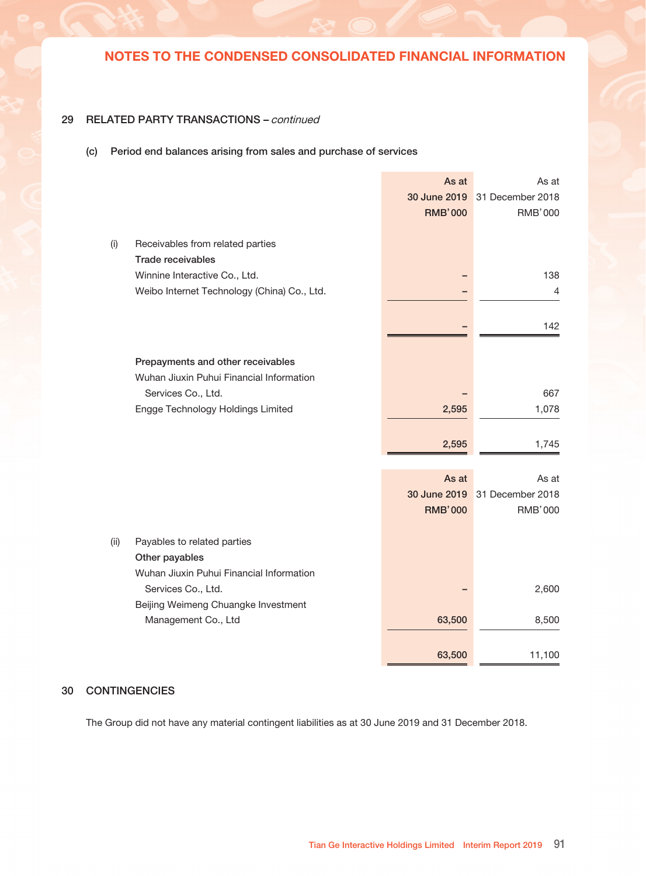### 29 RELATED PARTY TRANSACTIONS – continued

### (b) Significant transactions with related parties

In the opinion of the executive directors of the Company, the related party transactions were carried out in the normal course of business and at terms negotiated between the Group and the respective parties.

|       |                                                  | Three Months Ended 30 June |                 | Six months ended 30 June |                        |
|-------|--------------------------------------------------|----------------------------|-----------------|--------------------------|------------------------|
|       | Related party transactions                       | 2019<br><b>RMB'000</b>     | 2018<br>RMB'000 | 2019<br><b>RMB'000</b>   | 2018<br><b>RMB'000</b> |
| (i)   | Other revenue generated from<br>related parties: |                            |                 |                          |                        |
|       | Winnine Interactive Co., Ltd.                    | 148                        | 274             | 151                      | 274                    |
| (ii)  | Commission charges paid to<br>related parties:   |                            |                 |                          |                        |
|       | Weibo Internet Technology<br>(China) Co., Ltd.   |                            | 0               |                          | 3                      |
| (iii) | Loans granted to related parties:                |                            |                 |                          |                        |
|       | Engge Technology Holdings<br>limited             | 553                        |                 |                          |                        |
|       | Emicro Capital (M) Sdn Bhd                       |                            | 3,462           | 1,517                    | 3,462                  |
|       |                                                  | 553                        | 3,462           | 1,517                    | 3,462                  |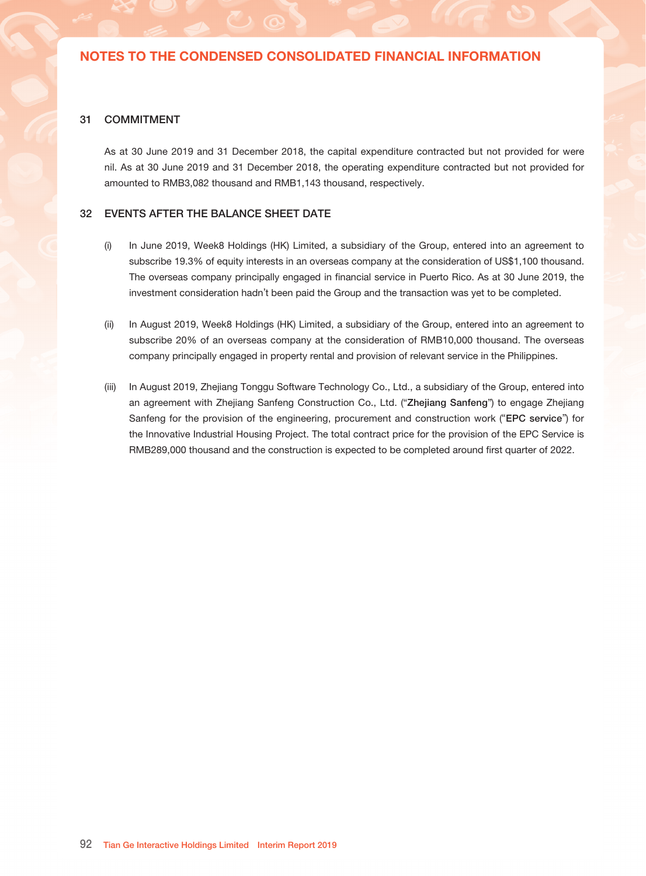## 29 RELATED PARTY TRANSACTIONS - continued

### (c) Period end balances arising from sales and purchase of services

|      |                                                       | As at<br>30 June 2019<br><b>RMB'000</b> | As at<br>31 December 2018<br><b>RMB'000</b> |
|------|-------------------------------------------------------|-----------------------------------------|---------------------------------------------|
| (i)  | Receivables from related parties<br>Trade receivables |                                         |                                             |
|      | Winnine Interactive Co., Ltd.                         |                                         | 138                                         |
|      | Weibo Internet Technology (China) Co., Ltd.           |                                         | 4                                           |
|      |                                                       |                                         | 142                                         |
|      | Prepayments and other receivables                     |                                         |                                             |
|      | Wuhan Jiuxin Puhui Financial Information              |                                         |                                             |
|      | Services Co., Ltd.                                    |                                         | 667                                         |
|      | Engge Technology Holdings Limited                     | 2,595                                   | 1,078                                       |
|      |                                                       | 2,595                                   | 1,745                                       |
|      |                                                       | As at                                   | As at                                       |
|      |                                                       | 30 June 2019                            | 31 December 2018                            |
|      |                                                       | <b>RMB'000</b>                          | <b>RMB'000</b>                              |
| (ii) | Payables to related parties                           |                                         |                                             |
|      | Other payables                                        |                                         |                                             |
|      | Wuhan Jiuxin Puhui Financial Information              |                                         |                                             |
|      | Services Co., Ltd.                                    |                                         | 2,600                                       |
|      | Beijing Weimeng Chuangke Investment                   |                                         |                                             |
|      | Management Co., Ltd                                   | 63,500                                  | 8,500                                       |
|      |                                                       | 63,500                                  | 11,100                                      |

## 30 CONTINGENCIES

The Group did not have any material contingent liabilities as at 30 June 2019 and 31 December 2018.